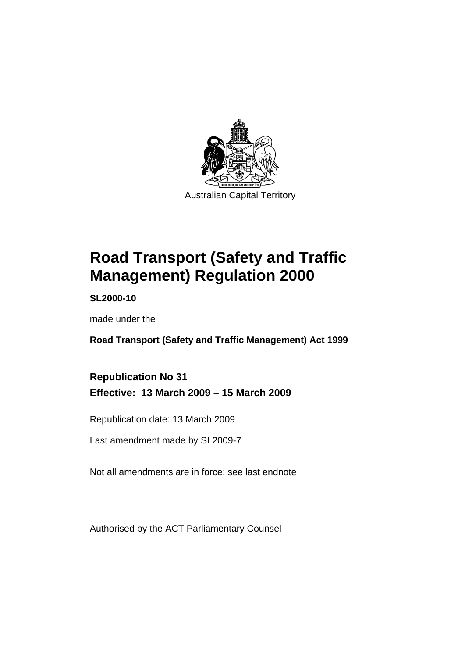

# **[Road Transport \(Safety and Traffic](#page-10-0)  [Management\) Regulation 2000](#page-10-0)**

**SL2000-10** 

made under the

**[Road Transport \(Safety and Traffic Management\) Act 1999](#page-10-0)** 

**Republication No 31 Effective: 13 March 2009 – 15 March 2009** 

Republication date: 13 March 2009

Last amendment made by SL2009-7

Not all amendments are in force: see last endnote

Authorised by the ACT Parliamentary Counsel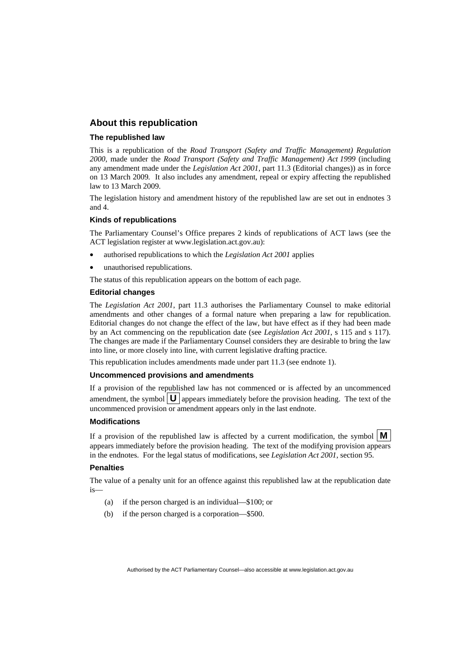#### **About this republication**

#### **The republished law**

This is a republication of the *Road Transport (Safety and Traffic Management) Regulation 2000*, made under the *[Road Transport \(Safety and Traffic Management\) Act 1999](#page-10-0)* (including any amendment made under the *Legislation Act 2001*, part 11.3 (Editorial changes)) as in force on 13 March 2009*.* It also includes any amendment, repeal or expiry affecting the republished law to 13 March 2009.

The legislation history and amendment history of the republished law are set out in endnotes 3 and 4.

#### **Kinds of republications**

The Parliamentary Counsel's Office prepares 2 kinds of republications of ACT laws (see the ACT legislation register at www.legislation.act.gov.au):

- authorised republications to which the *Legislation Act 2001* applies
- unauthorised republications.

The status of this republication appears on the bottom of each page.

#### **Editorial changes**

The *Legislation Act 2001*, part 11.3 authorises the Parliamentary Counsel to make editorial amendments and other changes of a formal nature when preparing a law for republication. Editorial changes do not change the effect of the law, but have effect as if they had been made by an Act commencing on the republication date (see *Legislation Act 2001*, s 115 and s 117). The changes are made if the Parliamentary Counsel considers they are desirable to bring the law into line, or more closely into line, with current legislative drafting practice.

This republication includes amendments made under part 11.3 (see endnote 1).

#### **Uncommenced provisions and amendments**

If a provision of the republished law has not commenced or is affected by an uncommenced amendment, the symbol  $\mathbf{U}$  appears immediately before the provision heading. The text of the uncommenced provision or amendment appears only in the last endnote.

#### **Modifications**

If a provision of the republished law is affected by a current modification, the symbol  $\vert \mathbf{M} \vert$ appears immediately before the provision heading. The text of the modifying provision appears in the endnotes. For the legal status of modifications, see *Legislation Act 2001*, section 95.

#### **Penalties**

The value of a penalty unit for an offence against this republished law at the republication date  $i<sub>s</sub>$ 

- (a) if the person charged is an individual—\$100; or
- (b) if the person charged is a corporation—\$500.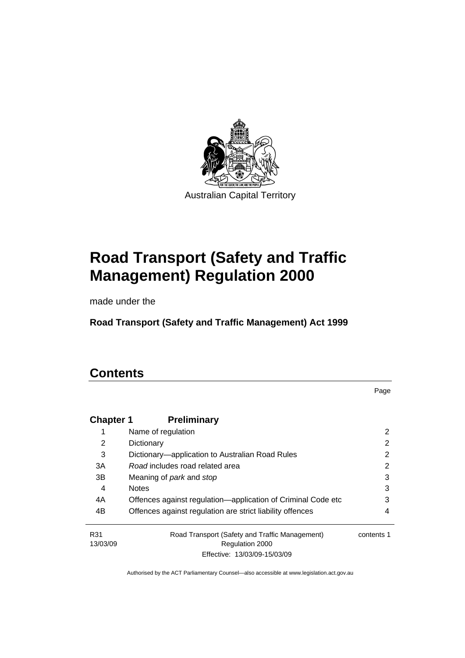

# **[Road Transport \(Safety and Traffic](#page-10-0)  [Management\) Regulation 2000](#page-10-0)**

made under the

**[Road Transport \(Safety and Traffic Management\) Act 1999](#page-10-0)** 

# **Contents**

Page

| <b>Chapter 1</b> | <b>Preliminary</b>                                                |            |
|------------------|-------------------------------------------------------------------|------------|
| 1                | Name of regulation                                                | 2          |
| 2                | Dictionary                                                        | 2          |
| 3                | Dictionary—application to Australian Road Rules                   | 2          |
| 3A               | Road includes road related area                                   | 2          |
| 3B               | Meaning of <i>park</i> and <i>stop</i>                            | 3          |
| 4                | <b>Notes</b>                                                      | 3          |
| 4A               | Offences against regulation—application of Criminal Code etc      | 3          |
| 4B               | Offences against regulation are strict liability offences         | 4          |
| R31<br>13/03/09  | Road Transport (Safety and Traffic Management)<br>Regulation 2000 | contents 1 |
|                  | Effective: 13/03/09-15/03/09                                      |            |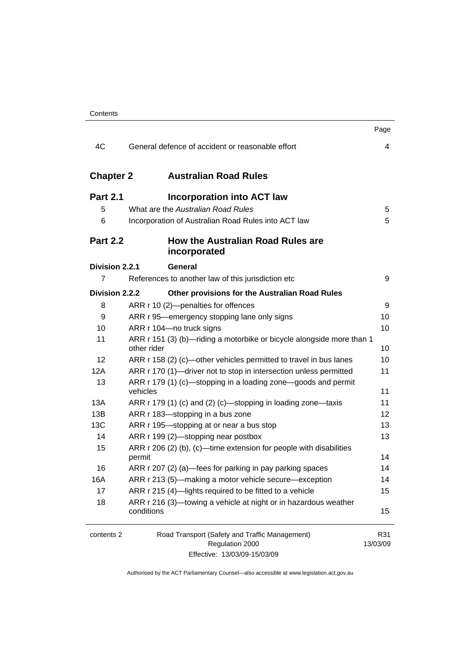|                  |                                                                                      | Page            |
|------------------|--------------------------------------------------------------------------------------|-----------------|
| 4C               | General defence of accident or reasonable effort                                     | 4               |
| <b>Chapter 2</b> | <b>Australian Road Rules</b>                                                         |                 |
| <b>Part 2.1</b>  | <b>Incorporation into ACT law</b>                                                    |                 |
| 5                | What are the Australian Road Rules                                                   | 5               |
| 6                | Incorporation of Australian Road Rules into ACT law                                  | 5               |
| <b>Part 2.2</b>  | How the Australian Road Rules are<br>incorporated                                    |                 |
| Division 2.2.1   | General                                                                              |                 |
| 7                | References to another law of this jurisdiction etc                                   | 9               |
| Division 2.2.2   | Other provisions for the Australian Road Rules                                       |                 |
| 8                | ARR r 10 (2)-penalties for offences                                                  | 9               |
| 9                | ARR r 95—emergency stopping lane only signs                                          | 10              |
| 10               | ARR r 104-no truck signs                                                             | 10              |
| 11               | ARR r 151 (3) (b)—riding a motorbike or bicycle alongside more than 1<br>other rider | 10              |
| 12               | ARR r 158 (2) (c)—other vehicles permitted to travel in bus lanes                    | 10              |
| 12A              | ARR r 170 (1)-driver not to stop in intersection unless permitted                    | 11              |
| 13               | ARR r 179 (1) (c)—stopping in a loading zone—goods and permit<br>vehicles            | 11              |
| 13A              | ARR r 179 (1) (c) and (2) (c)-stopping in loading zone-taxis                         | 11              |
| 13B              | ARR r 183-stopping in a bus zone                                                     | 12              |
| 13C              | ARR r 195-stopping at or near a bus stop                                             | 13              |
| 14               | ARR r 199 (2)-stopping near postbox                                                  | 13              |
| 15               | ARR $r$ 206 (2) (b), (c)—time extension for people with disabilities<br>permit       | 14              |
| 16               | ARR r 207 (2) (a)—fees for parking in pay parking spaces                             | 14              |
| 16A              | ARR r 213 (5)—making a motor vehicle secure—exception                                | 14              |
| 17               | ARR r 215 (4)-lights required to be fitted to a vehicle                              | 15              |
| 18               | ARR r 216 (3)-towing a vehicle at night or in hazardous weather<br>conditions        | 15              |
| contents 2       | Road Transport (Safety and Traffic Management)<br>Regulation 2000                    | R31<br>13/03/09 |
|                  |                                                                                      |                 |

Effective: 13/03/09-15/03/09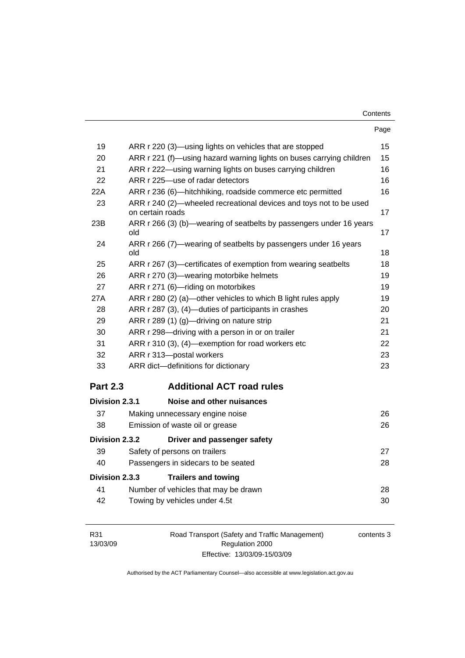| Contents |
|----------|
|----------|

|                 | Page                                                                                   |    |
|-----------------|----------------------------------------------------------------------------------------|----|
| 19              | ARR r 220 (3)—using lights on vehicles that are stopped                                | 15 |
| 20              | ARR r 221 (f)—using hazard warning lights on buses carrying children                   | 15 |
| 21              | ARR r 222-using warning lights on buses carrying children                              | 16 |
| 22              | ARR r 225-use of radar detectors                                                       | 16 |
| 22A             | ARR r 236 (6)—hitchhiking, roadside commerce etc permitted                             | 16 |
| 23              | ARR r 240 (2)-wheeled recreational devices and toys not to be used<br>on certain roads | 17 |
| 23B             | ARR r 266 (3) (b)—wearing of seatbelts by passengers under 16 years<br>old             | 17 |
| 24              | ARR r 266 (7)—wearing of seatbelts by passengers under 16 years<br>old                 | 18 |
| 25              | ARR r 267 (3)—certificates of exemption from wearing seatbelts                         | 18 |
| 26              | ARR r 270 (3)-wearing motorbike helmets                                                | 19 |
| 27              | ARR r 271 (6)-riding on motorbikes                                                     | 19 |
| 27A             | ARR r 280 (2) (a)—other vehicles to which B light rules apply                          | 19 |
| 28              | ARR r 287 (3), (4)-duties of participants in crashes                                   | 20 |
| 29              | ARR r 289 (1) (g)—driving on nature strip                                              | 21 |
| 30              | ARR r 298-driving with a person in or on trailer                                       | 21 |
| 31              | ARR r 310 (3), (4)-exemption for road workers etc                                      | 22 |
| 32              | ARR r 313-postal workers                                                               | 23 |
| 33              | ARR dict-definitions for dictionary                                                    | 23 |
| <b>Part 2.3</b> | <b>Additional ACT road rules</b>                                                       |    |
| Division 2.3.1  | Noise and other nuisances                                                              |    |
| 37              | Making unnecessary engine noise                                                        | 26 |
| 38              | Emission of waste oil or grease                                                        | 26 |
| Division 2.3.2  | Driver and passenger safety                                                            |    |
| 39              | Safety of persons on trailers                                                          | 27 |
| 40              | Passengers in sidecars to be seated                                                    | 28 |
| Division 2.3.3  | <b>Trailers and towing</b>                                                             |    |
| 41              | Number of vehicles that may be drawn                                                   | 28 |
| 42              | Towing by vehicles under 4.5t                                                          | 30 |
|                 |                                                                                        |    |

| R31      | Road Transport (Safety and Traffic Management) | contents 3 |
|----------|------------------------------------------------|------------|
| 13/03/09 | Regulation 2000                                |            |
|          | Effective: 13/03/09-15/03/09                   |            |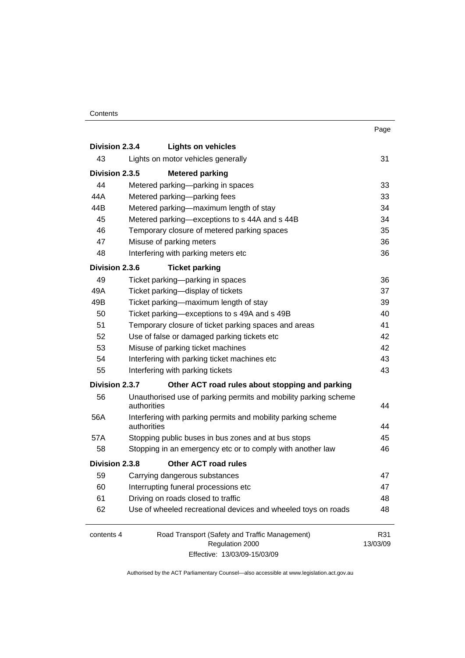#### **Contents**

|                |                                                                             | Page     |
|----------------|-----------------------------------------------------------------------------|----------|
| Division 2.3.4 | <b>Lights on vehicles</b>                                                   |          |
| 43             | Lights on motor vehicles generally                                          | 31       |
| Division 2.3.5 | <b>Metered parking</b>                                                      |          |
| 44             | Metered parking—parking in spaces                                           | 33       |
| 44A            | Metered parking-parking fees                                                | 33       |
| 44B            | Metered parking-maximum length of stay                                      | 34       |
| 45             | Metered parking-exceptions to s 44A and s 44B                               | 34       |
| 46             | Temporary closure of metered parking spaces                                 | 35       |
| 47             | Misuse of parking meters                                                    | 36       |
| 48             | Interfering with parking meters etc                                         | 36       |
| Division 2.3.6 | <b>Ticket parking</b>                                                       |          |
| 49             | Ticket parking-parking in spaces                                            | 36       |
| 49A            | Ticket parking-display of tickets                                           | 37       |
| 49B            | Ticket parking-maximum length of stay                                       | 39       |
| 50             | Ticket parking-exceptions to s 49A and s 49B                                | 40       |
| 51             | Temporary closure of ticket parking spaces and areas                        | 41       |
| 52             | Use of false or damaged parking tickets etc                                 | 42       |
| 53             | Misuse of parking ticket machines                                           | 42       |
| 54             | Interfering with parking ticket machines etc                                | 43       |
| 55             | Interfering with parking tickets                                            | 43       |
| Division 2.3.7 | Other ACT road rules about stopping and parking                             |          |
| 56             | Unauthorised use of parking permits and mobility parking scheme             |          |
|                | authorities                                                                 | 44       |
| 56A            | Interfering with parking permits and mobility parking scheme<br>authorities | 44       |
| 57A            | Stopping public buses in bus zones and at bus stops                         | 45       |
| 58             | Stopping in an emergency etc or to comply with another law                  | 46       |
| Division 2.3.8 | <b>Other ACT road rules</b>                                                 |          |
| 59             | Carrying dangerous substances                                               | 47       |
| 60             | Interrupting funeral processions etc                                        | 47       |
| 61             | Driving on roads closed to traffic                                          | 48       |
| 62             | Use of wheeled recreational devices and wheeled toys on roads               | 48       |
|                |                                                                             |          |
| contents 4     | Road Transport (Safety and Traffic Management)                              | R31      |
|                | Regulation 2000                                                             | 13/03/09 |
|                | Effective: 13/03/09-15/03/09                                                |          |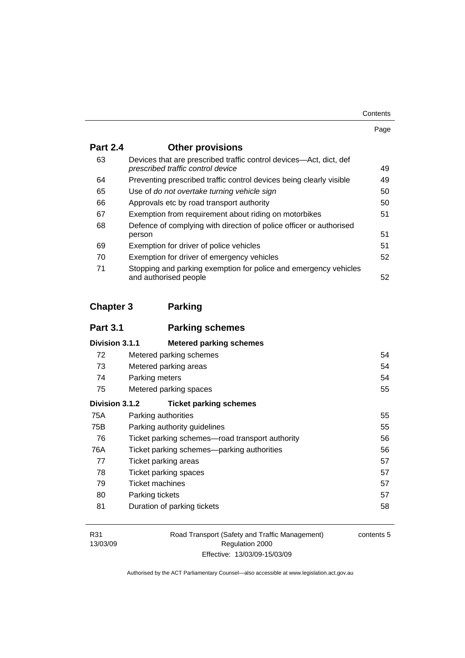| Contents |
|----------|
|----------|

| . . | I |
|-----|---|

| <b>Part 2.4</b> | <b>Other provisions</b>                                                                                 |    |
|-----------------|---------------------------------------------------------------------------------------------------------|----|
| 63              | Devices that are prescribed traffic control devices—Act, dict, def<br>prescribed traffic control device | 49 |
| 64              | Preventing prescribed traffic control devices being clearly visible                                     | 49 |
| 65              | Use of do not overtake turning vehicle sign                                                             | 50 |
| 66              | Approvals etc by road transport authority                                                               | 50 |
| 67              | Exemption from requirement about riding on motorbikes                                                   | 51 |
| 68              | Defence of complying with direction of police officer or authorised<br>person                           | 51 |
| 69              | Exemption for driver of police vehicles                                                                 | 51 |
| 70              | Exemption for driver of emergency vehicles                                                              | 52 |
| 71              | Stopping and parking exemption for police and emergency vehicles<br>and authorised people               | 52 |

# **Chapter 3 Parking**

| <b>Part 3.1</b> | <b>Parking schemes</b>                          |    |
|-----------------|-------------------------------------------------|----|
| Division 3.1.1  | <b>Metered parking schemes</b>                  |    |
| 72              | Metered parking schemes                         | 54 |
| 73              | Metered parking areas                           | 54 |
| 74              | Parking meters                                  | 54 |
| 75              | Metered parking spaces                          | 55 |
| Division 3.1.2  | <b>Ticket parking schemes</b>                   |    |
| 75A             | Parking authorities                             | 55 |
| 75B             | Parking authority guidelines                    | 55 |
| 76              | Ticket parking schemes—road transport authority | 56 |
| 76A             | Ticket parking schemes—parking authorities      | 56 |
| 77              | Ticket parking areas                            | 57 |
| 78              | Ticket parking spaces                           | 57 |
| 79              | Ticket machines                                 | 57 |
| 80              | Parking tickets                                 | 57 |
| 81              | Duration of parking tickets                     | 58 |

| R31      |
|----------|
| 13/03/09 |

Road Transport (Safety and Traffic Management) Regulation 2000 Effective: 13/03/09-15/03/09

contents 5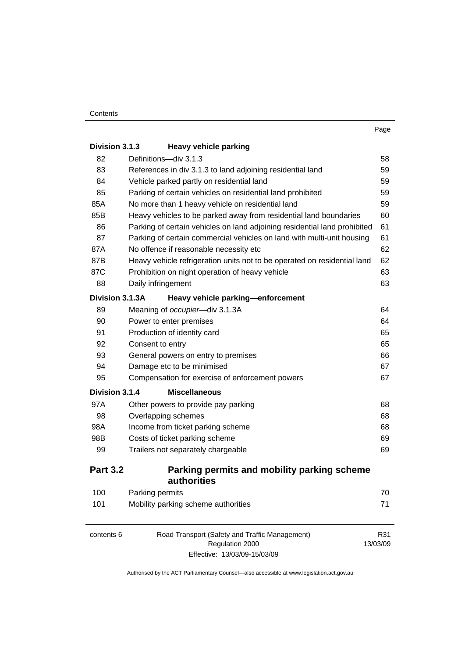| Division 3.1.3  | <b>Heavy vehicle parking</b>                                              |          |
|-----------------|---------------------------------------------------------------------------|----------|
| 82              | Definitions-div 3.1.3                                                     | 58       |
| 83              | References in div 3.1.3 to land adjoining residential land                | 59       |
| 84              | Vehicle parked partly on residential land                                 | 59       |
| 85              | Parking of certain vehicles on residential land prohibited                | 59       |
| 85A             | No more than 1 heavy vehicle on residential land                          | 59       |
| 85B             | Heavy vehicles to be parked away from residential land boundaries         | 60       |
| 86              | Parking of certain vehicles on land adjoining residential land prohibited | 61       |
| 87              | Parking of certain commercial vehicles on land with multi-unit housing    | 61       |
| 87A             | No offence if reasonable necessity etc                                    | 62       |
| 87B             | Heavy vehicle refrigeration units not to be operated on residential land  | 62       |
| 87C             | Prohibition on night operation of heavy vehicle                           | 63       |
| 88              | Daily infringement                                                        | 63       |
| Division 3.1.3A | Heavy vehicle parking-enforcement                                         |          |
| 89              | Meaning of occupier-div 3.1.3A                                            | 64       |
| 90              | Power to enter premises                                                   | 64       |
| 91              | Production of identity card                                               | 65       |
| 92              | Consent to entry                                                          | 65       |
| 93              | General powers on entry to premises                                       | 66       |
| 94              | Damage etc to be minimised                                                | 67       |
| 95              | Compensation for exercise of enforcement powers                           | 67       |
| Division 3.1.4  | <b>Miscellaneous</b>                                                      |          |
| 97A             | Other powers to provide pay parking                                       | 68       |
| 98              | Overlapping schemes                                                       | 68       |
| 98A             | Income from ticket parking scheme                                         | 68       |
| 98B             | Costs of ticket parking scheme                                            | 69       |
| 99              | Trailers not separately chargeable                                        | 69       |
| <b>Part 3.2</b> | Parking permits and mobility parking scheme<br>authorities                |          |
| 100             | Parking permits                                                           | 70       |
| 101             | Mobility parking scheme authorities                                       | 71       |
| contents 6      | Road Transport (Safety and Traffic Management)                            | R31      |
|                 | Regulation 2000                                                           | 13/03/09 |

Effective: 13/03/09-15/03/09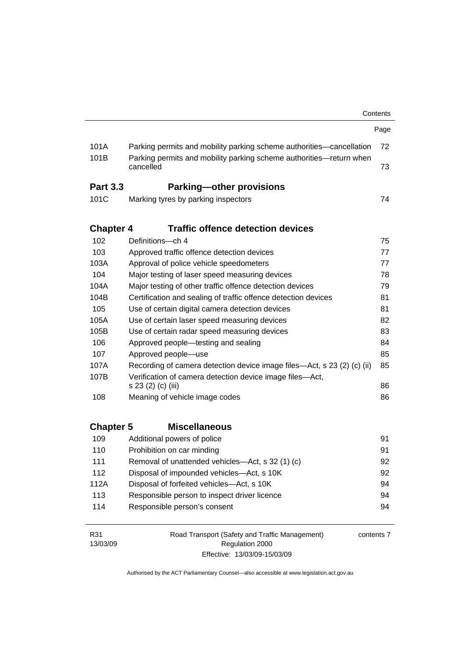|                  |                                                                                  | Contents |  |
|------------------|----------------------------------------------------------------------------------|----------|--|
|                  |                                                                                  | Page     |  |
| 101A             | Parking permits and mobility parking scheme authorities—cancellation             | 72       |  |
| 101B             | Parking permits and mobility parking scheme authorities—return when<br>cancelled | 73       |  |
| <b>Part 3.3</b>  | <b>Parking-other provisions</b>                                                  |          |  |
| 101C             | Marking tyres by parking inspectors                                              | 74       |  |
| <b>Chapter 4</b> | <b>Traffic offence detection devices</b>                                         |          |  |
| 102              | Definitions—ch 4                                                                 | 75       |  |
| 103              | Approved traffic offence detection devices                                       | 77       |  |
| 103A             | Approval of police vehicle speedometers                                          | 77       |  |
| 104              | Major testing of laser speed measuring devices                                   | 78       |  |
| 104A             | Major testing of other traffic offence detection devices                         | 79       |  |
| 104B             | Certification and sealing of traffic offence detection devices<br>81             |          |  |
| 105              | Use of certain digital camera detection devices<br>81                            |          |  |
| 105A             | Use of certain laser speed measuring devices<br>82                               |          |  |
| 105B             | Use of certain radar speed measuring devices                                     | 83       |  |
| 106              | Approved people—testing and sealing                                              | 84       |  |
| 107              | Approved people-use                                                              | 85       |  |
| 107A             | Recording of camera detection device image files—Act, s 23 (2) (c) (ii)<br>85    |          |  |
| 107B             | Verification of camera detection device image files-Act,<br>s 23 (2) (c) (iii)   | 86       |  |
| 108              | Meaning of vehicle image codes                                                   | 86       |  |
|                  |                                                                                  |          |  |
| <b>Chapter 5</b> | <b>Miscellaneous</b>                                                             |          |  |
| 109              | Additional powers of police                                                      | 91       |  |
| 110              | Prohibition on car minding                                                       | 91       |  |
| 111              | Removal of unattended vehicles-Act, s 32 (1) (c)                                 | 92       |  |
| 112              | Disposal of impounded vehicles-Act, s 10K                                        | 92       |  |
| 112A             | Disposal of forfeited vehicles-Act, s 10K                                        | 94       |  |
| 113              | Responsible person to inspect driver licence                                     | 94       |  |
| 114              | Responsible person's consent                                                     | 94       |  |
|                  |                                                                                  |          |  |

R31 13/03/09 Road Transport (Safety and Traffic Management) Regulation 2000 Effective: 13/03/09-15/03/09

contents 7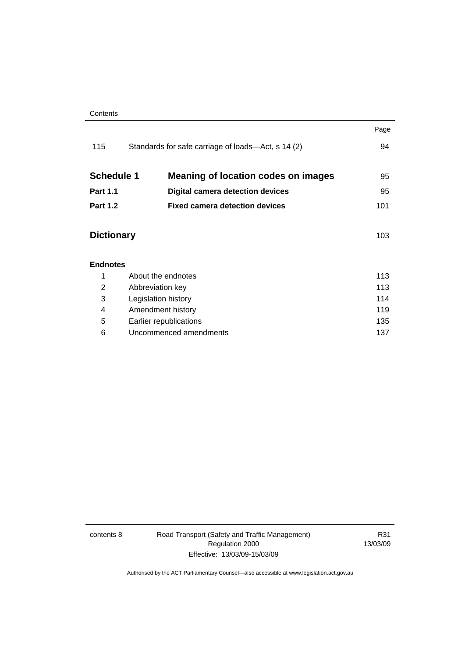|                   |                                                    | Page |
|-------------------|----------------------------------------------------|------|
| 115               | Standards for safe carriage of loads—Act, s 14 (2) | 94   |
| <b>Schedule 1</b> | Meaning of location codes on images                | 95   |
| <b>Part 1.1</b>   | <b>Digital camera detection devices</b>            | 95   |
| <b>Part 1.2</b>   | <b>Fixed camera detection devices</b>              | 101  |
| <b>Dictionary</b> |                                                    | 103  |
| <b>Endnotes</b>   |                                                    |      |
| 1                 | About the endnotes                                 | 113  |
| 2                 | Abbreviation key                                   |      |
| 3                 | Legislation history                                |      |
| 4                 | Amendment history                                  |      |
| 5                 | 135<br>Earlier republications                      |      |
| 6                 | Uncommenced amendments                             |      |
|                   |                                                    |      |

contents 8 Road Transport (Safety and Traffic Management) Regulation 2000 Effective: 13/03/09-15/03/09

R31 13/03/09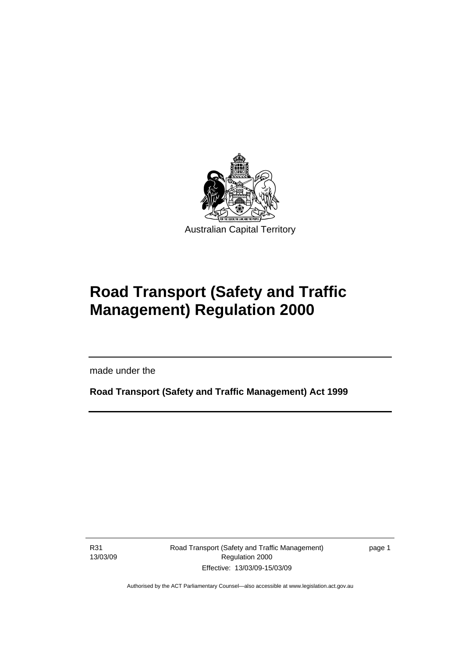<span id="page-10-0"></span>

# **Road Transport (Safety and Traffic Management) Regulation 2000**

made under the

**Road Transport (Safety and Traffic Management) Act 1999** 

R31 13/03/09

Ī

Road Transport (Safety and Traffic Management) Regulation 2000 Effective: 13/03/09-15/03/09

page 1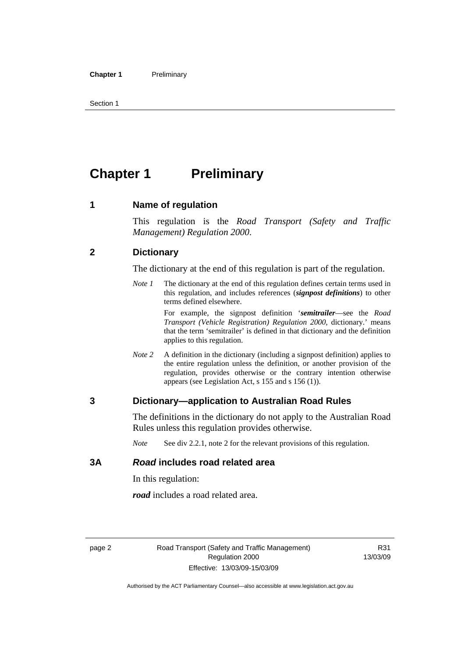<span id="page-11-0"></span>Section 1

# **Chapter 1** Preliminary

#### **1 Name of regulation**

This regulation is the *Road Transport (Safety and Traffic Management) Regulation 2000*.

#### **2 Dictionary**

The dictionary at the end of this regulation is part of the regulation.

*Note 1* The dictionary at the end of this regulation defines certain terms used in this regulation, and includes references (*signpost definitions*) to other terms defined elsewhere.

> For example, the signpost definition '*semitrailer*—see the *Road Transport (Vehicle Registration) Regulation 2000*, dictionary.' means that the term 'semitrailer' is defined in that dictionary and the definition applies to this regulation.

*Note 2* A definition in the dictionary (including a signpost definition) applies to the entire regulation unless the definition, or another provision of the regulation, provides otherwise or the contrary intention otherwise appears (see Legislation Act, s 155 and s 156 (1)).

#### **3 Dictionary—application to Australian Road Rules**

The definitions in the dictionary do not apply to the Australian Road Rules unless this regulation provides otherwise.

*Note* See div 2.2.1, note 2 for the relevant provisions of this regulation.

#### **3A** *Road* **includes road related area**

In this regulation:

*road* includes a road related area.

R31 13/03/09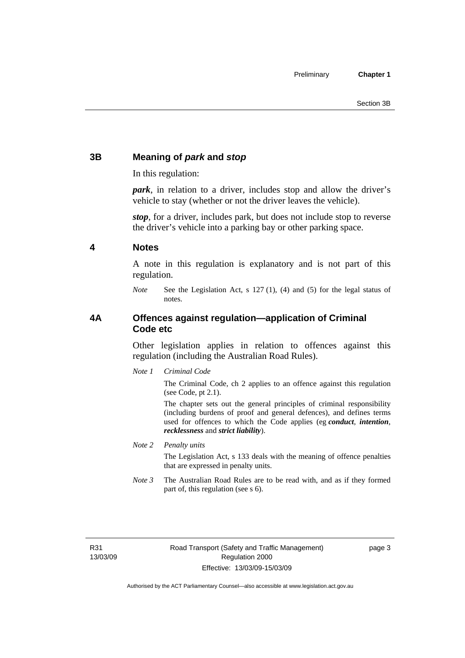### <span id="page-12-0"></span>**3B Meaning of** *park* **and** *stop*

In this regulation:

*park*, in relation to a driver, includes stop and allow the driver's vehicle to stay (whether or not the driver leaves the vehicle).

*stop*, for a driver, includes park, but does not include stop to reverse the driver's vehicle into a parking bay or other parking space.

#### **4 Notes**

A note in this regulation is explanatory and is not part of this regulation.

*Note* See the Legislation Act, s 127 (1), (4) and (5) for the legal status of notes.

#### **4A Offences against regulation—application of Criminal Code etc**

Other legislation applies in relation to offences against this regulation (including the Australian Road Rules).

*Note 1 Criminal Code*

The Criminal Code, ch 2 applies to an offence against this regulation (see Code, pt 2.1).

The chapter sets out the general principles of criminal responsibility (including burdens of proof and general defences), and defines terms used for offences to which the Code applies (eg *conduct*, *intention*, *recklessness* and *strict liability*).

*Note 2 Penalty units* 

The Legislation Act, s 133 deals with the meaning of offence penalties that are expressed in penalty units.

*Note 3* The Australian Road Rules are to be read with, and as if they formed part of, this regulation (see s 6).

R31 13/03/09 page 3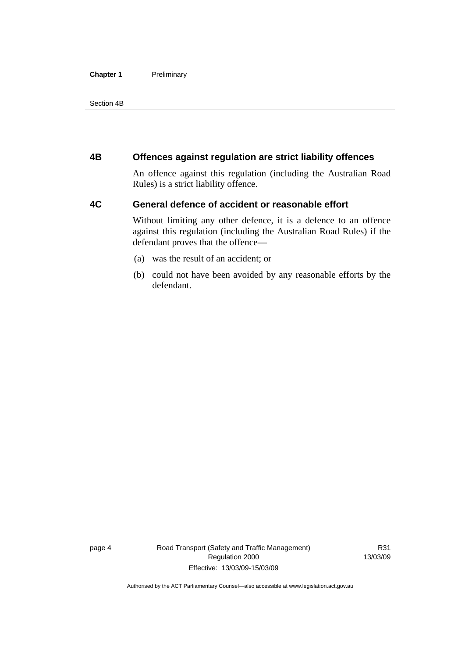#### <span id="page-13-0"></span>**Chapter 1** Preliminary

Section 4B

#### **4B Offences against regulation are strict liability offences**

An offence against this regulation (including the Australian Road Rules) is a strict liability offence.

#### **4C General defence of accident or reasonable effort**

Without limiting any other defence, it is a defence to an offence against this regulation (including the Australian Road Rules) if the defendant proves that the offence—

- (a) was the result of an accident; or
- (b) could not have been avoided by any reasonable efforts by the defendant.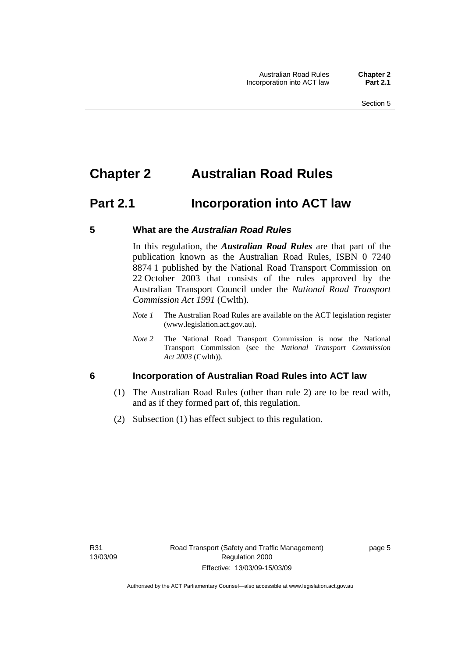# <span id="page-14-0"></span>**Chapter 2 Australian Road Rules**

# **Part 2.1 Incorporation into ACT law**

#### **5 What are the** *Australian Road Rules*

In this regulation, the *Australian Road Rules* are that part of the publication known as the Australian Road Rules, ISBN 0 7240 8874 1 published by the National Road Transport Commission on 22 October 2003 that consists of the rules approved by the Australian Transport Council under the *National Road Transport Commission Act 1991* (Cwlth).

- *Note 1* The Australian Road Rules are available on the ACT legislation register (www.legislation.act.gov.au).
- *Note 2* The National Road Transport Commission is now the National Transport Commission (see the *National Transport Commission Act 2003* (Cwlth)).

#### **6 Incorporation of Australian Road Rules into ACT law**

- (1) The Australian Road Rules (other than rule 2) are to be read with, and as if they formed part of, this regulation.
- (2) Subsection (1) has effect subject to this regulation.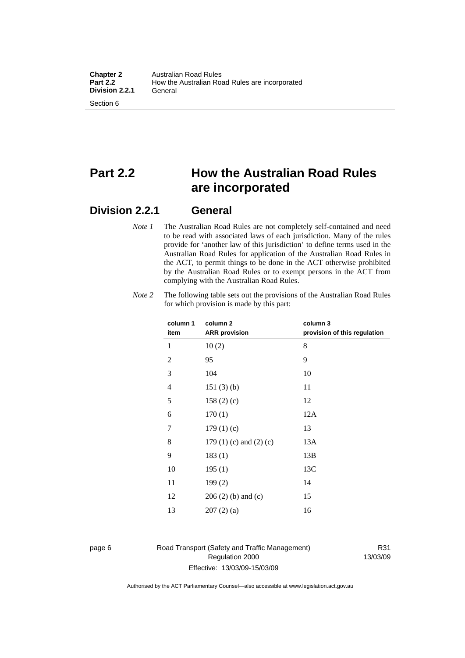# **Part 2.2 How the Australian Road Rules are incorporated**

## **Division 2.2.1 General**

*Note 1* The Australian Road Rules are not completely self-contained and need to be read with associated laws of each jurisdiction. Many of the rules provide for 'another law of this jurisdiction' to define terms used in the Australian Road Rules for application of the Australian Road Rules in the ACT, to permit things to be done in the ACT otherwise prohibited by the Australian Road Rules or to exempt persons in the ACT from complying with the Australian Road Rules.

| column 1       | column <sub>2</sub>             | column 3                     |
|----------------|---------------------------------|------------------------------|
| item           | <b>ARR</b> provision            | provision of this regulation |
| 1              | 10(2)                           | 8                            |
| $\overline{2}$ | 95                              | 9                            |
| 3              | 104                             | 10                           |
| 4              | 151(3)(b)                       | 11                           |
| 5              | 158(2)(c)                       | 12                           |
| 6              | 170(1)                          | 12A                          |
| 7              | 179(1)(c)                       | 13                           |
| 8              | 179 $(1)$ $(c)$ and $(2)$ $(c)$ | 13A                          |
| 9              | 183(1)                          | 13B                          |
| 10             | 195(1)                          | 13C                          |
| 11             | 199(2)                          | 14                           |
| 12             | $206(2)$ (b) and (c)            | 15                           |
| 13             | 207(2)(a)                       | 16                           |
|                |                                 |                              |

*Note 2* The following table sets out the provisions of the Australian Road Rules for which provision is made by this part:

#### page 6 Road Transport (Safety and Traffic Management) Regulation 2000 Effective: 13/03/09-15/03/09

R31 13/03/09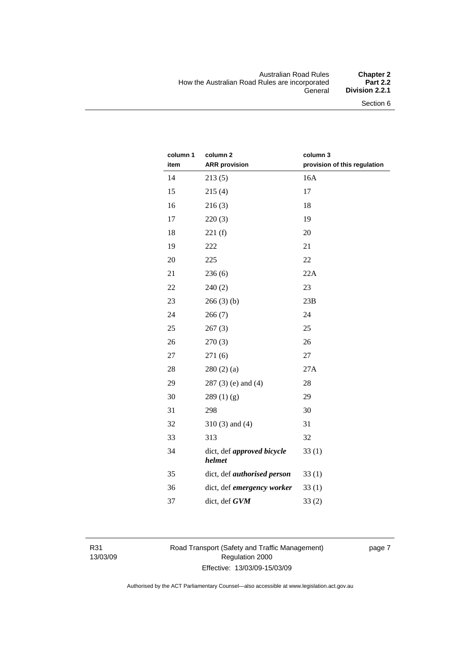#### Australian Road Rules **Chapter 2**  How the Australian Road Rules are incorporated<br>General **Division 2.2.1**

| column 1 | column <sub>2</sub>                  | column 3                     |
|----------|--------------------------------------|------------------------------|
| item     | <b>ARR</b> provision                 | provision of this regulation |
| 14       | 213(5)                               | 16A                          |
| 15       | 215(4)                               | 17                           |
| 16       | 216(3)                               | 18                           |
| 17       | 220(3)                               | 19                           |
| 18       | 221(f)                               | 20                           |
| 19       | 222                                  | 21                           |
| 20       | 225                                  | 22                           |
| 21       | 236(6)                               | 22A                          |
| 22       | 240(2)                               | 23                           |
| 23       | 266(3)(b)                            | 23B                          |
| 24       | 266(7)                               | 24                           |
| 25       | 267(3)                               | 25                           |
| 26       | 270(3)                               | 26                           |
| 27       | 271(6)                               | 27                           |
| 28       | 280(2)(a)                            | 27A                          |
| 29       | $287(3)$ (e) and (4)                 | 28                           |
| 30       | 289(1)(g)                            | 29                           |
| 31       | 298                                  | 30                           |
| 32       | $310(3)$ and $(4)$                   | 31                           |
| 33       | 313                                  | 32                           |
| 34       | dict, def approved bicycle<br>helmet | 33(1)                        |
| 35       | dict, def <i>authorised</i> person   | 33(1)                        |
| 36       | dict, def emergency worker           | 33(1)                        |
| 37       | dict, def GVM                        | 33(2)                        |

R31 13/03/09 Road Transport (Safety and Traffic Management) Regulation 2000 Effective: 13/03/09-15/03/09

page 7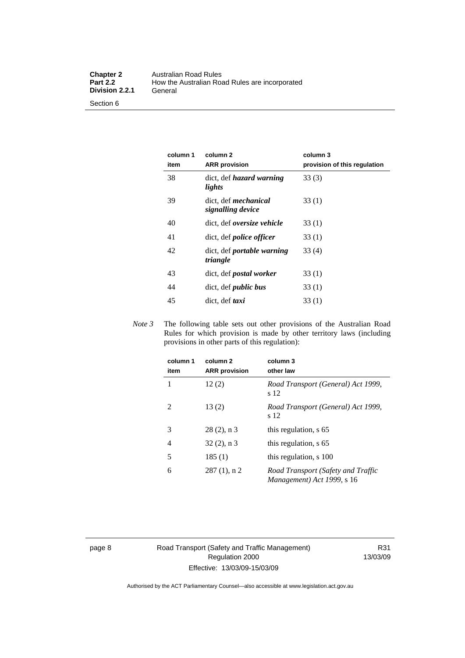Section 6

| column 1<br>item | column <sub>2</sub><br><b>ARR</b> provision   | column 3<br>provision of this regulation |
|------------------|-----------------------------------------------|------------------------------------------|
| 38               | dict, def <i>hazard</i> warning<br>lights     | 33(3)                                    |
| 39               | dict, def mechanical<br>signalling device     | 33(1)                                    |
| 40               | dict, def <i>oversize</i> vehicle             | 33 (1)                                   |
| 41               | dict, def <i>police</i> officer               | 33(1)                                    |
| 42               | dict, def <i>portable</i> warning<br>triangle | 33(4)                                    |
| 43               | dict, def <i>postal</i> worker                | 33(1)                                    |
| 44               | dict, def <i>public</i> bus                   | 33(1)                                    |
| 45               | dict, def taxi                                | 33(1)                                    |

*Note 3* The following table sets out other provisions of the Australian Road Rules for which provision is made by other territory laws (including provisions in other parts of this regulation):

| column 1<br>item | column <sub>2</sub><br><b>ARR</b> provision | column 3<br>other law                                            |
|------------------|---------------------------------------------|------------------------------------------------------------------|
| 1                | 12(2)                                       | Road Transport (General) Act 1999,<br>s 12                       |
| 2                | 13(2)                                       | Road Transport (General) Act 1999,<br>s 12                       |
| 3                | $28(2)$ , n 3                               | this regulation, s 65                                            |
| 4                | $32(2)$ , n 3                               | this regulation, s 65                                            |
| 5                | 185(1)                                      | this regulation, s 100                                           |
| 6                | $287(1)$ , n 2                              | Road Transport (Safety and Traffic<br>Management) Act 1999, s 16 |

page 8 Road Transport (Safety and Traffic Management) Regulation 2000 Effective: 13/03/09-15/03/09

R31 13/03/09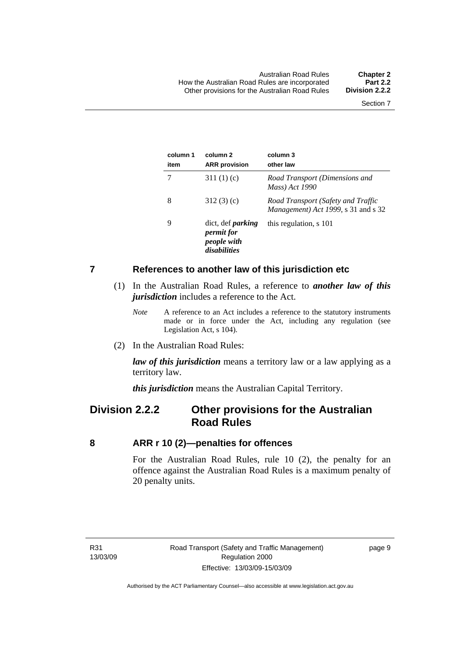<span id="page-18-0"></span>

| column 1<br>item | column 2<br><b>ARR</b> provision                                             | column 3<br>other law                                                     |
|------------------|------------------------------------------------------------------------------|---------------------------------------------------------------------------|
|                  | 311 $(1)(c)$                                                                 | Road Transport (Dimensions and<br>Mass) Act 1990                          |
| 8                | 312(3)(c)                                                                    | Road Transport (Safety and Traffic<br>Management) Act 1999, s 31 and s 32 |
| 9                | dict, def <i>parking</i><br><i>permit for</i><br>people with<br>disabilities | this regulation, s 101                                                    |

#### **7 References to another law of this jurisdiction etc**

- (1) In the Australian Road Rules, a reference to *another law of this jurisdiction* includes a reference to the Act.
	- *Note* A reference to an Act includes a reference to the statutory instruments made or in force under the Act, including any regulation (see Legislation Act, s 104).
- (2) In the Australian Road Rules:

*law of this jurisdiction* means a territory law or a law applying as a territory law.

*this jurisdiction* means the Australian Capital Territory.

## **Division 2.2.2 Other provisions for the Australian Road Rules**

#### **8 ARR r 10 (2)—penalties for offences**

For the Australian Road Rules, rule 10 (2), the penalty for an offence against the Australian Road Rules is a maximum penalty of 20 penalty units.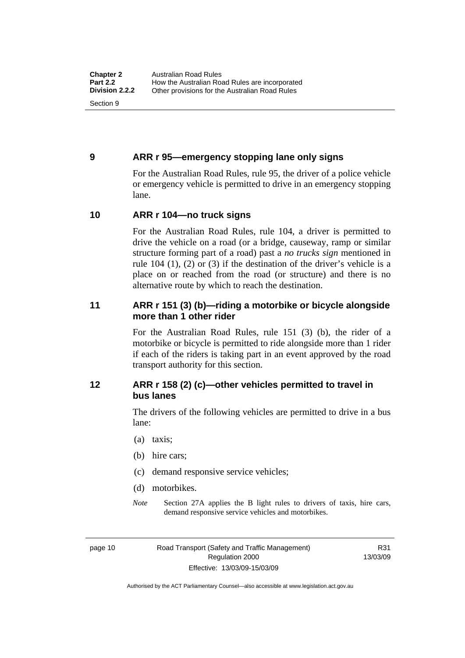#### <span id="page-19-0"></span>**9 ARR r 95—emergency stopping lane only signs**

For the Australian Road Rules, rule 95, the driver of a police vehicle or emergency vehicle is permitted to drive in an emergency stopping lane.

#### **10 ARR r 104—no truck signs**

For the Australian Road Rules, rule 104, a driver is permitted to drive the vehicle on a road (or a bridge, causeway, ramp or similar structure forming part of a road) past a *no trucks sign* mentioned in rule 104 (1), (2) or (3) if the destination of the driver's vehicle is a place on or reached from the road (or structure) and there is no alternative route by which to reach the destination.

#### **11 ARR r 151 (3) (b)—riding a motorbike or bicycle alongside more than 1 other rider**

For the Australian Road Rules, rule 151 (3) (b), the rider of a motorbike or bicycle is permitted to ride alongside more than 1 rider if each of the riders is taking part in an event approved by the road transport authority for this section.

#### **12 ARR r 158 (2) (c)—other vehicles permitted to travel in bus lanes**

The drivers of the following vehicles are permitted to drive in a bus lane:

- (a) taxis;
- (b) hire cars;
- (c) demand responsive service vehicles;
- (d) motorbikes.
- *Note* Section 27A applies the B light rules to drivers of taxis, hire cars, demand responsive service vehicles and motorbikes.

page 10 Road Transport (Safety and Traffic Management) Regulation 2000 Effective: 13/03/09-15/03/09

R31 13/03/09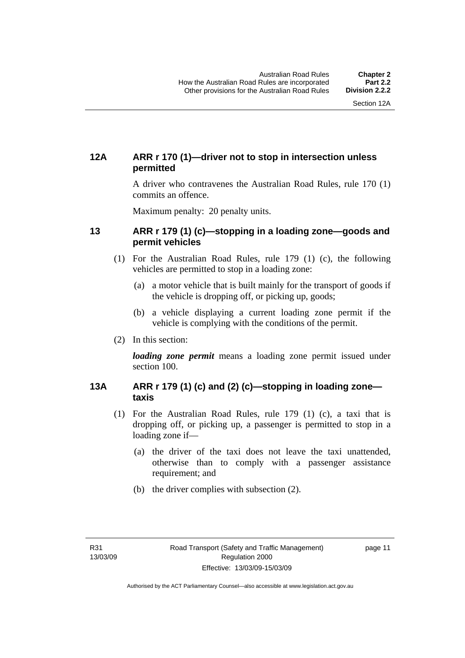#### <span id="page-20-0"></span>**12A ARR r 170 (1)—driver not to stop in intersection unless permitted**

A driver who contravenes the Australian Road Rules, rule 170 (1) commits an offence.

Maximum penalty: 20 penalty units.

#### **13 ARR r 179 (1) (c)—stopping in a loading zone—goods and permit vehicles**

- (1) For the Australian Road Rules, rule 179 (1) (c), the following vehicles are permitted to stop in a loading zone:
	- (a) a motor vehicle that is built mainly for the transport of goods if the vehicle is dropping off, or picking up, goods;
	- (b) a vehicle displaying a current loading zone permit if the vehicle is complying with the conditions of the permit.
- (2) In this section:

*loading zone permit* means a loading zone permit issued under section 100.

#### **13A ARR r 179 (1) (c) and (2) (c)—stopping in loading zone taxis**

- (1) For the Australian Road Rules, rule 179 (1) (c), a taxi that is dropping off, or picking up, a passenger is permitted to stop in a loading zone if—
	- (a) the driver of the taxi does not leave the taxi unattended, otherwise than to comply with a passenger assistance requirement; and
	- (b) the driver complies with subsection (2).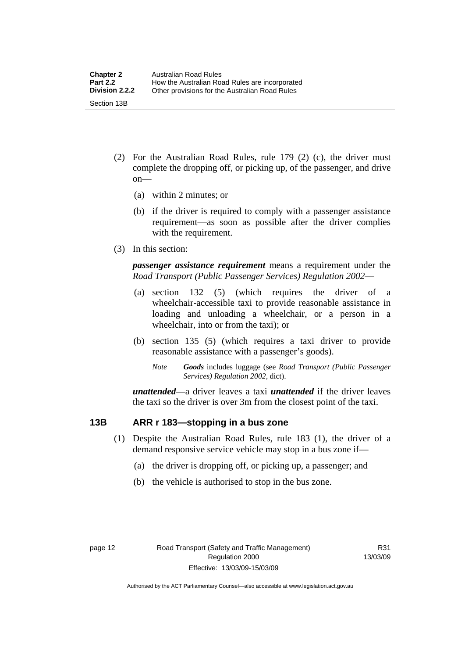- <span id="page-21-0"></span> (2) For the Australian Road Rules, rule 179 (2) (c), the driver must complete the dropping off, or picking up, of the passenger, and drive on—
	- (a) within 2 minutes; or
	- (b) if the driver is required to comply with a passenger assistance requirement—as soon as possible after the driver complies with the requirement.
- (3) In this section:

*passenger assistance requirement* means a requirement under the *Road Transport (Public Passenger Services) Regulation 2002*—

- (a) section 132 (5) (which requires the driver of a wheelchair-accessible taxi to provide reasonable assistance in loading and unloading a wheelchair, or a person in a wheelchair, into or from the taxi); or
- (b) section 135 (5) (which requires a taxi driver to provide reasonable assistance with a passenger's goods).
	- *Note Goods* includes luggage (see *Road Transport (Public Passenger Services) Regulation 2002*, dict).

*unattended*—a driver leaves a taxi *unattended* if the driver leaves the taxi so the driver is over 3m from the closest point of the taxi.

#### **13B ARR r 183—stopping in a bus zone**

- (1) Despite the Australian Road Rules, rule 183 (1), the driver of a demand responsive service vehicle may stop in a bus zone if—
	- (a) the driver is dropping off, or picking up, a passenger; and
	- (b) the vehicle is authorised to stop in the bus zone.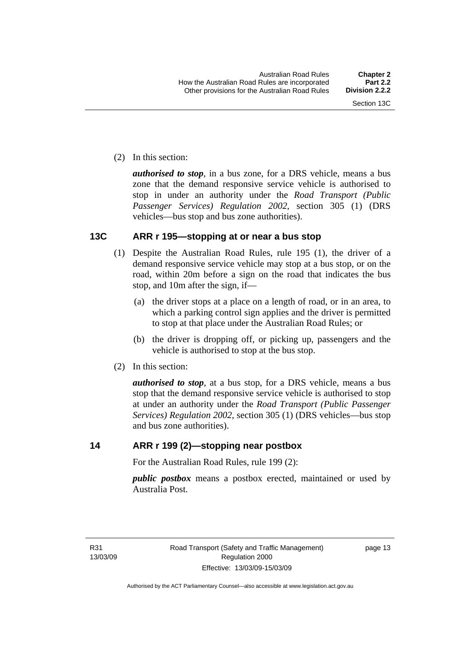<span id="page-22-0"></span>(2) In this section:

*authorised to stop*, in a bus zone, for a DRS vehicle, means a bus zone that the demand responsive service vehicle is authorised to stop in under an authority under the *Road Transport (Public Passenger Services) Regulation 2002*, section 305 (1) (DRS vehicles—bus stop and bus zone authorities).

#### **13C ARR r 195—stopping at or near a bus stop**

- (1) Despite the Australian Road Rules, rule 195 (1), the driver of a demand responsive service vehicle may stop at a bus stop, or on the road, within 20m before a sign on the road that indicates the bus stop, and 10m after the sign, if—
	- (a) the driver stops at a place on a length of road, or in an area, to which a parking control sign applies and the driver is permitted to stop at that place under the Australian Road Rules; or
	- (b) the driver is dropping off, or picking up, passengers and the vehicle is authorised to stop at the bus stop.
- (2) In this section:

*authorised to stop*, at a bus stop, for a DRS vehicle, means a bus stop that the demand responsive service vehicle is authorised to stop at under an authority under the *Road Transport (Public Passenger Services) Regulation 2002*, section 305 (1) (DRS vehicles—bus stop and bus zone authorities).

#### **14 ARR r 199 (2)—stopping near postbox**

For the Australian Road Rules, rule 199 (2):

*public postbox* means a postbox erected, maintained or used by Australia Post.

R31 13/03/09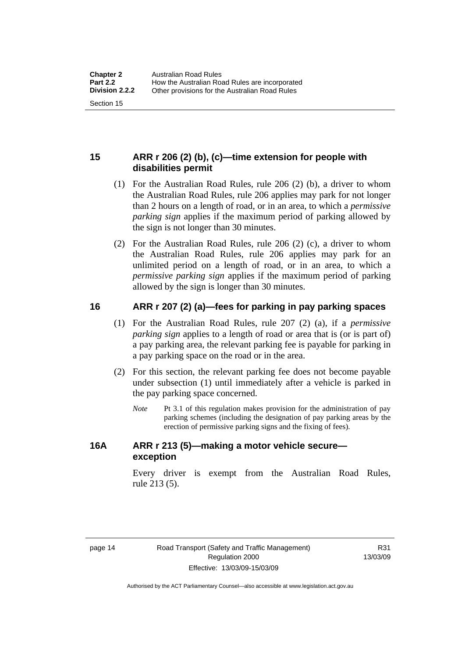#### <span id="page-23-0"></span>**15 ARR r 206 (2) (b), (c)—time extension for people with disabilities permit**

- (1) For the Australian Road Rules, rule 206 (2) (b), a driver to whom the Australian Road Rules, rule 206 applies may park for not longer than 2 hours on a length of road, or in an area, to which a *permissive parking sign* applies if the maximum period of parking allowed by the sign is not longer than 30 minutes.
- (2) For the Australian Road Rules, rule 206 (2) (c), a driver to whom the Australian Road Rules, rule 206 applies may park for an unlimited period on a length of road, or in an area, to which a *permissive parking sign* applies if the maximum period of parking allowed by the sign is longer than 30 minutes.

#### **16 ARR r 207 (2) (a)—fees for parking in pay parking spaces**

- (1) For the Australian Road Rules, rule 207 (2) (a), if a *permissive parking sign* applies to a length of road or area that is (or is part of) a pay parking area, the relevant parking fee is payable for parking in a pay parking space on the road or in the area.
- (2) For this section, the relevant parking fee does not become payable under subsection (1) until immediately after a vehicle is parked in the pay parking space concerned.
	- *Note* Pt 3.1 of this regulation makes provision for the administration of pay parking schemes (including the designation of pay parking areas by the erection of permissive parking signs and the fixing of fees).

#### **16A ARR r 213 (5)—making a motor vehicle secure exception**

Every driver is exempt from the Australian Road Rules, rule 213 (5).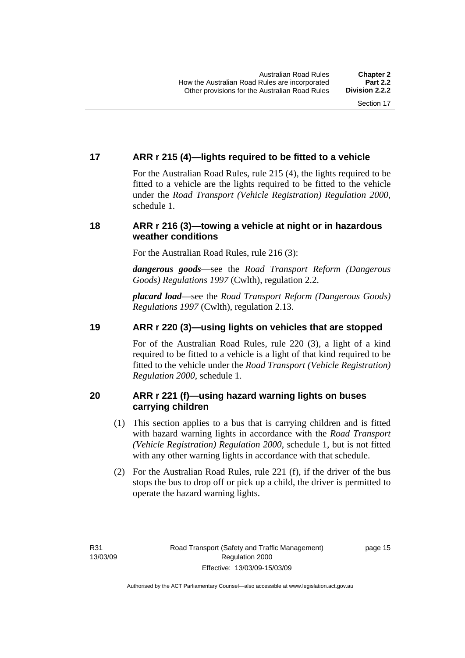### <span id="page-24-0"></span>**17 ARR r 215 (4)—lights required to be fitted to a vehicle**

For the Australian Road Rules, rule 215 (4), the lights required to be fitted to a vehicle are the lights required to be fitted to the vehicle under the *Road Transport (Vehicle Registration) Regulation 2000,*  schedule 1.

#### **18 ARR r 216 (3)—towing a vehicle at night or in hazardous weather conditions**

For the Australian Road Rules, rule 216 (3):

*dangerous goods*—see the *Road Transport Reform (Dangerous Goods) Regulations 1997* (Cwlth), regulation 2.2.

*placard load*—see the *Road Transport Reform (Dangerous Goods) Regulations 1997* (Cwlth), regulation 2.13.

#### **19 ARR r 220 (3)—using lights on vehicles that are stopped**

For of the Australian Road Rules, rule 220 (3), a light of a kind required to be fitted to a vehicle is a light of that kind required to be fitted to the vehicle under the *Road Transport (Vehicle Registration) Regulation 2000*, schedule 1.

#### **20 ARR r 221 (f)—using hazard warning lights on buses carrying children**

- (1) This section applies to a bus that is carrying children and is fitted with hazard warning lights in accordance with the *Road Transport (Vehicle Registration) Regulation 2000*, schedule 1, but is not fitted with any other warning lights in accordance with that schedule.
- (2) For the Australian Road Rules, rule 221 (f), if the driver of the bus stops the bus to drop off or pick up a child, the driver is permitted to operate the hazard warning lights.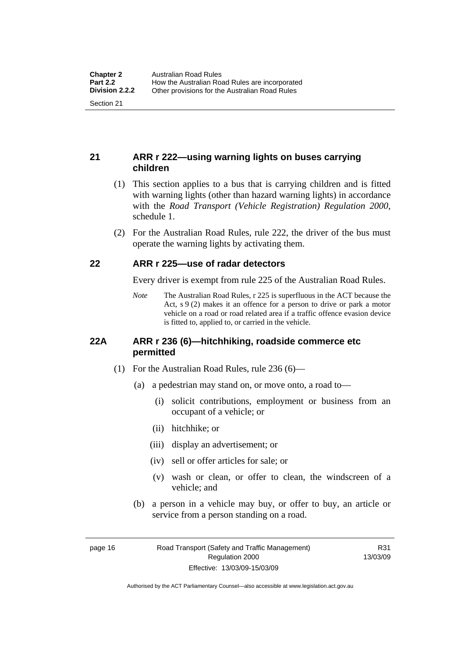#### <span id="page-25-0"></span>**21 ARR r 222—using warning lights on buses carrying children**

- (1) This section applies to a bus that is carrying children and is fitted with warning lights (other than hazard warning lights) in accordance with the *Road Transport (Vehicle Registration) Regulation 2000*, schedule 1.
- (2) For the Australian Road Rules, rule 222, the driver of the bus must operate the warning lights by activating them.

#### **22 ARR r 225—use of radar detectors**

Every driver is exempt from rule 225 of the Australian Road Rules.

*Note* The Australian Road Rules, r 225 is superfluous in the ACT because the Act, s 9 (2) makes it an offence for a person to drive or park a motor vehicle on a road or road related area if a traffic offence evasion device is fitted to, applied to, or carried in the vehicle.

#### **22A ARR r 236 (6)—hitchhiking, roadside commerce etc permitted**

- (1) For the Australian Road Rules, rule 236 (6)—
	- (a) a pedestrian may stand on, or move onto, a road to—
		- (i) solicit contributions, employment or business from an occupant of a vehicle; or
		- (ii) hitchhike; or
		- (iii) display an advertisement; or
		- (iv) sell or offer articles for sale; or
		- (v) wash or clean, or offer to clean, the windscreen of a vehicle; and
	- (b) a person in a vehicle may buy, or offer to buy, an article or service from a person standing on a road.

page 16 Road Transport (Safety and Traffic Management) Regulation 2000 Effective: 13/03/09-15/03/09

R31 13/03/09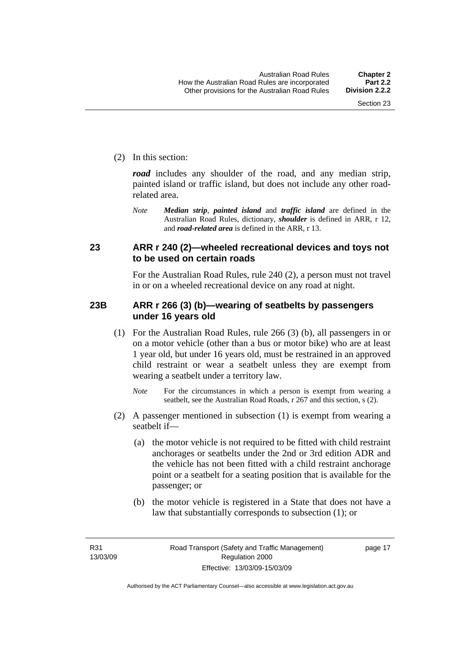<span id="page-26-0"></span>(2) In this section:

*road* includes any shoulder of the road, and any median strip, painted island or traffic island, but does not include any other roadrelated area.

*Note Median strip*, *painted island* and *traffic island* are defined in the Australian Road Rules, dictionary, *shoulder* is defined in ARR, r 12, and *road-related area* is defined in the ARR, r 13.

#### **23 ARR r 240 (2)—wheeled recreational devices and toys not to be used on certain roads**

For the Australian Road Rules, rule 240 (2), a person must not travel in or on a wheeled recreational device on any road at night.

#### **23B ARR r 266 (3) (b)—wearing of seatbelts by passengers under 16 years old**

- (1) For the Australian Road Rules, rule 266 (3) (b), all passengers in or on a motor vehicle (other than a bus or motor bike) who are at least 1 year old, but under 16 years old, must be restrained in an approved child restraint or wear a seatbelt unless they are exempt from wearing a seatbelt under a territory law.
	- *Note* For the circumstances in which a person is exempt from wearing a seatbelt, see the Australian Road Roads, r 267 and this section, s (2).
- (2) A passenger mentioned in subsection (1) is exempt from wearing a seatbelt if—
	- (a) the motor vehicle is not required to be fitted with child restraint anchorages or seatbelts under the 2nd or 3rd edition ADR and the vehicle has not been fitted with a child restraint anchorage point or a seatbelt for a seating position that is available for the passenger; or
	- (b) the motor vehicle is registered in a State that does not have a law that substantially corresponds to subsection (1); or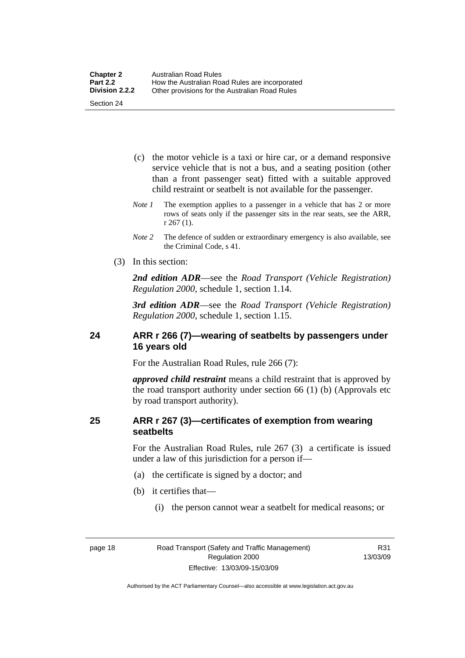- <span id="page-27-0"></span> (c) the motor vehicle is a taxi or hire car, or a demand responsive service vehicle that is not a bus, and a seating position (other than a front passenger seat) fitted with a suitable approved child restraint or seatbelt is not available for the passenger.
- *Note 1* The exemption applies to a passenger in a vehicle that has 2 or more rows of seats only if the passenger sits in the rear seats, see the ARR, r 267 (1).
- *Note 2* The defence of sudden or extraordinary emergency is also available, see the Criminal Code, s 41.
- (3) In this section:

*2nd edition ADR*—see the *Road Transport (Vehicle Registration) Regulation 2000*, schedule 1, section 1.14.

*3rd edition ADR*—see the *Road Transport (Vehicle Registration) Regulation 2000*, schedule 1, section 1.15.

#### **24 ARR r 266 (7)—wearing of seatbelts by passengers under 16 years old**

For the Australian Road Rules, rule 266 (7):

*approved child restraint* means a child restraint that is approved by the road transport authority under section 66 (1) (b) (Approvals etc by road transport authority).

#### **25 ARR r 267 (3)—certificates of exemption from wearing seatbelts**

For the Australian Road Rules, rule 267 (3) a certificate is issued under a law of this jurisdiction for a person if—

- (a) the certificate is signed by a doctor; and
- (b) it certifies that—
	- (i) the person cannot wear a seatbelt for medical reasons; or

R31 13/03/09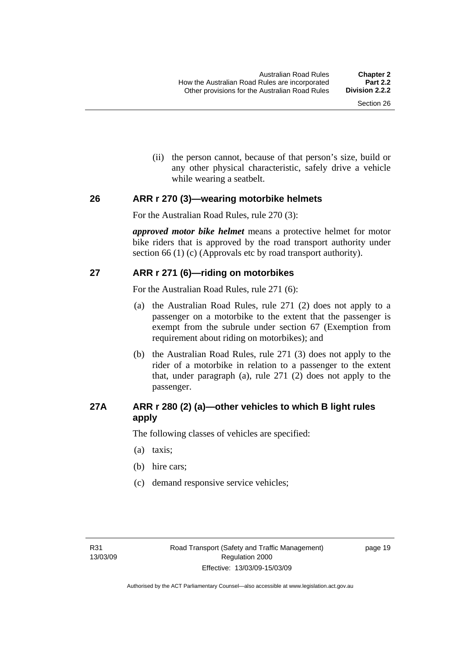(ii) the person cannot, because of that person's size, build or any other physical characteristic, safely drive a vehicle while wearing a seatbelt.

#### <span id="page-28-0"></span>**26 ARR r 270 (3)—wearing motorbike helmets**

For the Australian Road Rules, rule 270 (3):

*approved motor bike helmet* means a protective helmet for motor bike riders that is approved by the road transport authority under section 66 (1) (c) (Approvals etc by road transport authority).

#### **27 ARR r 271 (6)—riding on motorbikes**

For the Australian Road Rules, rule 271 (6):

- (a) the Australian Road Rules, rule 271 (2) does not apply to a passenger on a motorbike to the extent that the passenger is exempt from the subrule under section 67 (Exemption from requirement about riding on motorbikes); and
- (b) the Australian Road Rules, rule 271 (3) does not apply to the rider of a motorbike in relation to a passenger to the extent that, under paragraph (a), rule 271 (2) does not apply to the passenger.

#### **27A ARR r 280 (2) (a)—other vehicles to which B light rules apply**

The following classes of vehicles are specified:

- (a) taxis;
- (b) hire cars;
- (c) demand responsive service vehicles;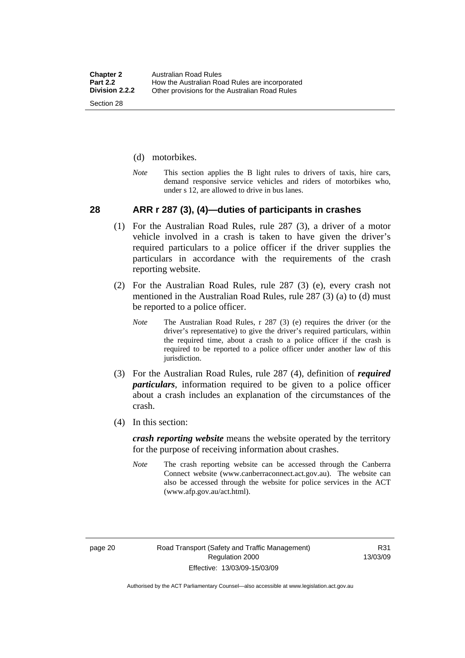- <span id="page-29-0"></span>(d) motorbikes.
- *Note* This section applies the B light rules to drivers of taxis, hire cars, demand responsive service vehicles and riders of motorbikes who, under s 12, are allowed to drive in bus lanes.

#### **28 ARR r 287 (3), (4)—duties of participants in crashes**

- (1) For the Australian Road Rules, rule 287 (3), a driver of a motor vehicle involved in a crash is taken to have given the driver's required particulars to a police officer if the driver supplies the particulars in accordance with the requirements of the crash reporting website.
- (2) For the Australian Road Rules, rule 287 (3) (e), every crash not mentioned in the Australian Road Rules, rule 287 (3) (a) to (d) must be reported to a police officer.
	- *Note* The Australian Road Rules, r 287 (3) (e) requires the driver (or the driver's representative) to give the driver's required particulars, within the required time, about a crash to a police officer if the crash is required to be reported to a police officer under another law of this jurisdiction.
- (3) For the Australian Road Rules, rule 287 (4), definition of *required particulars*, information required to be given to a police officer about a crash includes an explanation of the circumstances of the crash.
- (4) In this section:

*crash reporting website* means the website operated by the territory for the purpose of receiving information about crashes.

*Note* The crash reporting website can be accessed through the Canberra Connect website (www.canberraconnect.act.gov.au). The website can also be accessed through the website for police services in the ACT (www.afp.gov.au/act.html).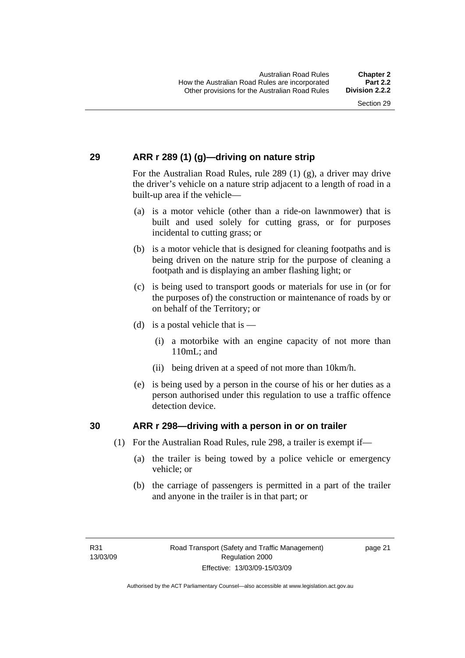#### <span id="page-30-0"></span>**29 ARR r 289 (1) (g)—driving on nature strip**

For the Australian Road Rules, rule 289 (1) (g), a driver may drive the driver's vehicle on a nature strip adjacent to a length of road in a built-up area if the vehicle—

- (a) is a motor vehicle (other than a ride-on lawnmower) that is built and used solely for cutting grass, or for purposes incidental to cutting grass; or
- (b) is a motor vehicle that is designed for cleaning footpaths and is being driven on the nature strip for the purpose of cleaning a footpath and is displaying an amber flashing light; or
- (c) is being used to transport goods or materials for use in (or for the purposes of) the construction or maintenance of roads by or on behalf of the Territory; or
- (d) is a postal vehicle that is  $-$ 
	- (i) a motorbike with an engine capacity of not more than 110mL; and
	- (ii) being driven at a speed of not more than 10km/h.
- (e) is being used by a person in the course of his or her duties as a person authorised under this regulation to use a traffic offence detection device.

#### **30 ARR r 298—driving with a person in or on trailer**

- (1) For the Australian Road Rules, rule 298, a trailer is exempt if—
	- (a) the trailer is being towed by a police vehicle or emergency vehicle; or
	- (b) the carriage of passengers is permitted in a part of the trailer and anyone in the trailer is in that part; or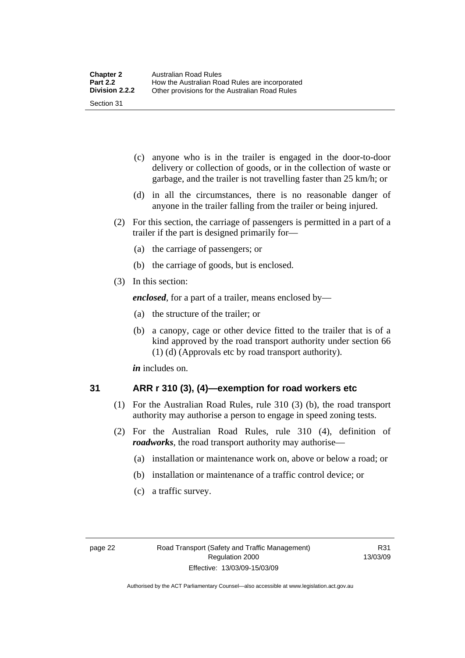- <span id="page-31-0"></span> (c) anyone who is in the trailer is engaged in the door-to-door delivery or collection of goods, or in the collection of waste or garbage, and the trailer is not travelling faster than 25 km/h; or
- (d) in all the circumstances, there is no reasonable danger of anyone in the trailer falling from the trailer or being injured.
- (2) For this section, the carriage of passengers is permitted in a part of a trailer if the part is designed primarily for—
	- (a) the carriage of passengers; or
	- (b) the carriage of goods, but is enclosed.
- (3) In this section:

*enclosed*, for a part of a trailer, means enclosed by—

- (a) the structure of the trailer; or
- (b) a canopy, cage or other device fitted to the trailer that is of a kind approved by the road transport authority under section 66 (1) (d) (Approvals etc by road transport authority).

*in* includes on.

#### **31 ARR r 310 (3), (4)—exemption for road workers etc**

- (1) For the Australian Road Rules, rule 310 (3) (b), the road transport authority may authorise a person to engage in speed zoning tests.
- (2) For the Australian Road Rules, rule 310 (4), definition of *roadworks*, the road transport authority may authorise—
	- (a) installation or maintenance work on, above or below a road; or
	- (b) installation or maintenance of a traffic control device; or
	- (c) a traffic survey.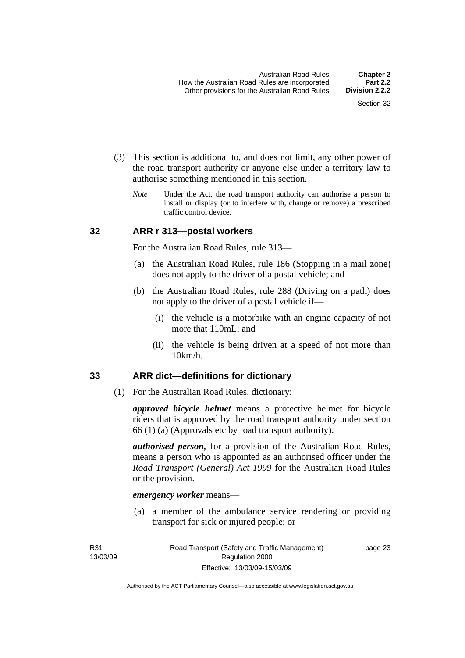- <span id="page-32-0"></span> (3) This section is additional to, and does not limit, any other power of the road transport authority or anyone else under a territory law to authorise something mentioned in this section.
	- *Note* Under the Act, the road transport authority can authorise a person to install or display (or to interfere with, change or remove) a prescribed traffic control device.

#### **32 ARR r 313—postal workers**

For the Australian Road Rules, rule 313—

- (a) the Australian Road Rules, rule 186 (Stopping in a mail zone) does not apply to the driver of a postal vehicle; and
- (b) the Australian Road Rules, rule 288 (Driving on a path) does not apply to the driver of a postal vehicle if—
	- (i) the vehicle is a motorbike with an engine capacity of not more that 110mL; and
	- (ii) the vehicle is being driven at a speed of not more than 10km/h.

#### **33 ARR dict—definitions for dictionary**

(1) For the Australian Road Rules, dictionary:

*approved bicycle helmet* means a protective helmet for bicycle riders that is approved by the road transport authority under section 66 (1) (a) (Approvals etc by road transport authority).

*authorised person,* for a provision of the Australian Road Rules, means a person who is appointed as an authorised officer under the *Road Transport (General) Act 1999* for the Australian Road Rules or the provision.

#### *emergency worker* means—

 (a) a member of the ambulance service rendering or providing transport for sick or injured people; or

R31 13/03/09 page 23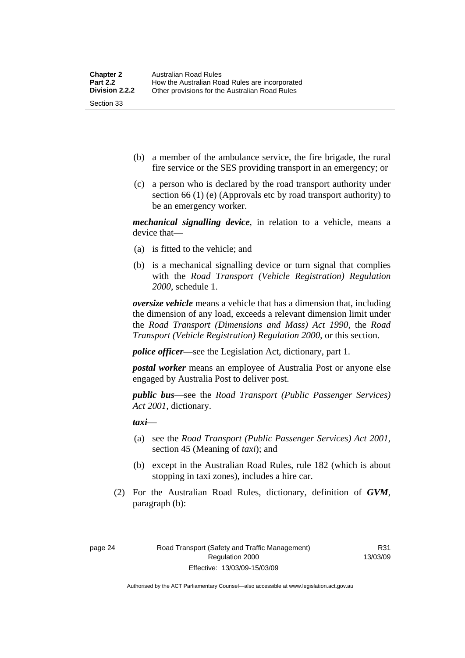- (b) a member of the ambulance service, the fire brigade, the rural fire service or the SES providing transport in an emergency; or
- (c) a person who is declared by the road transport authority under section 66 (1) (e) (Approvals etc by road transport authority) to be an emergency worker.

*mechanical signalling device*, in relation to a vehicle, means a device that—

- (a) is fitted to the vehicle; and
- (b) is a mechanical signalling device or turn signal that complies with the *Road Transport (Vehicle Registration) Regulation 2000*, schedule 1.

*oversize vehicle* means a vehicle that has a dimension that, including the dimension of any load, exceeds a relevant dimension limit under the *Road Transport (Dimensions and Mass) Act 1990*, the *Road Transport (Vehicle Registration) Regulation 2000*, or this section.

*police officer*—see the Legislation Act, dictionary, part 1.

*postal worker* means an employee of Australia Post or anyone else engaged by Australia Post to deliver post.

*public bus*—see the *Road Transport (Public Passenger Services) Act 2001*, dictionary.

*taxi*—

- (a) see the *Road Transport (Public Passenger Services) Act 2001*, section 45 (Meaning of *taxi*); and
- (b) except in the Australian Road Rules, rule 182 (which is about stopping in taxi zones), includes a hire car.
- (2) For the Australian Road Rules, dictionary, definition of *GVM*, paragraph (b):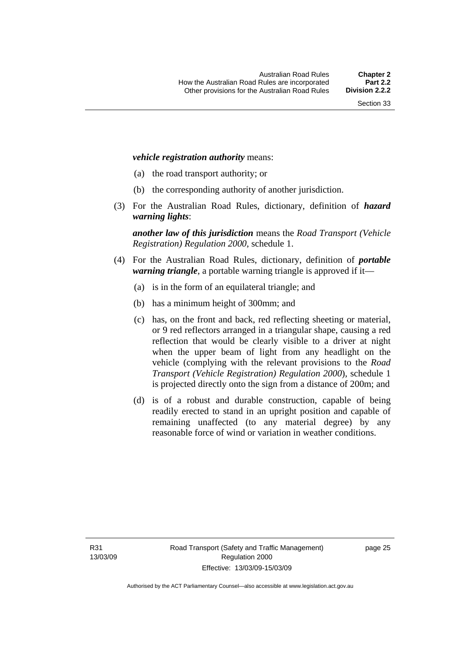#### *vehicle registration authority* means:

- (a) the road transport authority; or
- (b) the corresponding authority of another jurisdiction.
- (3) For the Australian Road Rules, dictionary, definition of *hazard warning lights*:

*another law of this jurisdiction* means the *Road Transport (Vehicle Registration) Regulation 2000*, schedule 1.

- (4) For the Australian Road Rules, dictionary, definition of *portable warning triangle*, a portable warning triangle is approved if it—
	- (a) is in the form of an equilateral triangle; and
	- (b) has a minimum height of 300mm; and
	- (c) has, on the front and back, red reflecting sheeting or material, or 9 red reflectors arranged in a triangular shape, causing a red reflection that would be clearly visible to a driver at night when the upper beam of light from any headlight on the vehicle (complying with the relevant provisions to the *Road Transport (Vehicle Registration) Regulation 2000*), schedule 1 is projected directly onto the sign from a distance of 200m; and
	- (d) is of a robust and durable construction, capable of being readily erected to stand in an upright position and capable of remaining unaffected (to any material degree) by any reasonable force of wind or variation in weather conditions.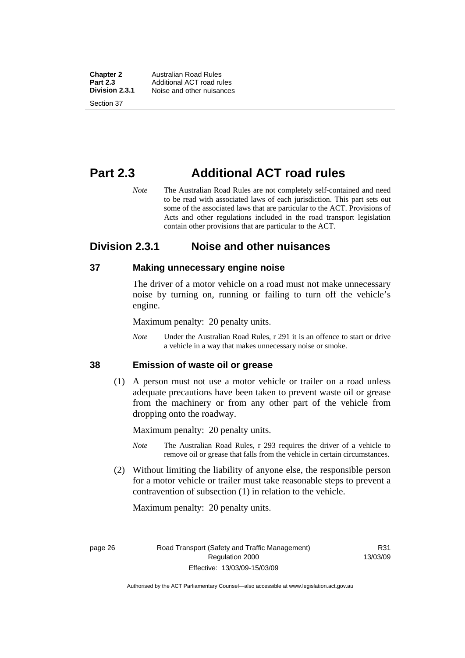<span id="page-35-0"></span>**Chapter 2** Australian Road Rules<br>**Part 2.3** Additional ACT road ru **Part 2.3** Additional ACT road rules<br>**Division 2.3.1** Noise and other nuisances **Division 2.3.1** Noise and other nuisances Section 37

**Part 2.3 Additional ACT road rules** 

*Note* The Australian Road Rules are not completely self-contained and need to be read with associated laws of each jurisdiction. This part sets out some of the associated laws that are particular to the ACT. Provisions of Acts and other regulations included in the road transport legislation contain other provisions that are particular to the ACT.

## **Division 2.3.1 Noise and other nuisances**

#### **37 Making unnecessary engine noise**

The driver of a motor vehicle on a road must not make unnecessary noise by turning on, running or failing to turn off the vehicle's engine.

Maximum penalty: 20 penalty units.

*Note* Under the Australian Road Rules, r 291 it is an offence to start or drive a vehicle in a way that makes unnecessary noise or smoke.

#### **38 Emission of waste oil or grease**

 (1) A person must not use a motor vehicle or trailer on a road unless adequate precautions have been taken to prevent waste oil or grease from the machinery or from any other part of the vehicle from dropping onto the roadway.

Maximum penalty: 20 penalty units.

- *Note* The Australian Road Rules, r 293 requires the driver of a vehicle to remove oil or grease that falls from the vehicle in certain circumstances.
- (2) Without limiting the liability of anyone else, the responsible person for a motor vehicle or trailer must take reasonable steps to prevent a contravention of subsection (1) in relation to the vehicle.

Maximum penalty: 20 penalty units.

R31 13/03/09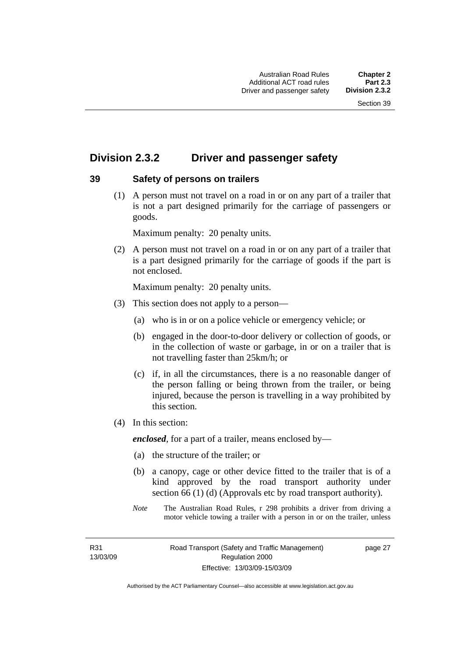# **Division 2.3.2 Driver and passenger safety**

### **39 Safety of persons on trailers**

 (1) A person must not travel on a road in or on any part of a trailer that is not a part designed primarily for the carriage of passengers or goods.

Maximum penalty: 20 penalty units.

 (2) A person must not travel on a road in or on any part of a trailer that is a part designed primarily for the carriage of goods if the part is not enclosed.

Maximum penalty: 20 penalty units.

- (3) This section does not apply to a person—
	- (a) who is in or on a police vehicle or emergency vehicle; or
	- (b) engaged in the door-to-door delivery or collection of goods, or in the collection of waste or garbage, in or on a trailer that is not travelling faster than 25km/h; or
	- (c) if, in all the circumstances, there is a no reasonable danger of the person falling or being thrown from the trailer, or being injured, because the person is travelling in a way prohibited by this section.
- (4) In this section:

*enclosed*, for a part of a trailer, means enclosed by—

- (a) the structure of the trailer; or
- (b) a canopy, cage or other device fitted to the trailer that is of a kind approved by the road transport authority under section 66 (1) (d) (Approvals etc by road transport authority).
- *Note* The Australian Road Rules, r 298 prohibits a driver from driving a motor vehicle towing a trailer with a person in or on the trailer, unless

R31 13/03/09 page 27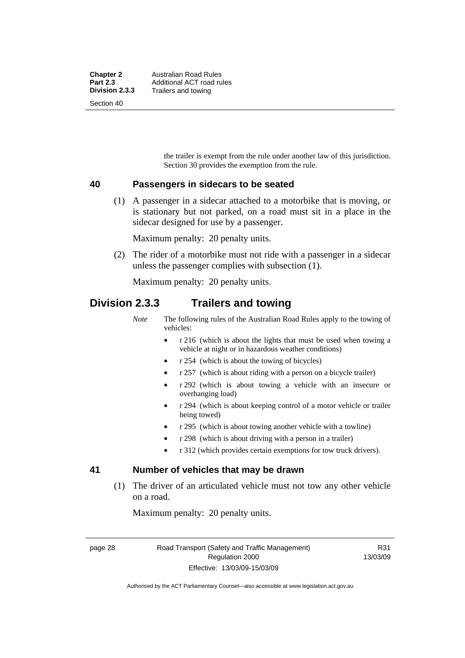the trailer is exempt from the rule under another law of this jurisdiction. Section 30 provides the exemption from the rule.

### **40 Passengers in sidecars to be seated**

 (1) A passenger in a sidecar attached to a motorbike that is moving, or is stationary but not parked, on a road must sit in a place in the sidecar designed for use by a passenger.

Maximum penalty: 20 penalty units.

 (2) The rider of a motorbike must not ride with a passenger in a sidecar unless the passenger complies with subsection (1).

Maximum penalty: 20 penalty units.

## **Division 2.3.3 Trailers and towing**

*Note* The following rules of the Australian Road Rules apply to the towing of vehicles:

- r 216 (which is about the lights that must be used when towing a vehicle at night or in hazardous weather conditions)
- r 254 (which is about the towing of bicycles)
- r 257 (which is about riding with a person on a bicycle trailer)
- r 292 (which is about towing a vehicle with an insecure or overhanging load)
- r 294 (which is about keeping control of a motor vehicle or trailer being towed)
- r 295 (which is about towing another vehicle with a towline)
- r 298 (which is about driving with a person in a trailer)
- r 312 (which provides certain exemptions for tow truck drivers).

### **41 Number of vehicles that may be drawn**

 (1) The driver of an articulated vehicle must not tow any other vehicle on a road.

Maximum penalty: 20 penalty units.

page 28 Road Transport (Safety and Traffic Management) Regulation 2000 Effective: 13/03/09-15/03/09

R31 13/03/09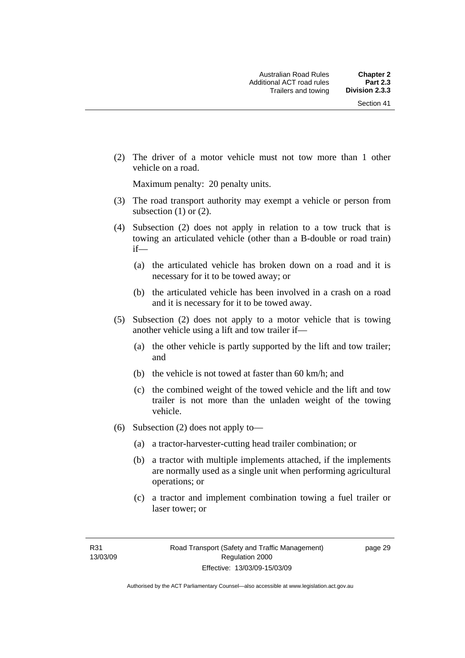(2) The driver of a motor vehicle must not tow more than 1 other vehicle on a road.

Maximum penalty: 20 penalty units.

- (3) The road transport authority may exempt a vehicle or person from subsection  $(1)$  or  $(2)$ .
- (4) Subsection (2) does not apply in relation to a tow truck that is towing an articulated vehicle (other than a B-double or road train) if—
	- (a) the articulated vehicle has broken down on a road and it is necessary for it to be towed away; or
	- (b) the articulated vehicle has been involved in a crash on a road and it is necessary for it to be towed away.
- (5) Subsection (2) does not apply to a motor vehicle that is towing another vehicle using a lift and tow trailer if—
	- (a) the other vehicle is partly supported by the lift and tow trailer; and
	- (b) the vehicle is not towed at faster than 60 km/h; and
	- (c) the combined weight of the towed vehicle and the lift and tow trailer is not more than the unladen weight of the towing vehicle.
- (6) Subsection (2) does not apply to—
	- (a) a tractor-harvester-cutting head trailer combination; or
	- (b) a tractor with multiple implements attached, if the implements are normally used as a single unit when performing agricultural operations; or
	- (c) a tractor and implement combination towing a fuel trailer or laser tower; or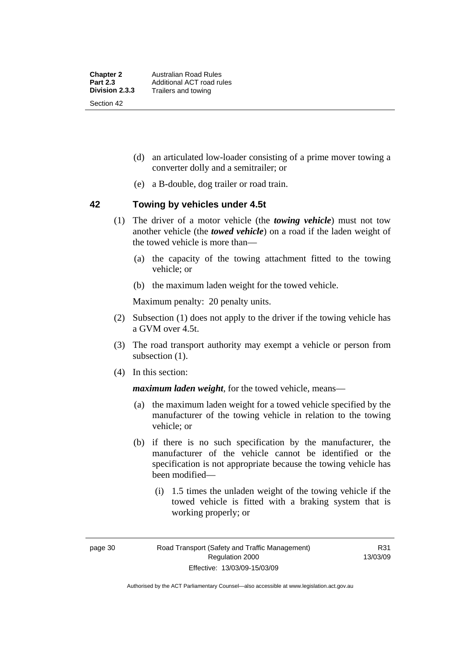- (d) an articulated low-loader consisting of a prime mover towing a converter dolly and a semitrailer; or
- (e) a B-double, dog trailer or road train.

### **42 Towing by vehicles under 4.5t**

- (1) The driver of a motor vehicle (the *towing vehicle*) must not tow another vehicle (the *towed vehicle*) on a road if the laden weight of the towed vehicle is more than—
	- (a) the capacity of the towing attachment fitted to the towing vehicle; or
	- (b) the maximum laden weight for the towed vehicle.

Maximum penalty: 20 penalty units.

- (2) Subsection (1) does not apply to the driver if the towing vehicle has a GVM over 4.5t.
- (3) The road transport authority may exempt a vehicle or person from subsection  $(1)$ .
- (4) In this section:

*maximum laden weight*, for the towed vehicle, means—

- (a) the maximum laden weight for a towed vehicle specified by the manufacturer of the towing vehicle in relation to the towing vehicle; or
- (b) if there is no such specification by the manufacturer, the manufacturer of the vehicle cannot be identified or the specification is not appropriate because the towing vehicle has been modified—
	- (i) 1.5 times the unladen weight of the towing vehicle if the towed vehicle is fitted with a braking system that is working properly; or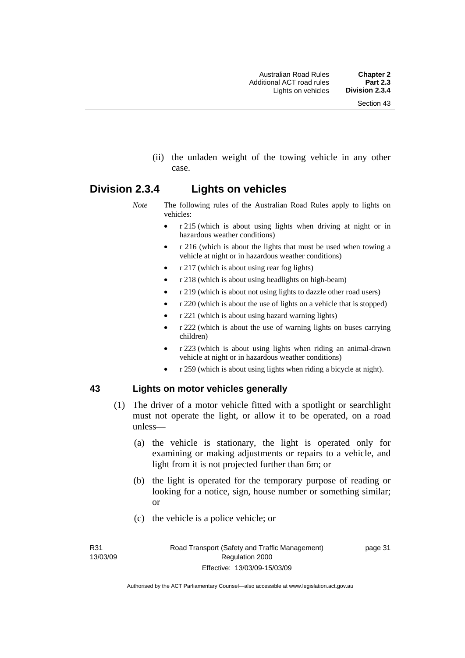(ii) the unladen weight of the towing vehicle in any other case.

# **Division 2.3.4 Lights on vehicles**

- *Note* The following rules of the Australian Road Rules apply to lights on vehicles:
	- r 215 (which is about using lights when driving at night or in hazardous weather conditions)
	- r 216 (which is about the lights that must be used when towing a vehicle at night or in hazardous weather conditions)
	- r 217 (which is about using rear fog lights)
	- r 218 (which is about using headlights on high-beam)
	- r 219 (which is about not using lights to dazzle other road users)
	- r 220 (which is about the use of lights on a vehicle that is stopped)
	- r 221 (which is about using hazard warning lights)
	- r 222 (which is about the use of warning lights on buses carrying children)
	- r 223 (which is about using lights when riding an animal-drawn vehicle at night or in hazardous weather conditions)
	- r 259 (which is about using lights when riding a bicycle at night).

### **43 Lights on motor vehicles generally**

- (1) The driver of a motor vehicle fitted with a spotlight or searchlight must not operate the light, or allow it to be operated, on a road unless—
	- (a) the vehicle is stationary, the light is operated only for examining or making adjustments or repairs to a vehicle, and light from it is not projected further than 6m; or
	- (b) the light is operated for the temporary purpose of reading or looking for a notice, sign, house number or something similar; or
	- (c) the vehicle is a police vehicle; or

R31 13/03/09 page 31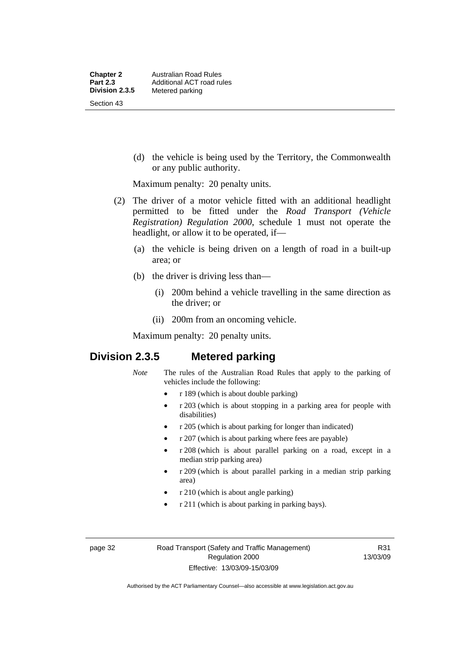(d) the vehicle is being used by the Territory, the Commonwealth or any public authority.

Maximum penalty: 20 penalty units.

- (2) The driver of a motor vehicle fitted with an additional headlight permitted to be fitted under the *Road Transport (Vehicle Registration) Regulation 2000*, schedule 1 must not operate the headlight, or allow it to be operated, if—
	- (a) the vehicle is being driven on a length of road in a built-up area; or
	- (b) the driver is driving less than—
		- (i) 200m behind a vehicle travelling in the same direction as the driver; or
		- (ii) 200m from an oncoming vehicle.

Maximum penalty: 20 penalty units.

# **Division 2.3.5 Metered parking**

- *Note* The rules of the Australian Road Rules that apply to the parking of vehicles include the following:
	- r 189 (which is about double parking)
	- r 203 (which is about stopping in a parking area for people with disabilities)
	- r 205 (which is about parking for longer than indicated)
	- r 207 (which is about parking where fees are payable)
	- r 208 (which is about parallel parking on a road, except in a median strip parking area)
	- r 209 (which is about parallel parking in a median strip parking area)
	- r 210 (which is about angle parking)
	- r 211 (which is about parking in parking bays).

R31 13/03/09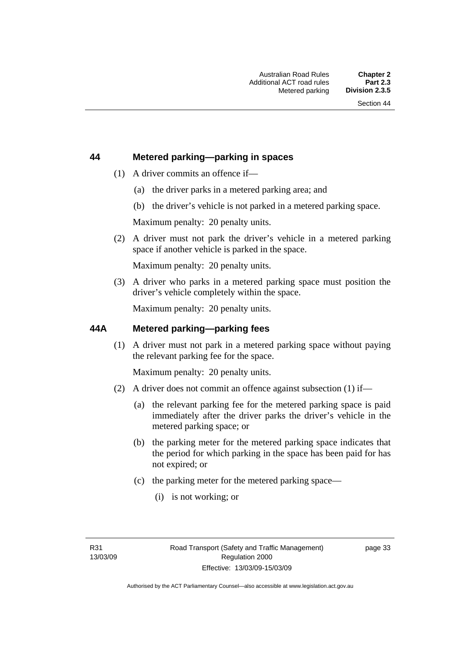### **44 Metered parking—parking in spaces**

- (1) A driver commits an offence if—
	- (a) the driver parks in a metered parking area; and
	- (b) the driver's vehicle is not parked in a metered parking space.

Maximum penalty: 20 penalty units.

 (2) A driver must not park the driver's vehicle in a metered parking space if another vehicle is parked in the space.

Maximum penalty: 20 penalty units.

 (3) A driver who parks in a metered parking space must position the driver's vehicle completely within the space.

Maximum penalty: 20 penalty units.

### **44A Metered parking—parking fees**

 (1) A driver must not park in a metered parking space without paying the relevant parking fee for the space.

Maximum penalty: 20 penalty units.

- (2) A driver does not commit an offence against subsection (1) if—
	- (a) the relevant parking fee for the metered parking space is paid immediately after the driver parks the driver's vehicle in the metered parking space; or
	- (b) the parking meter for the metered parking space indicates that the period for which parking in the space has been paid for has not expired; or
	- (c) the parking meter for the metered parking space—
		- (i) is not working; or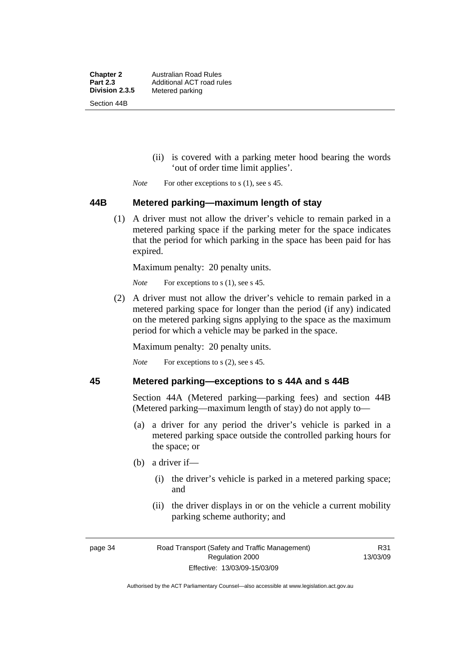**Chapter 2** Australian Road Rules<br>**Part 2.3** Additional ACT road ru **Part 2.3 Additional ACT road rules**<br>**Division 2.3.5** Metered parking **Metered parking** Section 44B

- (ii) is covered with a parking meter hood bearing the words 'out of order time limit applies'.
- *Note* For other exceptions to s (1), see s 45.

### **44B Metered parking—maximum length of stay**

 (1) A driver must not allow the driver's vehicle to remain parked in a metered parking space if the parking meter for the space indicates that the period for which parking in the space has been paid for has expired.

Maximum penalty: 20 penalty units.

*Note* For exceptions to s (1), see s 45.

 (2) A driver must not allow the driver's vehicle to remain parked in a metered parking space for longer than the period (if any) indicated on the metered parking signs applying to the space as the maximum period for which a vehicle may be parked in the space.

Maximum penalty: 20 penalty units.

*Note* For exceptions to s (2), see s 45.

### **45 Metered parking—exceptions to s 44A and s 44B**

Section 44A (Metered parking—parking fees) and section 44B (Metered parking—maximum length of stay) do not apply to—

- (a) a driver for any period the driver's vehicle is parked in a metered parking space outside the controlled parking hours for the space; or
- (b) a driver if—
	- (i) the driver's vehicle is parked in a metered parking space; and
	- (ii) the driver displays in or on the vehicle a current mobility parking scheme authority; and

R31 13/03/09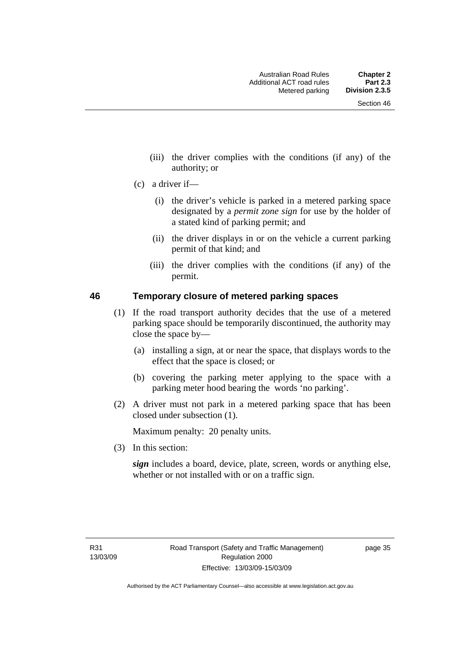- (iii) the driver complies with the conditions (if any) of the authority; or
- (c) a driver if—
	- (i) the driver's vehicle is parked in a metered parking space designated by a *permit zone sign* for use by the holder of a stated kind of parking permit; and
	- (ii) the driver displays in or on the vehicle a current parking permit of that kind; and
	- (iii) the driver complies with the conditions (if any) of the permit.

### **46 Temporary closure of metered parking spaces**

- (1) If the road transport authority decides that the use of a metered parking space should be temporarily discontinued, the authority may close the space by—
	- (a) installing a sign, at or near the space, that displays words to the effect that the space is closed; or
	- (b) covering the parking meter applying to the space with a parking meter hood bearing the words 'no parking'.
- (2) A driver must not park in a metered parking space that has been closed under subsection (1).

Maximum penalty: 20 penalty units.

(3) In this section:

*sign* includes a board, device, plate, screen, words or anything else, whether or not installed with or on a traffic sign.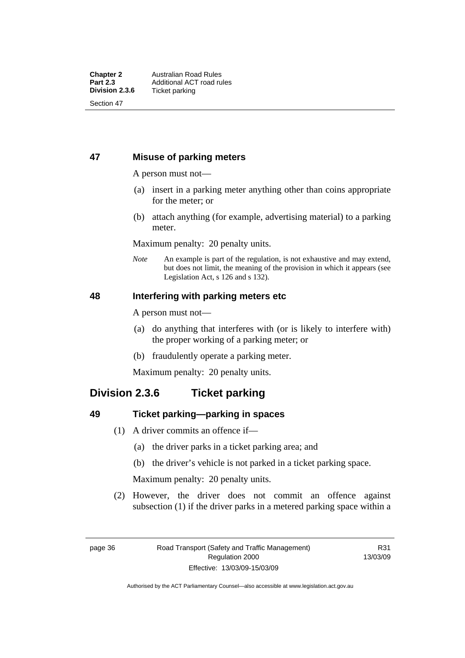### **47 Misuse of parking meters**

A person must not—

- (a) insert in a parking meter anything other than coins appropriate for the meter; or
- (b) attach anything (for example, advertising material) to a parking meter.

Maximum penalty: 20 penalty units.

*Note* An example is part of the regulation, is not exhaustive and may extend, but does not limit, the meaning of the provision in which it appears (see Legislation Act, s 126 and s 132).

### **48 Interfering with parking meters etc**

A person must not—

- (a) do anything that interferes with (or is likely to interfere with) the proper working of a parking meter; or
- (b) fraudulently operate a parking meter.

Maximum penalty: 20 penalty units.

# **Division 2.3.6 Ticket parking**

### **49 Ticket parking—parking in spaces**

- (1) A driver commits an offence if—
	- (a) the driver parks in a ticket parking area; and
	- (b) the driver's vehicle is not parked in a ticket parking space.

Maximum penalty: 20 penalty units.

 (2) However, the driver does not commit an offence against subsection (1) if the driver parks in a metered parking space within a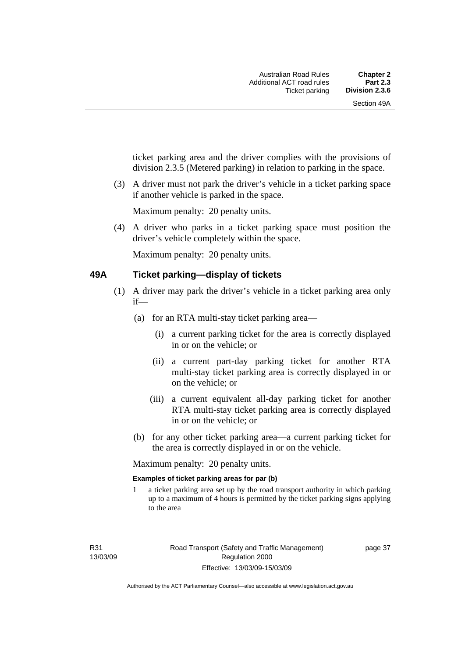ticket parking area and the driver complies with the provisions of division 2.3.5 (Metered parking) in relation to parking in the space.

 (3) A driver must not park the driver's vehicle in a ticket parking space if another vehicle is parked in the space.

Maximum penalty: 20 penalty units.

 (4) A driver who parks in a ticket parking space must position the driver's vehicle completely within the space.

Maximum penalty: 20 penalty units.

### **49A Ticket parking—display of tickets**

- (1) A driver may park the driver's vehicle in a ticket parking area only if—
	- (a) for an RTA multi-stay ticket parking area—
		- (i) a current parking ticket for the area is correctly displayed in or on the vehicle; or
		- (ii) a current part-day parking ticket for another RTA multi-stay ticket parking area is correctly displayed in or on the vehicle; or
		- (iii) a current equivalent all-day parking ticket for another RTA multi-stay ticket parking area is correctly displayed in or on the vehicle; or
	- (b) for any other ticket parking area—a current parking ticket for the area is correctly displayed in or on the vehicle.

Maximum penalty: 20 penalty units.

### **Examples of ticket parking areas for par (b)**

1 a ticket parking area set up by the road transport authority in which parking up to a maximum of 4 hours is permitted by the ticket parking signs applying to the area

R31 13/03/09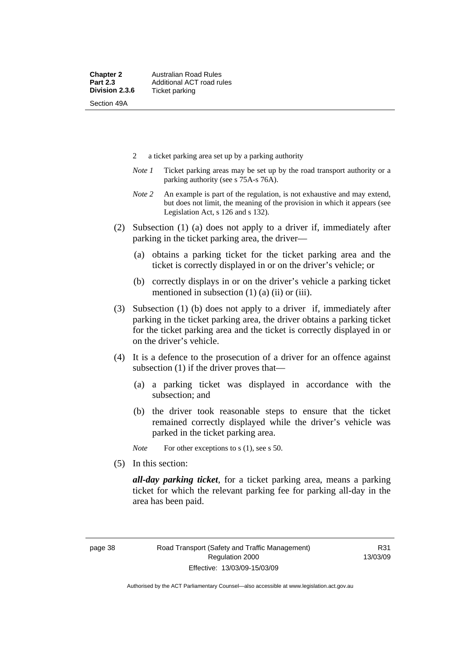- 2 a ticket parking area set up by a parking authority
- *Note 1* Ticket parking areas may be set up by the road transport authority or a parking authority (see s 75A-s 76A).
- *Note 2* An example is part of the regulation, is not exhaustive and may extend, but does not limit, the meaning of the provision in which it appears (see Legislation Act, s 126 and s 132).
- (2) Subsection (1) (a) does not apply to a driver if, immediately after parking in the ticket parking area, the driver—
	- (a) obtains a parking ticket for the ticket parking area and the ticket is correctly displayed in or on the driver's vehicle; or
	- (b) correctly displays in or on the driver's vehicle a parking ticket mentioned in subsection  $(1)$   $(a)$   $(ii)$  or  $(iii)$ .
- (3) Subsection (1) (b) does not apply to a driver if, immediately after parking in the ticket parking area, the driver obtains a parking ticket for the ticket parking area and the ticket is correctly displayed in or on the driver's vehicle.
- (4) It is a defence to the prosecution of a driver for an offence against subsection (1) if the driver proves that—
	- (a) a parking ticket was displayed in accordance with the subsection; and
	- (b) the driver took reasonable steps to ensure that the ticket remained correctly displayed while the driver's vehicle was parked in the ticket parking area.

*Note* For other exceptions to s (1), see s 50.

(5) In this section:

*all-day parking ticket*, for a ticket parking area, means a parking ticket for which the relevant parking fee for parking all-day in the area has been paid.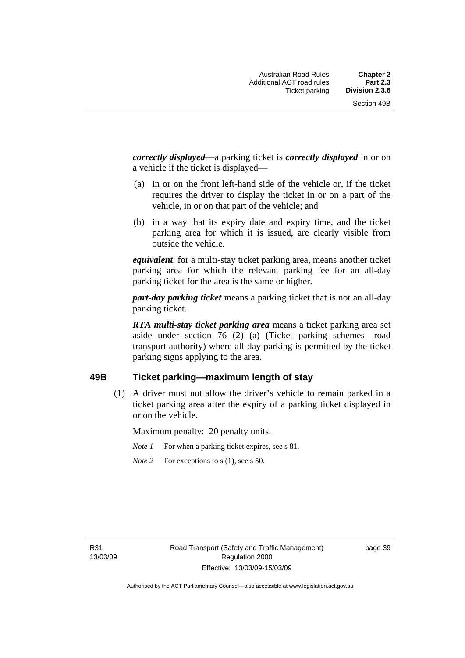*correctly displayed*—a parking ticket is *correctly displayed* in or on a vehicle if the ticket is displayed—

- (a) in or on the front left-hand side of the vehicle or, if the ticket requires the driver to display the ticket in or on a part of the vehicle, in or on that part of the vehicle; and
- (b) in a way that its expiry date and expiry time, and the ticket parking area for which it is issued, are clearly visible from outside the vehicle.

*equivalent*, for a multi-stay ticket parking area, means another ticket parking area for which the relevant parking fee for an all-day parking ticket for the area is the same or higher.

*part-day parking ticket* means a parking ticket that is not an all-day parking ticket.

*RTA multi-stay ticket parking area* means a ticket parking area set aside under section 76 (2) (a) (Ticket parking schemes—road transport authority) where all-day parking is permitted by the ticket parking signs applying to the area.

### **49B Ticket parking—maximum length of stay**

 (1) A driver must not allow the driver's vehicle to remain parked in a ticket parking area after the expiry of a parking ticket displayed in or on the vehicle.

Maximum penalty: 20 penalty units.

*Note 1* For when a parking ticket expires, see s 81.

*Note* 2 For exceptions to s (1), see s 50.

R31 13/03/09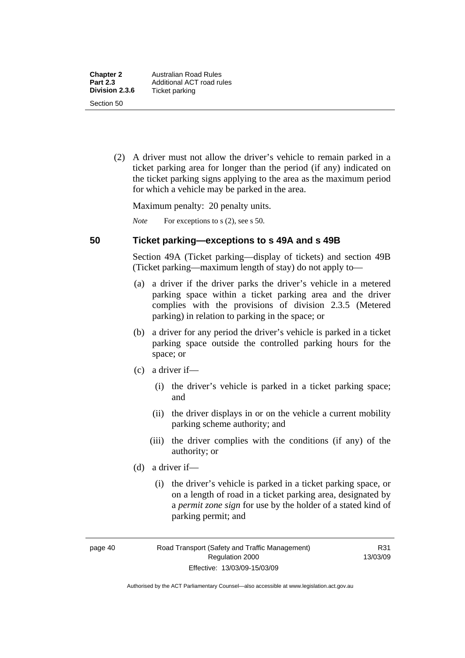(2) A driver must not allow the driver's vehicle to remain parked in a ticket parking area for longer than the period (if any) indicated on the ticket parking signs applying to the area as the maximum period for which a vehicle may be parked in the area.

Maximum penalty: 20 penalty units.

*Note* For exceptions to s (2), see s 50.

### **50 Ticket parking—exceptions to s 49A and s 49B**

Section 49A (Ticket parking—display of tickets) and section 49B (Ticket parking—maximum length of stay) do not apply to—

- (a) a driver if the driver parks the driver's vehicle in a metered parking space within a ticket parking area and the driver complies with the provisions of division 2.3.5 (Metered parking) in relation to parking in the space; or
- (b) a driver for any period the driver's vehicle is parked in a ticket parking space outside the controlled parking hours for the space; or
- (c) a driver if—
	- (i) the driver's vehicle is parked in a ticket parking space; and
	- (ii) the driver displays in or on the vehicle a current mobility parking scheme authority; and
	- (iii) the driver complies with the conditions (if any) of the authority; or
- (d) a driver if—
	- (i) the driver's vehicle is parked in a ticket parking space, or on a length of road in a ticket parking area, designated by a *permit zone sign* for use by the holder of a stated kind of parking permit; and

page 40 Road Transport (Safety and Traffic Management) Regulation 2000 Effective: 13/03/09-15/03/09

R31 13/03/09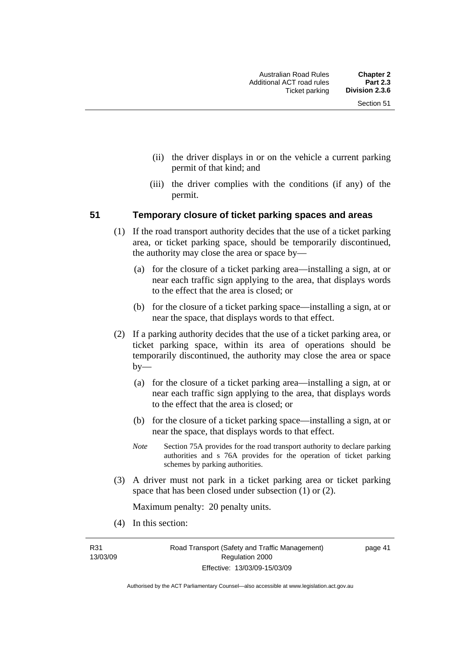- (ii) the driver displays in or on the vehicle a current parking permit of that kind; and
- (iii) the driver complies with the conditions (if any) of the permit.

### **51 Temporary closure of ticket parking spaces and areas**

- (1) If the road transport authority decides that the use of a ticket parking area, or ticket parking space, should be temporarily discontinued, the authority may close the area or space by—
	- (a) for the closure of a ticket parking area—installing a sign, at or near each traffic sign applying to the area, that displays words to the effect that the area is closed; or
	- (b) for the closure of a ticket parking space—installing a sign, at or near the space, that displays words to that effect.
- (2) If a parking authority decides that the use of a ticket parking area, or ticket parking space, within its area of operations should be temporarily discontinued, the authority may close the area or space by—
	- (a) for the closure of a ticket parking area—installing a sign, at or near each traffic sign applying to the area, that displays words to the effect that the area is closed; or
	- (b) for the closure of a ticket parking space—installing a sign, at or near the space, that displays words to that effect.
	- *Note* Section 75A provides for the road transport authority to declare parking authorities and s 76A provides for the operation of ticket parking schemes by parking authorities.
- (3) A driver must not park in a ticket parking area or ticket parking space that has been closed under subsection (1) or (2).

Maximum penalty: 20 penalty units.

(4) In this section:

R31 13/03/09

Authorised by the ACT Parliamentary Counsel—also accessible at www.legislation.act.gov.au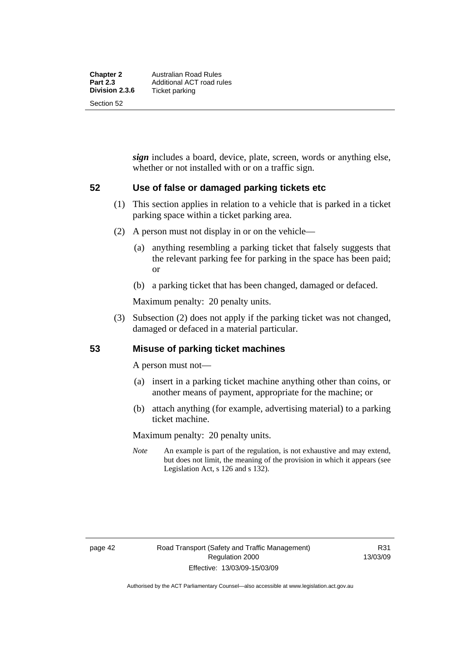*sign* includes a board, device, plate, screen, words or anything else, whether or not installed with or on a traffic sign.

### **52 Use of false or damaged parking tickets etc**

- (1) This section applies in relation to a vehicle that is parked in a ticket parking space within a ticket parking area.
- (2) A person must not display in or on the vehicle—
	- (a) anything resembling a parking ticket that falsely suggests that the relevant parking fee for parking in the space has been paid; or
	- (b) a parking ticket that has been changed, damaged or defaced.

Maximum penalty: 20 penalty units.

 (3) Subsection (2) does not apply if the parking ticket was not changed, damaged or defaced in a material particular.

### **53 Misuse of parking ticket machines**

A person must not—

- (a) insert in a parking ticket machine anything other than coins, or another means of payment, appropriate for the machine; or
- (b) attach anything (for example, advertising material) to a parking ticket machine.

Maximum penalty: 20 penalty units.

*Note* An example is part of the regulation, is not exhaustive and may extend, but does not limit, the meaning of the provision in which it appears (see Legislation Act, s 126 and s 132).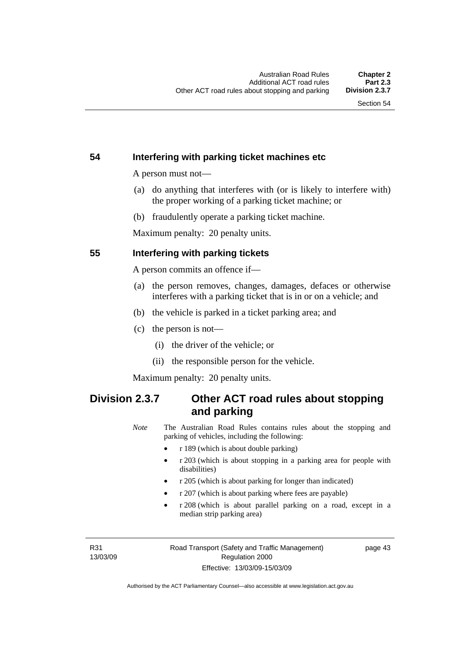### **54 Interfering with parking ticket machines etc**

A person must not—

- (a) do anything that interferes with (or is likely to interfere with) the proper working of a parking ticket machine; or
- (b) fraudulently operate a parking ticket machine.

Maximum penalty: 20 penalty units.

### **55 Interfering with parking tickets**

A person commits an offence if—

- (a) the person removes, changes, damages, defaces or otherwise interferes with a parking ticket that is in or on a vehicle; and
- (b) the vehicle is parked in a ticket parking area; and
- (c) the person is not—
	- (i) the driver of the vehicle; or
	- (ii) the responsible person for the vehicle.

Maximum penalty: 20 penalty units.

# **Division 2.3.7 Other ACT road rules about stopping and parking**

*Note* The Australian Road Rules contains rules about the stopping and parking of vehicles, including the following:

- r 189 (which is about double parking)
- r 203 (which is about stopping in a parking area for people with disabilities)
- r 205 (which is about parking for longer than indicated)
- r 207 (which is about parking where fees are payable)
- r 208 (which is about parallel parking on a road, except in a median strip parking area)

R31 13/03/09 page 43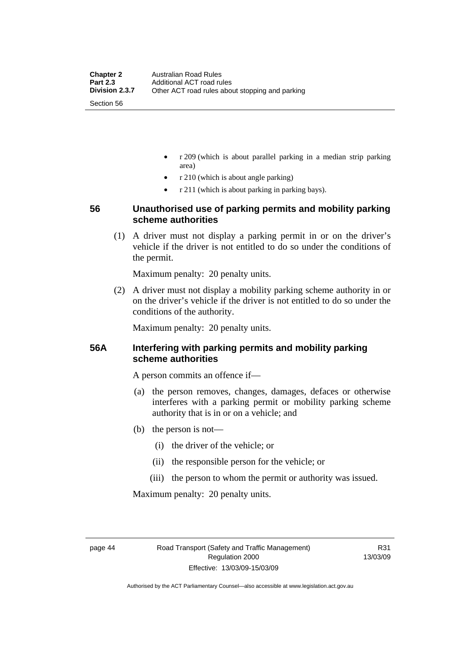- r 209 (which is about parallel parking in a median strip parking area)
- r 210 (which is about angle parking)
- r 211 (which is about parking in parking bays).

### **56 Unauthorised use of parking permits and mobility parking scheme authorities**

 (1) A driver must not display a parking permit in or on the driver's vehicle if the driver is not entitled to do so under the conditions of the permit.

Maximum penalty: 20 penalty units.

 (2) A driver must not display a mobility parking scheme authority in or on the driver's vehicle if the driver is not entitled to do so under the conditions of the authority.

Maximum penalty: 20 penalty units.

### **56A Interfering with parking permits and mobility parking scheme authorities**

A person commits an offence if—

- (a) the person removes, changes, damages, defaces or otherwise interferes with a parking permit or mobility parking scheme authority that is in or on a vehicle; and
- (b) the person is not—
	- (i) the driver of the vehicle; or
	- (ii) the responsible person for the vehicle; or
	- (iii) the person to whom the permit or authority was issued.

Maximum penalty: 20 penalty units.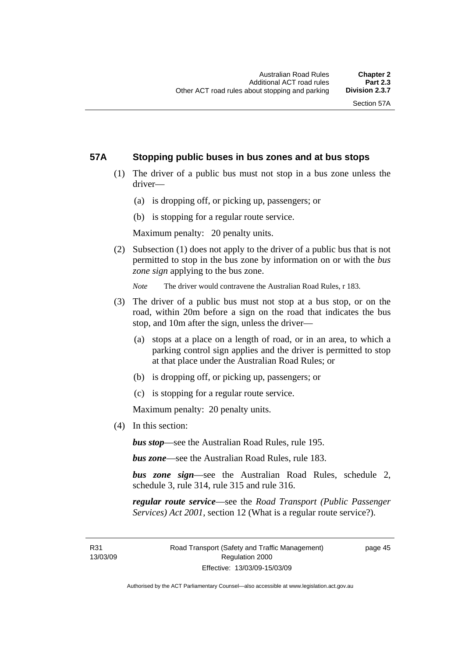### **57A Stopping public buses in bus zones and at bus stops**

- (1) The driver of a public bus must not stop in a bus zone unless the driver—
	- (a) is dropping off, or picking up, passengers; or
	- (b) is stopping for a regular route service.

Maximum penalty: 20 penalty units.

 (2) Subsection (1) does not apply to the driver of a public bus that is not permitted to stop in the bus zone by information on or with the *bus zone sign* applying to the bus zone.

*Note* The driver would contravene the Australian Road Rules, r 183.

- (3) The driver of a public bus must not stop at a bus stop, or on the road, within 20m before a sign on the road that indicates the bus stop, and 10m after the sign, unless the driver—
	- (a) stops at a place on a length of road, or in an area, to which a parking control sign applies and the driver is permitted to stop at that place under the Australian Road Rules; or
	- (b) is dropping off, or picking up, passengers; or
	- (c) is stopping for a regular route service.

Maximum penalty: 20 penalty units.

(4) In this section:

*bus stop*—see the Australian Road Rules, rule 195.

*bus zone*—see the Australian Road Rules, rule 183.

*bus zone sign*—see the Australian Road Rules, schedule 2, schedule 3, rule 314, rule 315 and rule 316.

*regular route service*—see the *Road Transport (Public Passenger Services) Act 2001*, section 12 (What is a regular route service?).

R31 13/03/09 page 45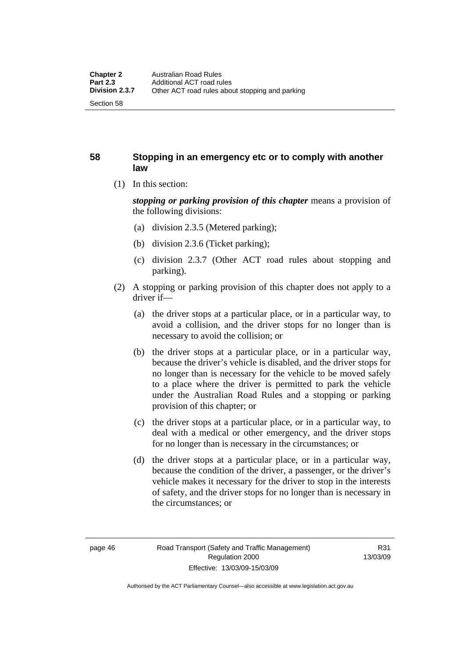### **58 Stopping in an emergency etc or to comply with another law**

(1) In this section:

*stopping or parking provision of this chapter* means a provision of the following divisions:

- (a) division 2.3.5 (Metered parking);
- (b) division 2.3.6 (Ticket parking);
- (c) division 2.3.7 (Other ACT road rules about stopping and parking).
- (2) A stopping or parking provision of this chapter does not apply to a driver if—
	- (a) the driver stops at a particular place, or in a particular way, to avoid a collision, and the driver stops for no longer than is necessary to avoid the collision; or
	- (b) the driver stops at a particular place, or in a particular way, because the driver's vehicle is disabled, and the driver stops for no longer than is necessary for the vehicle to be moved safely to a place where the driver is permitted to park the vehicle under the Australian Road Rules and a stopping or parking provision of this chapter; or
	- (c) the driver stops at a particular place, or in a particular way, to deal with a medical or other emergency, and the driver stops for no longer than is necessary in the circumstances; or
	- (d) the driver stops at a particular place, or in a particular way, because the condition of the driver, a passenger, or the driver's vehicle makes it necessary for the driver to stop in the interests of safety, and the driver stops for no longer than is necessary in the circumstances; or

Authorised by the ACT Parliamentary Counsel—also accessible at www.legislation.act.gov.au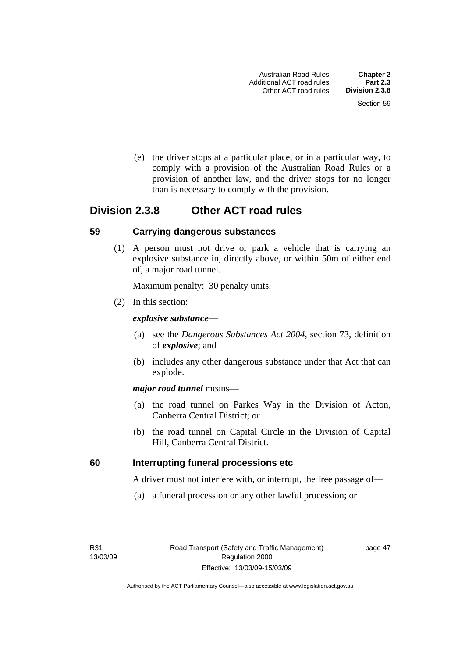(e) the driver stops at a particular place, or in a particular way, to comply with a provision of the Australian Road Rules or a provision of another law, and the driver stops for no longer than is necessary to comply with the provision.

# **Division 2.3.8 Other ACT road rules**

### **59 Carrying dangerous substances**

 (1) A person must not drive or park a vehicle that is carrying an explosive substance in, directly above, or within 50m of either end of, a major road tunnel.

Maximum penalty: 30 penalty units.

(2) In this section:

### *explosive substance*—

- (a) see the *Dangerous Substances Act 2004*, section 73, definition of *explosive*; and
- (b) includes any other dangerous substance under that Act that can explode.

### *major road tunnel* means—

- (a) the road tunnel on Parkes Way in the Division of Acton, Canberra Central District; or
- (b) the road tunnel on Capital Circle in the Division of Capital Hill, Canberra Central District.

### **60 Interrupting funeral processions etc**

A driver must not interfere with, or interrupt, the free passage of—

(a) a funeral procession or any other lawful procession; or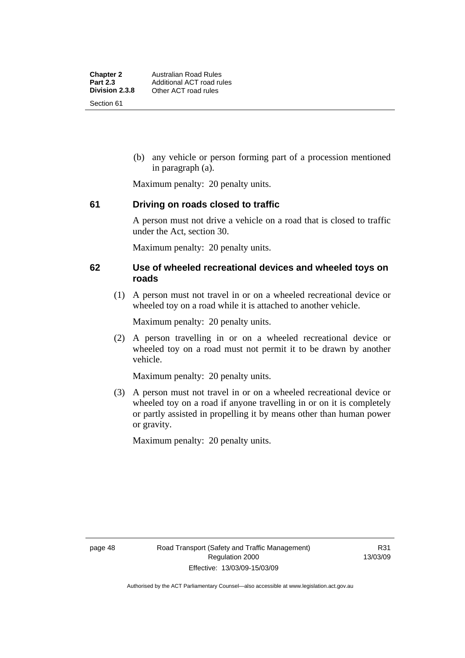(b) any vehicle or person forming part of a procession mentioned in paragraph (a).

Maximum penalty: 20 penalty units.

### **61 Driving on roads closed to traffic**

A person must not drive a vehicle on a road that is closed to traffic under the Act, section 30.

Maximum penalty: 20 penalty units.

### **62 Use of wheeled recreational devices and wheeled toys on roads**

 (1) A person must not travel in or on a wheeled recreational device or wheeled toy on a road while it is attached to another vehicle.

Maximum penalty: 20 penalty units.

 (2) A person travelling in or on a wheeled recreational device or wheeled toy on a road must not permit it to be drawn by another vehicle.

Maximum penalty: 20 penalty units.

 (3) A person must not travel in or on a wheeled recreational device or wheeled toy on a road if anyone travelling in or on it is completely or partly assisted in propelling it by means other than human power or gravity.

Maximum penalty: 20 penalty units.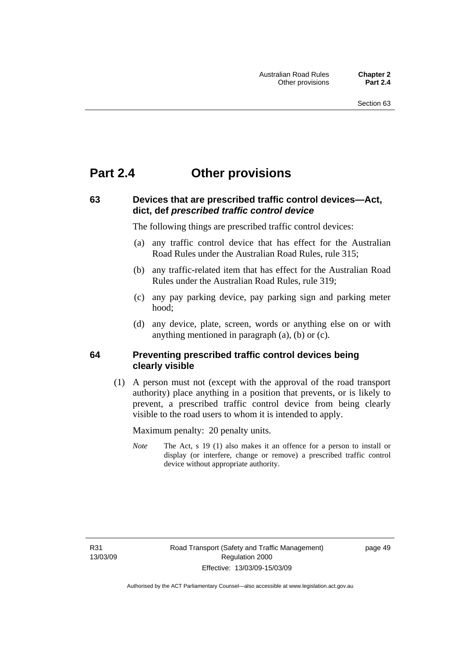# **Part 2.4 Other provisions**

# **63 Devices that are prescribed traffic control devices—Act, dict, def** *prescribed traffic control device*

The following things are prescribed traffic control devices:

- (a) any traffic control device that has effect for the Australian Road Rules under the Australian Road Rules, rule 315;
- (b) any traffic-related item that has effect for the Australian Road Rules under the Australian Road Rules, rule 319;
- (c) any pay parking device, pay parking sign and parking meter hood;
- (d) any device, plate, screen, words or anything else on or with anything mentioned in paragraph (a), (b) or (c).

### **64 Preventing prescribed traffic control devices being clearly visible**

 (1) A person must not (except with the approval of the road transport authority) place anything in a position that prevents, or is likely to prevent, a prescribed traffic control device from being clearly visible to the road users to whom it is intended to apply.

Maximum penalty: 20 penalty units.

*Note* The Act, s 19 (1) also makes it an offence for a person to install or display (or interfere, change or remove) a prescribed traffic control device without appropriate authority.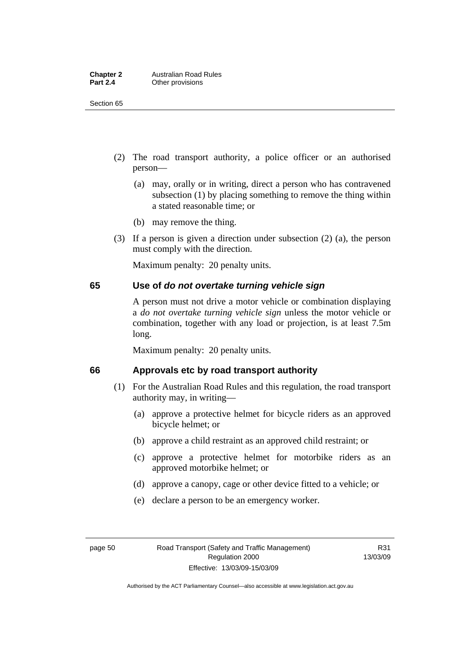| <b>Chapter 2</b> | <b>Australian Road Rules</b> |
|------------------|------------------------------|
| <b>Part 2.4</b>  | Other provisions             |

Section 65

- (2) The road transport authority, a police officer or an authorised person—
	- (a) may, orally or in writing, direct a person who has contravened subsection (1) by placing something to remove the thing within a stated reasonable time; or
	- (b) may remove the thing.
- (3) If a person is given a direction under subsection (2) (a), the person must comply with the direction.

Maximum penalty: 20 penalty units.

### **65 Use of** *do not overtake turning vehicle sign*

A person must not drive a motor vehicle or combination displaying a *do not overtake turning vehicle sign* unless the motor vehicle or combination, together with any load or projection, is at least 7.5m long.

Maximum penalty: 20 penalty units.

### **66 Approvals etc by road transport authority**

- (1) For the Australian Road Rules and this regulation, the road transport authority may, in writing—
	- (a) approve a protective helmet for bicycle riders as an approved bicycle helmet; or
	- (b) approve a child restraint as an approved child restraint; or
	- (c) approve a protective helmet for motorbike riders as an approved motorbike helmet; or
	- (d) approve a canopy, cage or other device fitted to a vehicle; or
	- (e) declare a person to be an emergency worker.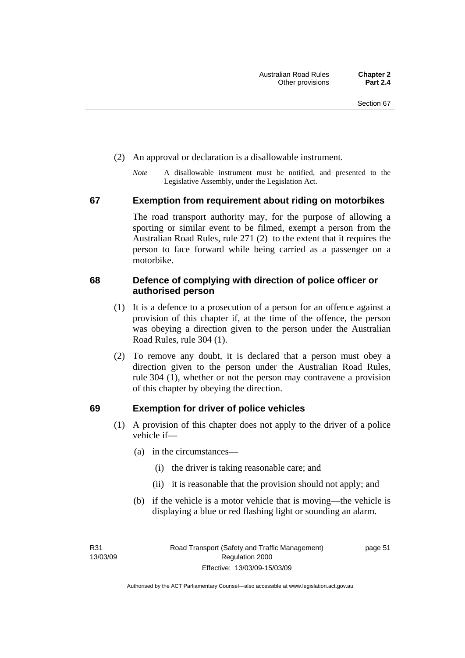- (2) An approval or declaration is a disallowable instrument.
	- *Note* A disallowable instrument must be notified, and presented to the Legislative Assembly, under the Legislation Act.

### **67 Exemption from requirement about riding on motorbikes**

The road transport authority may, for the purpose of allowing a sporting or similar event to be filmed, exempt a person from the Australian Road Rules, rule 271 (2) to the extent that it requires the person to face forward while being carried as a passenger on a motorbike.

### **68 Defence of complying with direction of police officer or authorised person**

- (1) It is a defence to a prosecution of a person for an offence against a provision of this chapter if, at the time of the offence, the person was obeying a direction given to the person under the Australian Road Rules, rule 304 (1).
- (2) To remove any doubt, it is declared that a person must obey a direction given to the person under the Australian Road Rules, rule 304 (1), whether or not the person may contravene a provision of this chapter by obeying the direction.

### **69 Exemption for driver of police vehicles**

- (1) A provision of this chapter does not apply to the driver of a police vehicle if—
	- (a) in the circumstances—
		- (i) the driver is taking reasonable care; and
		- (ii) it is reasonable that the provision should not apply; and
	- (b) if the vehicle is a motor vehicle that is moving—the vehicle is displaying a blue or red flashing light or sounding an alarm.

R31 13/03/09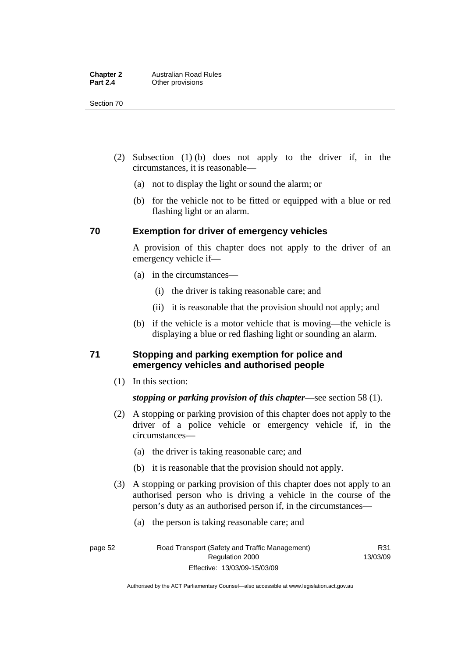Section 70

- (2) Subsection (1) (b) does not apply to the driver if, in the circumstances, it is reasonable—
	- (a) not to display the light or sound the alarm; or
	- (b) for the vehicle not to be fitted or equipped with a blue or red flashing light or an alarm.

### **70 Exemption for driver of emergency vehicles**

A provision of this chapter does not apply to the driver of an emergency vehicle if—

- (a) in the circumstances—
	- (i) the driver is taking reasonable care; and
	- (ii) it is reasonable that the provision should not apply; and
- (b) if the vehicle is a motor vehicle that is moving—the vehicle is displaying a blue or red flashing light or sounding an alarm.

### **71 Stopping and parking exemption for police and emergency vehicles and authorised people**

(1) In this section:

### *stopping or parking provision of this chapter*—see section 58 (1).

- (2) A stopping or parking provision of this chapter does not apply to the driver of a police vehicle or emergency vehicle if, in the circumstances—
	- (a) the driver is taking reasonable care; and
	- (b) it is reasonable that the provision should not apply.
- (3) A stopping or parking provision of this chapter does not apply to an authorised person who is driving a vehicle in the course of the person's duty as an authorised person if, in the circumstances—
	- (a) the person is taking reasonable care; and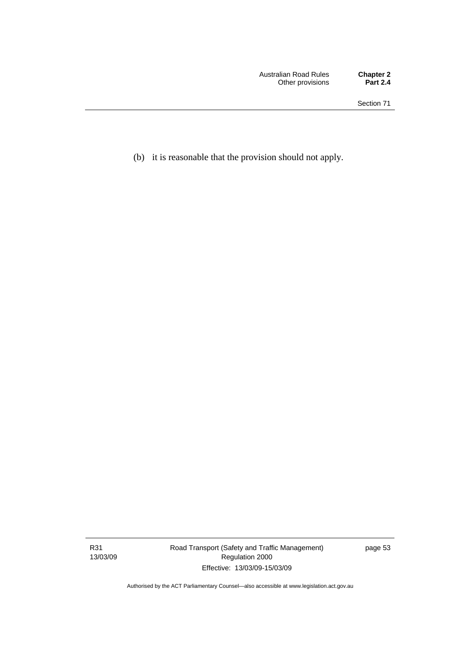(b) it is reasonable that the provision should not apply.

R31 13/03/09 Road Transport (Safety and Traffic Management) Regulation 2000 Effective: 13/03/09-15/03/09

page 53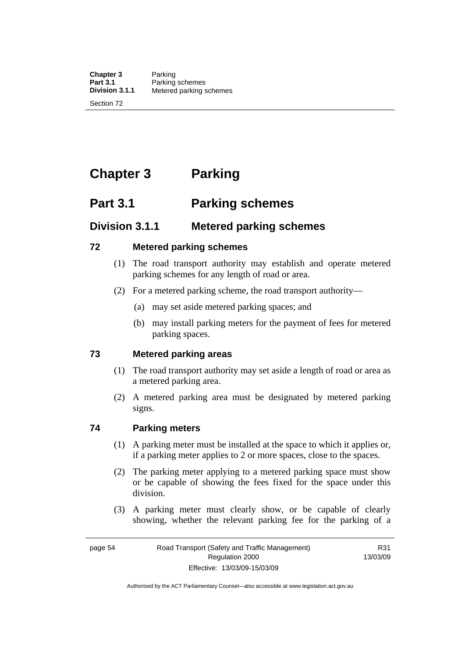**Chapter 3** Parking<br>**Part 3.1** Parking **Part 3.1 Parking schemes**<br>**Division 3.1.1** Metered parking s **Division 3.1.1** Metered parking schemes

Section 72

# **Chapter 3 Parking**

# **Part 3.1 Parking schemes**

# **Division 3.1.1 Metered parking schemes**

### **72 Metered parking schemes**

- (1) The road transport authority may establish and operate metered parking schemes for any length of road or area.
- (2) For a metered parking scheme, the road transport authority—
	- (a) may set aside metered parking spaces; and
	- (b) may install parking meters for the payment of fees for metered parking spaces.

### **73 Metered parking areas**

- (1) The road transport authority may set aside a length of road or area as a metered parking area.
- (2) A metered parking area must be designated by metered parking signs.

### **74 Parking meters**

- (1) A parking meter must be installed at the space to which it applies or, if a parking meter applies to 2 or more spaces, close to the spaces.
- (2) The parking meter applying to a metered parking space must show or be capable of showing the fees fixed for the space under this division.
- (3) A parking meter must clearly show, or be capable of clearly showing, whether the relevant parking fee for the parking of a

R31 13/03/09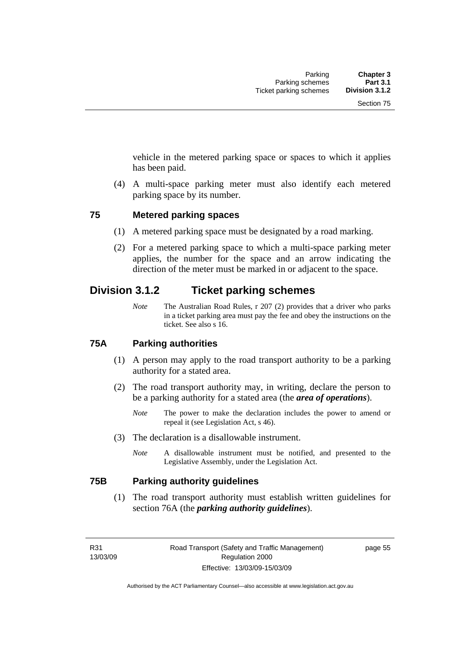vehicle in the metered parking space or spaces to which it applies has been paid.

 (4) A multi-space parking meter must also identify each metered parking space by its number.

### **75 Metered parking spaces**

- (1) A metered parking space must be designated by a road marking.
- (2) For a metered parking space to which a multi-space parking meter applies, the number for the space and an arrow indicating the direction of the meter must be marked in or adjacent to the space.

# **Division 3.1.2 Ticket parking schemes**

*Note* The Australian Road Rules, r 207 (2) provides that a driver who parks in a ticket parking area must pay the fee and obey the instructions on the ticket. See also s 16.

### **75A Parking authorities**

- (1) A person may apply to the road transport authority to be a parking authority for a stated area.
- (2) The road transport authority may, in writing, declare the person to be a parking authority for a stated area (the *area of operations*).
	- *Note* The power to make the declaration includes the power to amend or repeal it (see Legislation Act, s 46).
- (3) The declaration is a disallowable instrument.
	- *Note* A disallowable instrument must be notified, and presented to the Legislative Assembly, under the Legislation Act.

### **75B Parking authority guidelines**

 (1) The road transport authority must establish written guidelines for section 76A (the *parking authority guidelines*).

Authorised by the ACT Parliamentary Counsel—also accessible at www.legislation.act.gov.au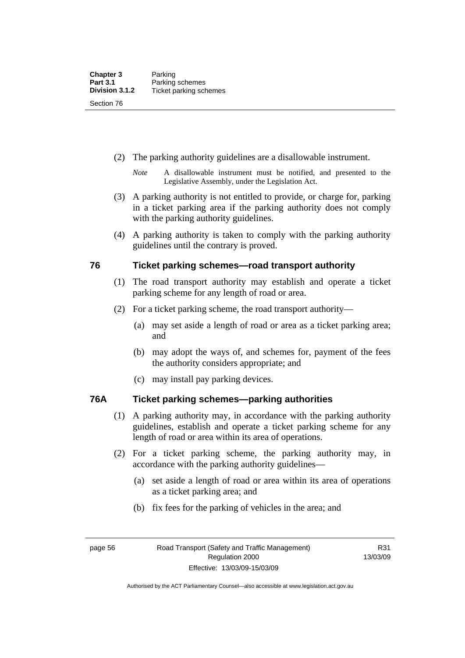- (2) The parking authority guidelines are a disallowable instrument.
	- *Note* A disallowable instrument must be notified, and presented to the Legislative Assembly, under the Legislation Act.
- (3) A parking authority is not entitled to provide, or charge for, parking in a ticket parking area if the parking authority does not comply with the parking authority guidelines.
- (4) A parking authority is taken to comply with the parking authority guidelines until the contrary is proved.

### **76 Ticket parking schemes—road transport authority**

- (1) The road transport authority may establish and operate a ticket parking scheme for any length of road or area.
- (2) For a ticket parking scheme, the road transport authority—
	- (a) may set aside a length of road or area as a ticket parking area; and
	- (b) may adopt the ways of, and schemes for, payment of the fees the authority considers appropriate; and
	- (c) may install pay parking devices.

### **76A Ticket parking schemes—parking authorities**

- (1) A parking authority may, in accordance with the parking authority guidelines, establish and operate a ticket parking scheme for any length of road or area within its area of operations.
- (2) For a ticket parking scheme, the parking authority may, in accordance with the parking authority guidelines—
	- (a) set aside a length of road or area within its area of operations as a ticket parking area; and
	- (b) fix fees for the parking of vehicles in the area; and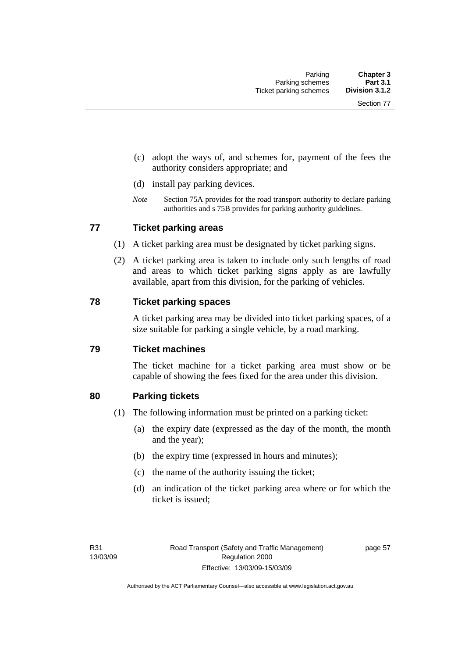- (c) adopt the ways of, and schemes for, payment of the fees the authority considers appropriate; and
- (d) install pay parking devices.
- *Note* Section 75A provides for the road transport authority to declare parking authorities and s 75B provides for parking authority guidelines.

### **77 Ticket parking areas**

- (1) A ticket parking area must be designated by ticket parking signs.
- (2) A ticket parking area is taken to include only such lengths of road and areas to which ticket parking signs apply as are lawfully available, apart from this division, for the parking of vehicles.

### **78 Ticket parking spaces**

A ticket parking area may be divided into ticket parking spaces, of a size suitable for parking a single vehicle, by a road marking.

### **79 Ticket machines**

The ticket machine for a ticket parking area must show or be capable of showing the fees fixed for the area under this division.

### **80 Parking tickets**

- (1) The following information must be printed on a parking ticket:
	- (a) the expiry date (expressed as the day of the month, the month and the year);
	- (b) the expiry time (expressed in hours and minutes);
	- (c) the name of the authority issuing the ticket;
	- (d) an indication of the ticket parking area where or for which the ticket is issued;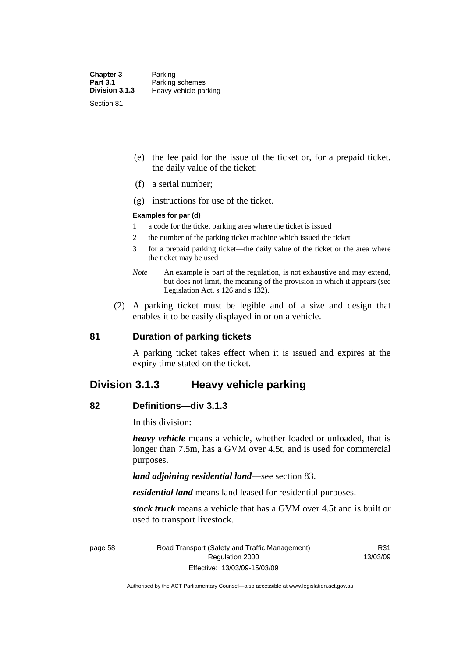- (e) the fee paid for the issue of the ticket or, for a prepaid ticket, the daily value of the ticket;
- (f) a serial number;
- (g) instructions for use of the ticket.

### **Examples for par (d)**

- 1 a code for the ticket parking area where the ticket is issued
- 2 the number of the parking ticket machine which issued the ticket
- 3 for a prepaid parking ticket—the daily value of the ticket or the area where the ticket may be used
- *Note* An example is part of the regulation, is not exhaustive and may extend, but does not limit, the meaning of the provision in which it appears (see Legislation Act, s 126 and s 132).
- (2) A parking ticket must be legible and of a size and design that enables it to be easily displayed in or on a vehicle.

### **81 Duration of parking tickets**

A parking ticket takes effect when it is issued and expires at the expiry time stated on the ticket.

### **Division 3.1.3 Heavy vehicle parking**

### **82 Definitions—div 3.1.3**

In this division:

*heavy vehicle* means a vehicle, whether loaded or unloaded, that is longer than 7.5m, has a GVM over 4.5t, and is used for commercial purposes.

*land adjoining residential land*—see section 83.

*residential land* means land leased for residential purposes.

*stock truck* means a vehicle that has a GVM over 4.5t and is built or used to transport livestock.

page 58 Road Transport (Safety and Traffic Management) Regulation 2000 Effective: 13/03/09-15/03/09

R31 13/03/09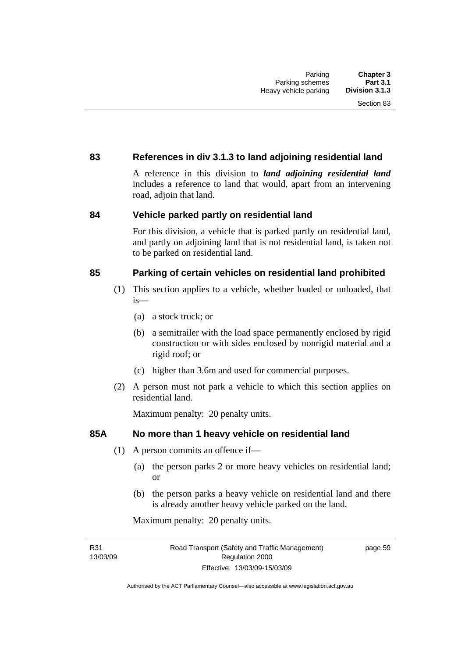### **83 References in div 3.1.3 to land adjoining residential land**

A reference in this division to *land adjoining residential land* includes a reference to land that would, apart from an intervening road, adjoin that land.

### **84 Vehicle parked partly on residential land**

For this division, a vehicle that is parked partly on residential land, and partly on adjoining land that is not residential land, is taken not to be parked on residential land.

### **85 Parking of certain vehicles on residential land prohibited**

- (1) This section applies to a vehicle, whether loaded or unloaded, that is—
	- (a) a stock truck; or
	- (b) a semitrailer with the load space permanently enclosed by rigid construction or with sides enclosed by nonrigid material and a rigid roof; or
	- (c) higher than 3.6m and used for commercial purposes.
- (2) A person must not park a vehicle to which this section applies on residential land.

Maximum penalty: 20 penalty units.

### **85A No more than 1 heavy vehicle on residential land**

- (1) A person commits an offence if—
	- (a) the person parks 2 or more heavy vehicles on residential land; or
	- (b) the person parks a heavy vehicle on residential land and there is already another heavy vehicle parked on the land.

Maximum penalty: 20 penalty units.

R31 13/03/09 page 59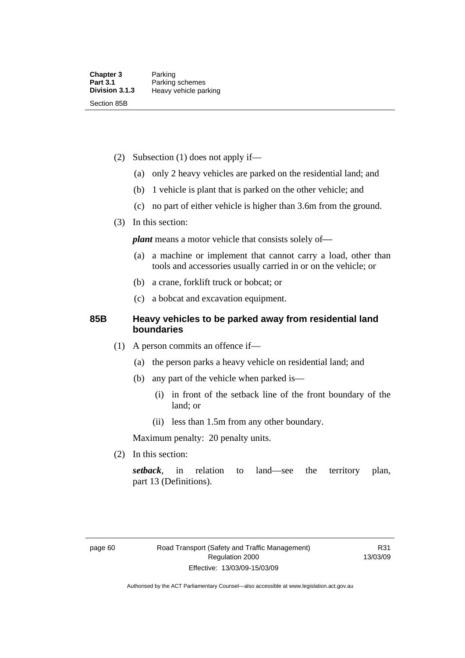- (2) Subsection (1) does not apply if—
	- (a) only 2 heavy vehicles are parked on the residential land; and
	- (b) 1 vehicle is plant that is parked on the other vehicle; and
	- (c) no part of either vehicle is higher than 3.6m from the ground.
- (3) In this section:

*plant* means a motor vehicle that consists solely of-

- (a) a machine or implement that cannot carry a load, other than tools and accessories usually carried in or on the vehicle; or
- (b) a crane, forklift truck or bobcat; or
- (c) a bobcat and excavation equipment.

### **85B Heavy vehicles to be parked away from residential land boundaries**

- (1) A person commits an offence if—
	- (a) the person parks a heavy vehicle on residential land; and
	- (b) any part of the vehicle when parked is—
		- (i) in front of the setback line of the front boundary of the land; or
		- (ii) less than 1.5m from any other boundary.

Maximum penalty: 20 penalty units.

(2) In this section:

*setback*, in relation to land—see the territory plan, part 13 (Definitions).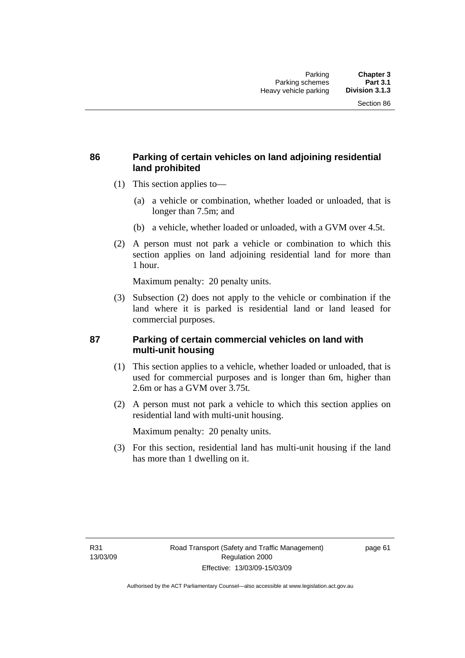### **86 Parking of certain vehicles on land adjoining residential land prohibited**

- (1) This section applies to—
	- (a) a vehicle or combination, whether loaded or unloaded, that is longer than 7.5m; and
	- (b) a vehicle, whether loaded or unloaded, with a GVM over 4.5t.
- (2) A person must not park a vehicle or combination to which this section applies on land adjoining residential land for more than 1 hour.

Maximum penalty: 20 penalty units.

 (3) Subsection (2) does not apply to the vehicle or combination if the land where it is parked is residential land or land leased for commercial purposes.

### **87 Parking of certain commercial vehicles on land with multi-unit housing**

- (1) This section applies to a vehicle, whether loaded or unloaded, that is used for commercial purposes and is longer than 6m, higher than 2.6m or has a GVM over 3.75t.
- (2) A person must not park a vehicle to which this section applies on residential land with multi-unit housing.

Maximum penalty: 20 penalty units.

 (3) For this section, residential land has multi-unit housing if the land has more than 1 dwelling on it.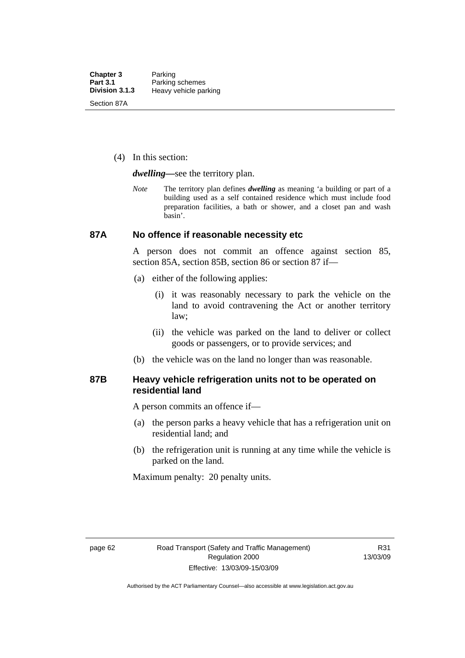(4) In this section:

*dwelling—*see the territory plan.

*Note* The territory plan defines *dwelling* as meaning 'a building or part of a building used as a self contained residence which must include food preparation facilities, a bath or shower, and a closet pan and wash basin'.

### **87A No offence if reasonable necessity etc**

A person does not commit an offence against section 85, section 85A, section 85B, section 86 or section 87 if—

- (a) either of the following applies:
	- (i) it was reasonably necessary to park the vehicle on the land to avoid contravening the Act or another territory law;
	- (ii) the vehicle was parked on the land to deliver or collect goods or passengers, or to provide services; and
- (b) the vehicle was on the land no longer than was reasonable.

### **87B Heavy vehicle refrigeration units not to be operated on residential land**

A person commits an offence if—

- (a) the person parks a heavy vehicle that has a refrigeration unit on residential land; and
- (b) the refrigeration unit is running at any time while the vehicle is parked on the land.

Maximum penalty: 20 penalty units.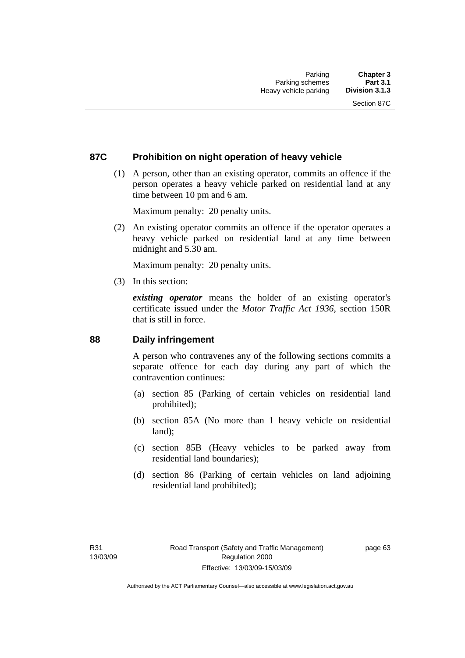# **87C Prohibition on night operation of heavy vehicle**

 (1) A person, other than an existing operator, commits an offence if the person operates a heavy vehicle parked on residential land at any time between 10 pm and 6 am.

Maximum penalty: 20 penalty units.

 (2) An existing operator commits an offence if the operator operates a heavy vehicle parked on residential land at any time between midnight and 5.30 am.

Maximum penalty: 20 penalty units.

(3) In this section:

*existing operator* means the holder of an existing operator's certificate issued under the *Motor Traffic Act 1936*, section 150R that is still in force.

# **88 Daily infringement**

A person who contravenes any of the following sections commits a separate offence for each day during any part of which the contravention continues:

- (a) section 85 (Parking of certain vehicles on residential land prohibited);
- (b) section 85A (No more than 1 heavy vehicle on residential land);
- (c) section 85B (Heavy vehicles to be parked away from residential land boundaries);
- (d) section 86 (Parking of certain vehicles on land adjoining residential land prohibited);

page 63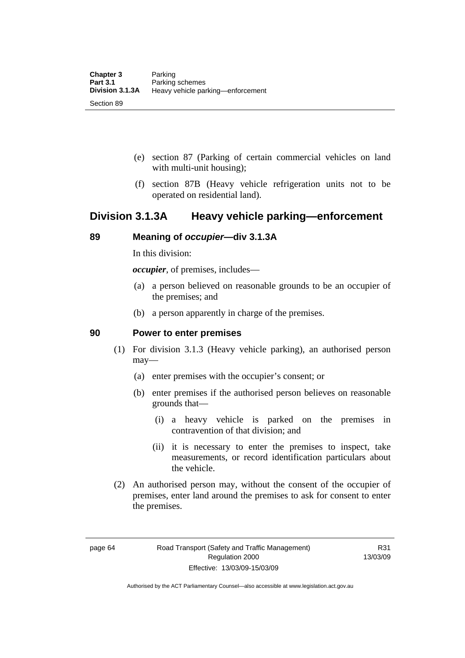- (e) section 87 (Parking of certain commercial vehicles on land with multi-unit housing);
- (f) section 87B (Heavy vehicle refrigeration units not to be operated on residential land).

# **Division 3.1.3A Heavy vehicle parking—enforcement**

# **89 Meaning of** *occupier***—div 3.1.3A**

In this division:

*occupier*, of premises, includes—

- (a) a person believed on reasonable grounds to be an occupier of the premises; and
- (b) a person apparently in charge of the premises.

# **90 Power to enter premises**

- (1) For division 3.1.3 (Heavy vehicle parking), an authorised person may—
	- (a) enter premises with the occupier's consent; or
	- (b) enter premises if the authorised person believes on reasonable grounds that—
		- (i) a heavy vehicle is parked on the premises in contravention of that division; and
		- (ii) it is necessary to enter the premises to inspect, take measurements, or record identification particulars about the vehicle.
- (2) An authorised person may, without the consent of the occupier of premises, enter land around the premises to ask for consent to enter the premises.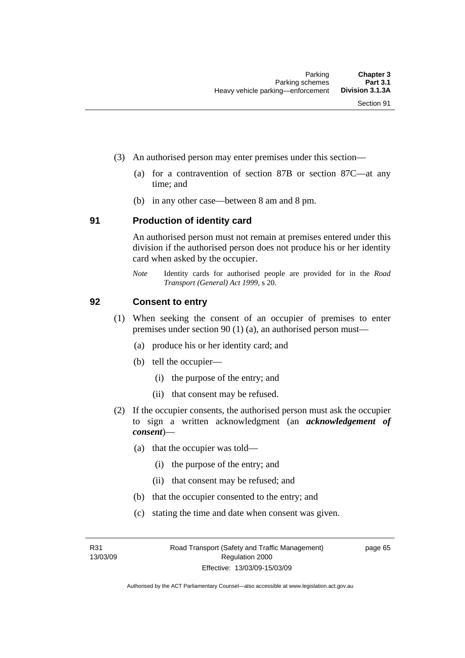- (3) An authorised person may enter premises under this section––
	- (a) for a contravention of section 87B or section 87C––at any time; and
	- (b) in any other case––between 8 am and 8 pm.

### **91 Production of identity card**

An authorised person must not remain at premises entered under this division if the authorised person does not produce his or her identity card when asked by the occupier.

*Note* Identity cards for authorised people are provided for in the *Road Transport (General) Act 1999*, s 20.

## **92 Consent to entry**

- (1) When seeking the consent of an occupier of premises to enter premises under section 90 (1) (a), an authorised person must—
	- (a) produce his or her identity card; and
	- (b) tell the occupier—
		- (i) the purpose of the entry; and
		- (ii) that consent may be refused.
- (2) If the occupier consents, the authorised person must ask the occupier to sign a written acknowledgment (an *acknowledgement of consent*)—
	- (a) that the occupier was told—
		- (i) the purpose of the entry; and
		- (ii) that consent may be refused; and
	- (b) that the occupier consented to the entry; and
	- (c) stating the time and date when consent was given.

R31 13/03/09 page 65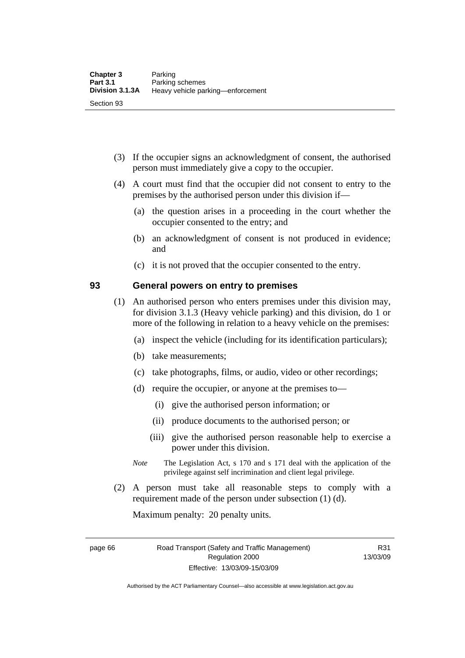- (3) If the occupier signs an acknowledgment of consent, the authorised person must immediately give a copy to the occupier.
- (4) A court must find that the occupier did not consent to entry to the premises by the authorised person under this division if—
	- (a) the question arises in a proceeding in the court whether the occupier consented to the entry; and
	- (b) an acknowledgment of consent is not produced in evidence; and
	- (c) it is not proved that the occupier consented to the entry.

# **93 General powers on entry to premises**

- (1) An authorised person who enters premises under this division may, for division 3.1.3 (Heavy vehicle parking) and this division, do 1 or more of the following in relation to a heavy vehicle on the premises:
	- (a) inspect the vehicle (including for its identification particulars);
	- (b) take measurements;
	- (c) take photographs, films, or audio, video or other recordings;
	- (d) require the occupier, or anyone at the premises to—
		- (i) give the authorised person information; or
		- (ii) produce documents to the authorised person; or
		- (iii) give the authorised person reasonable help to exercise a power under this division.
	- *Note* The Legislation Act, s 170 and s 171 deal with the application of the privilege against self incrimination and client legal privilege.
- (2) A person must take all reasonable steps to comply with a requirement made of the person under subsection (1) (d).

Maximum penalty: 20 penalty units.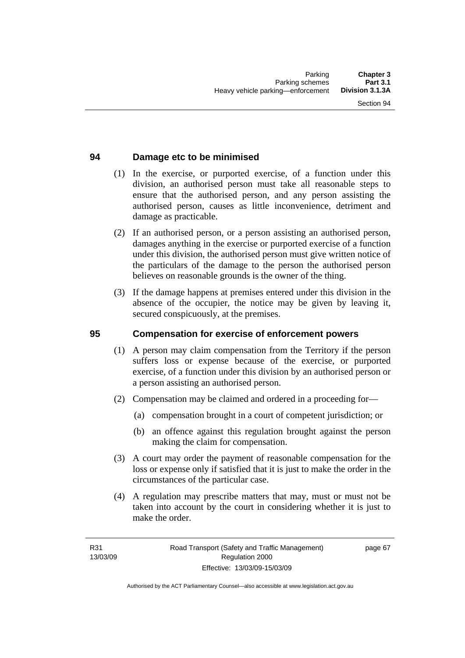# **94 Damage etc to be minimised**

- (1) In the exercise, or purported exercise, of a function under this division, an authorised person must take all reasonable steps to ensure that the authorised person, and any person assisting the authorised person, causes as little inconvenience, detriment and damage as practicable.
- (2) If an authorised person, or a person assisting an authorised person, damages anything in the exercise or purported exercise of a function under this division, the authorised person must give written notice of the particulars of the damage to the person the authorised person believes on reasonable grounds is the owner of the thing.
- (3) If the damage happens at premises entered under this division in the absence of the occupier, the notice may be given by leaving it, secured conspicuously, at the premises.

# **95 Compensation for exercise of enforcement powers**

- (1) A person may claim compensation from the Territory if the person suffers loss or expense because of the exercise, or purported exercise, of a function under this division by an authorised person or a person assisting an authorised person.
- (2) Compensation may be claimed and ordered in a proceeding for—
	- (a) compensation brought in a court of competent jurisdiction; or
	- (b) an offence against this regulation brought against the person making the claim for compensation.
- (3) A court may order the payment of reasonable compensation for the loss or expense only if satisfied that it is just to make the order in the circumstances of the particular case.
- (4) A regulation may prescribe matters that may, must or must not be taken into account by the court in considering whether it is just to make the order.

page 67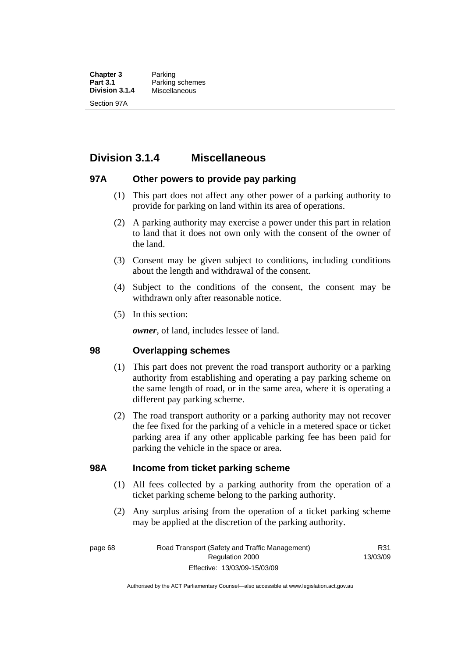**Chapter 3** Parking<br>**Part 3.1** Parking **Part 3.1** Parking schemes<br>**Division 3.1.4** Miscellaneous **Division 3.1.4** Miscellaneous Section 97A

# **Division 3.1.4 Miscellaneous**

# **97A Other powers to provide pay parking**

- (1) This part does not affect any other power of a parking authority to provide for parking on land within its area of operations.
- (2) A parking authority may exercise a power under this part in relation to land that it does not own only with the consent of the owner of the land.
- (3) Consent may be given subject to conditions, including conditions about the length and withdrawal of the consent.
- (4) Subject to the conditions of the consent, the consent may be withdrawn only after reasonable notice.
- (5) In this section:

*owner*, of land, includes lessee of land.

# **98 Overlapping schemes**

- (1) This part does not prevent the road transport authority or a parking authority from establishing and operating a pay parking scheme on the same length of road, or in the same area, where it is operating a different pay parking scheme.
- (2) The road transport authority or a parking authority may not recover the fee fixed for the parking of a vehicle in a metered space or ticket parking area if any other applicable parking fee has been paid for parking the vehicle in the space or area.

# **98A Income from ticket parking scheme**

- (1) All fees collected by a parking authority from the operation of a ticket parking scheme belong to the parking authority.
- (2) Any surplus arising from the operation of a ticket parking scheme may be applied at the discretion of the parking authority.

page 68 Road Transport (Safety and Traffic Management) Regulation 2000 Effective: 13/03/09-15/03/09

R31 13/03/09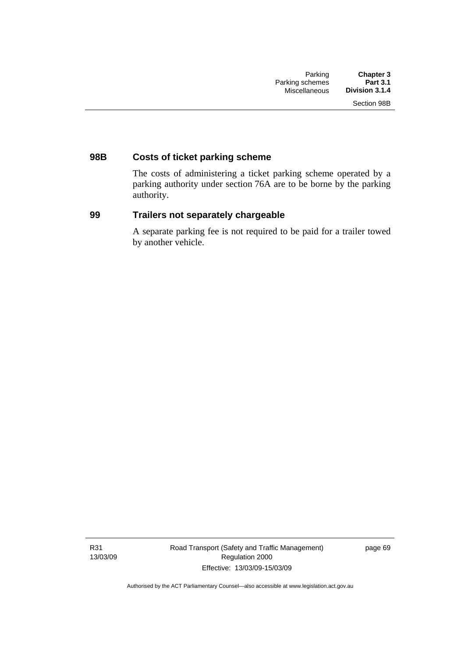# **98B Costs of ticket parking scheme**

The costs of administering a ticket parking scheme operated by a parking authority under section 76A are to be borne by the parking authority.

# **99 Trailers not separately chargeable**

A separate parking fee is not required to be paid for a trailer towed by another vehicle.

R31 13/03/09 page 69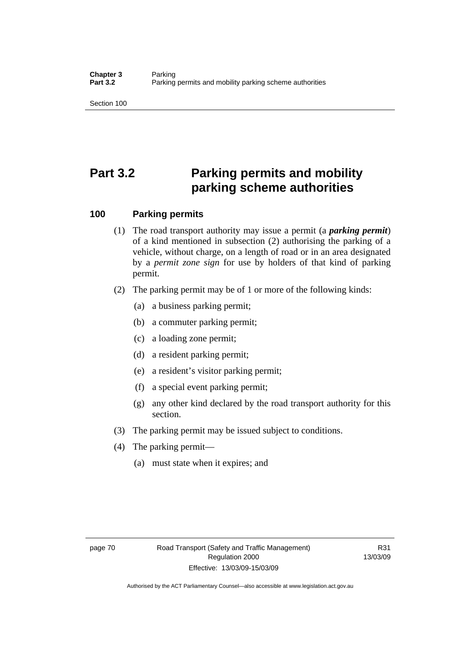Section 100

# **Part 3.2 Parking permits and mobility parking scheme authorities**

# **100 Parking permits**

- (1) The road transport authority may issue a permit (a *parking permit*) of a kind mentioned in subsection (2) authorising the parking of a vehicle, without charge, on a length of road or in an area designated by a *permit zone sign* for use by holders of that kind of parking permit.
- (2) The parking permit may be of 1 or more of the following kinds:
	- (a) a business parking permit;
	- (b) a commuter parking permit;
	- (c) a loading zone permit;
	- (d) a resident parking permit;
	- (e) a resident's visitor parking permit;
	- (f) a special event parking permit;
	- (g) any other kind declared by the road transport authority for this section.
- (3) The parking permit may be issued subject to conditions.
- (4) The parking permit—
	- (a) must state when it expires; and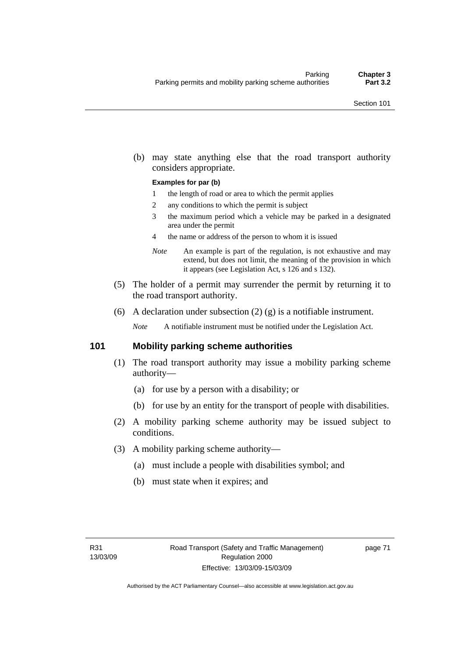(b) may state anything else that the road transport authority considers appropriate.

#### **Examples for par (b)**

- 1 the length of road or area to which the permit applies
- 2 any conditions to which the permit is subject
- 3 the maximum period which a vehicle may be parked in a designated area under the permit
- 4 the name or address of the person to whom it is issued
- *Note* An example is part of the regulation, is not exhaustive and may extend, but does not limit, the meaning of the provision in which it appears (see Legislation Act, s 126 and s 132).
- (5) The holder of a permit may surrender the permit by returning it to the road transport authority.
- (6) A declaration under subsection  $(2)$   $(g)$  is a notifiable instrument.

*Note* A notifiable instrument must be notified under the Legislation Act.

# **101 Mobility parking scheme authorities**

- (1) The road transport authority may issue a mobility parking scheme authority—
	- (a) for use by a person with a disability; or
	- (b) for use by an entity for the transport of people with disabilities.
- (2) A mobility parking scheme authority may be issued subject to conditions.
- (3) A mobility parking scheme authority—
	- (a) must include a people with disabilities symbol; and
	- (b) must state when it expires; and

page 71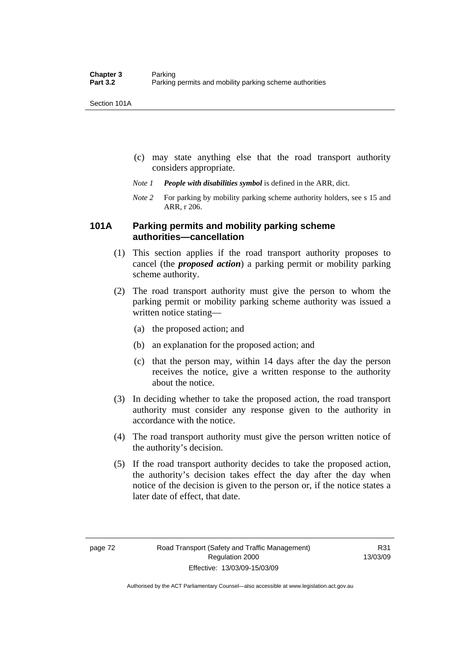Section 101A

- (c) may state anything else that the road transport authority considers appropriate.
- *Note 1 People with disabilities symbol* is defined in the ARR, dict.
- *Note 2* For parking by mobility parking scheme authority holders, see s 15 and ARR, r 206.

# **101A Parking permits and mobility parking scheme authorities—cancellation**

- (1) This section applies if the road transport authority proposes to cancel (the *proposed action*) a parking permit or mobility parking scheme authority.
- (2) The road transport authority must give the person to whom the parking permit or mobility parking scheme authority was issued a written notice stating—
	- (a) the proposed action; and
	- (b) an explanation for the proposed action; and
	- (c) that the person may, within 14 days after the day the person receives the notice, give a written response to the authority about the notice.
- (3) In deciding whether to take the proposed action, the road transport authority must consider any response given to the authority in accordance with the notice.
- (4) The road transport authority must give the person written notice of the authority's decision.
- (5) If the road transport authority decides to take the proposed action, the authority's decision takes effect the day after the day when notice of the decision is given to the person or, if the notice states a later date of effect, that date.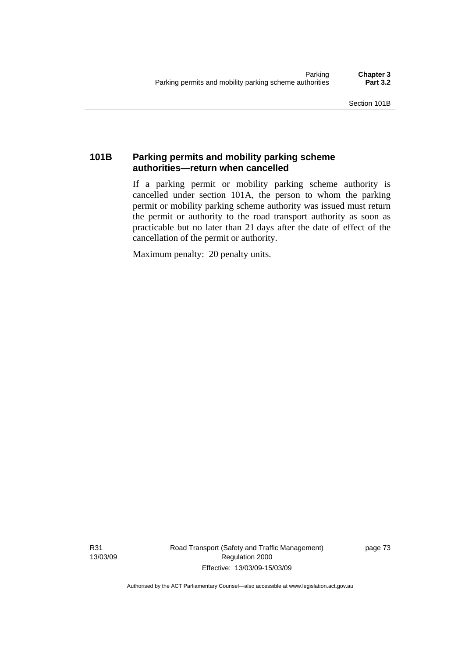# **101B Parking permits and mobility parking scheme authorities—return when cancelled**

If a parking permit or mobility parking scheme authority is cancelled under section 101A, the person to whom the parking permit or mobility parking scheme authority was issued must return the permit or authority to the road transport authority as soon as practicable but no later than 21 days after the date of effect of the cancellation of the permit or authority.

Maximum penalty: 20 penalty units.

R31 13/03/09 Road Transport (Safety and Traffic Management) Regulation 2000 Effective: 13/03/09-15/03/09

page 73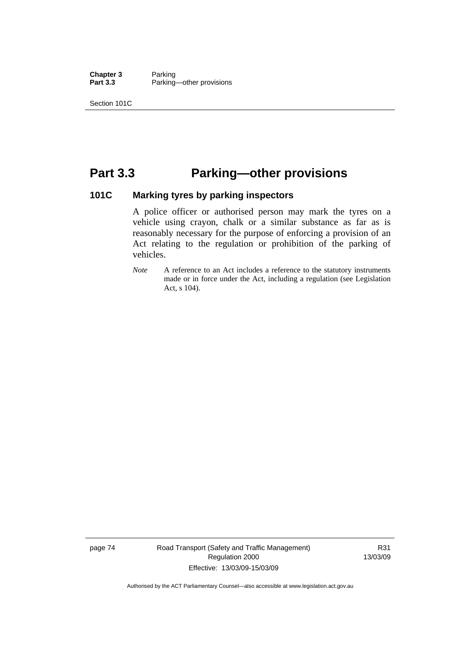**Chapter 3** Parking<br>**Part 3.3** Parking Parking—other provisions

Section 101C

# **Part 3.3 Parking—other provisions**

# **101C Marking tyres by parking inspectors**

A police officer or authorised person may mark the tyres on a vehicle using crayon, chalk or a similar substance as far as is reasonably necessary for the purpose of enforcing a provision of an Act relating to the regulation or prohibition of the parking of vehicles.

*Note* A reference to an Act includes a reference to the statutory instruments made or in force under the Act, including a regulation (see Legislation Act, s 104).

page 74 Road Transport (Safety and Traffic Management) Regulation 2000 Effective: 13/03/09-15/03/09

R31 13/03/09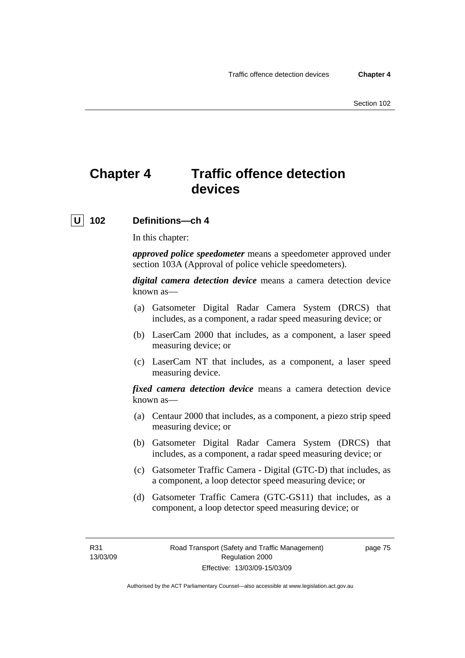# **Chapter 4 Traffic offence detection devices**

# **U 102 Definitions—ch 4**

In this chapter:

*approved police speedometer* means a speedometer approved under section 103A (Approval of police vehicle speedometers).

*digital camera detection device* means a camera detection device known as—

- (a) Gatsometer Digital Radar Camera System (DRCS) that includes, as a component, a radar speed measuring device; or
- (b) LaserCam 2000 that includes, as a component, a laser speed measuring device; or
- (c) LaserCam NT that includes, as a component, a laser speed measuring device.

*fixed camera detection device* means a camera detection device known as—

- (a) Centaur 2000 that includes, as a component, a piezo strip speed measuring device; or
- (b) Gatsometer Digital Radar Camera System (DRCS) that includes, as a component, a radar speed measuring device; or
- (c) Gatsometer Traffic Camera Digital (GTC-D) that includes, as a component, a loop detector speed measuring device; or
- (d) Gatsometer Traffic Camera (GTC-GS11) that includes, as a component, a loop detector speed measuring device; or

R31 13/03/09 page 75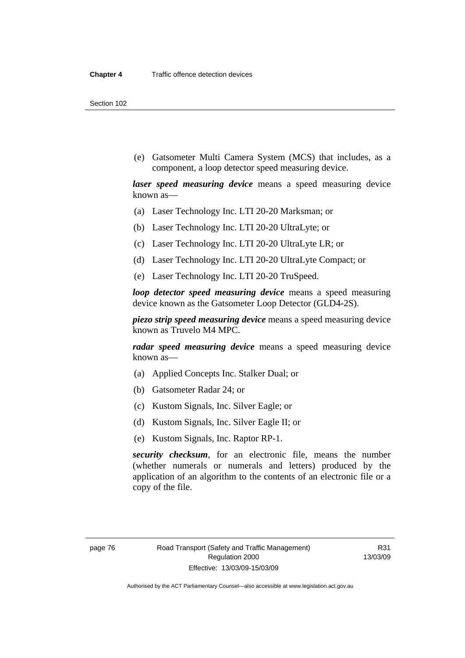Section 102

 (e) Gatsometer Multi Camera System (MCS) that includes, as a component, a loop detector speed measuring device.

*laser speed measuring device* means a speed measuring device known as—

- (a) Laser Technology Inc. LTI 20-20 Marksman; or
- (b) Laser Technology Inc. LTI 20-20 UltraLyte; or
- (c) Laser Technology Inc. LTI 20-20 UltraLyte LR; or
- (d) Laser Technology Inc. LTI 20-20 UltraLyte Compact; or
- (e) Laser Technology Inc. LTI 20-20 TruSpeed.

*loop detector speed measuring device* means a speed measuring device known as the Gatsometer Loop Detector (GLD4-2S).

*piezo strip speed measuring device* means a speed measuring device known as Truvelo M4 MPC.

*radar speed measuring device* means a speed measuring device known as—

- (a) Applied Concepts Inc. Stalker Dual; or
- (b) Gatsometer Radar 24; or
- (c) Kustom Signals, Inc. Silver Eagle; or
- (d) Kustom Signals, Inc. Silver Eagle II; or
- (e) Kustom Signals, Inc. Raptor RP-1.

*security checksum*, for an electronic file, means the number (whether numerals or numerals and letters) produced by the application of an algorithm to the contents of an electronic file or a copy of the file.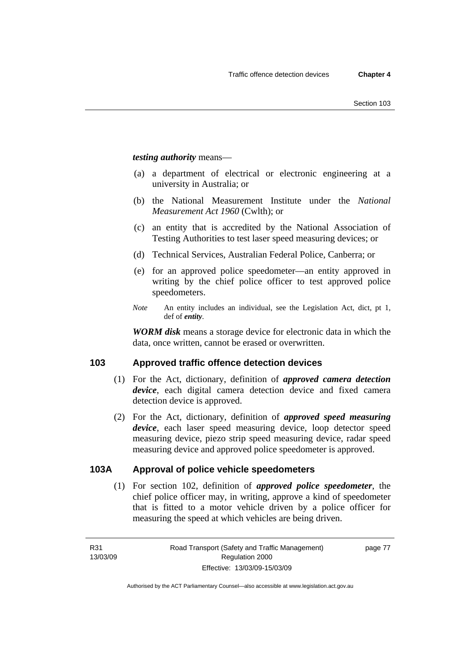*testing authority* means—

- (a) a department of electrical or electronic engineering at a university in Australia; or
- (b) the National Measurement Institute under the *National Measurement Act 1960* (Cwlth); or
- (c) an entity that is accredited by the National Association of Testing Authorities to test laser speed measuring devices; or
- (d) Technical Services, Australian Federal Police, Canberra; or
- (e) for an approved police speedometer—an entity approved in writing by the chief police officer to test approved police speedometers.
- *Note* An entity includes an individual, see the Legislation Act, dict, pt 1, def of *entity*.

*WORM disk* means a storage device for electronic data in which the data, once written, cannot be erased or overwritten.

# **103 Approved traffic offence detection devices**

- (1) For the Act, dictionary, definition of *approved camera detection device*, each digital camera detection device and fixed camera detection device is approved.
- (2) For the Act, dictionary, definition of *approved speed measuring device*, each laser speed measuring device, loop detector speed measuring device, piezo strip speed measuring device, radar speed measuring device and approved police speedometer is approved.

# **103A Approval of police vehicle speedometers**

 (1) For section 102, definition of *approved police speedometer*, the chief police officer may, in writing, approve a kind of speedometer that is fitted to a motor vehicle driven by a police officer for measuring the speed at which vehicles are being driven.

page 77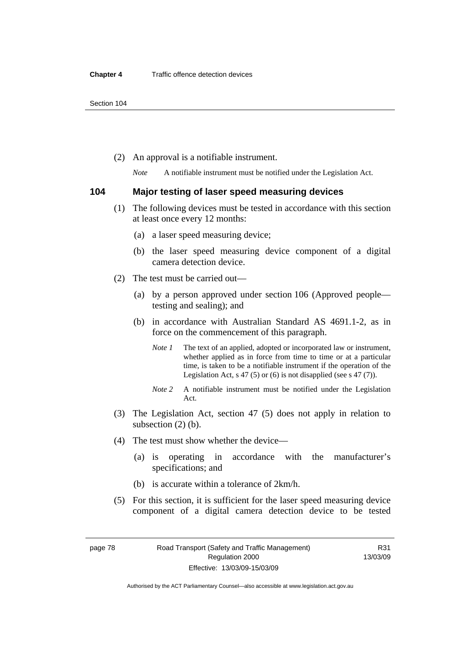(2) An approval is a notifiable instrument.

*Note* A notifiable instrument must be notified under the Legislation Act.

### **104 Major testing of laser speed measuring devices**

- (1) The following devices must be tested in accordance with this section at least once every 12 months:
	- (a) a laser speed measuring device;
	- (b) the laser speed measuring device component of a digital camera detection device.
- (2) The test must be carried out—
	- (a) by a person approved under section 106 (Approved people testing and sealing); and
	- (b) in accordance with Australian Standard AS 4691.1-2, as in force on the commencement of this paragraph.
		- *Note 1* The text of an applied, adopted or incorporated law or instrument, whether applied as in force from time to time or at a particular time, is taken to be a notifiable instrument if the operation of the Legislation Act,  $s$  47 (5) or (6) is not disapplied (see s 47 (7)).
		- *Note 2* A notifiable instrument must be notified under the Legislation Act.
- (3) The Legislation Act, section 47 (5) does not apply in relation to subsection (2) (b).
- (4) The test must show whether the device—
	- (a) is operating in accordance with the manufacturer's specifications; and
	- (b) is accurate within a tolerance of 2km/h.
- (5) For this section, it is sufficient for the laser speed measuring device component of a digital camera detection device to be tested

Authorised by the ACT Parliamentary Counsel—also accessible at www.legislation.act.gov.au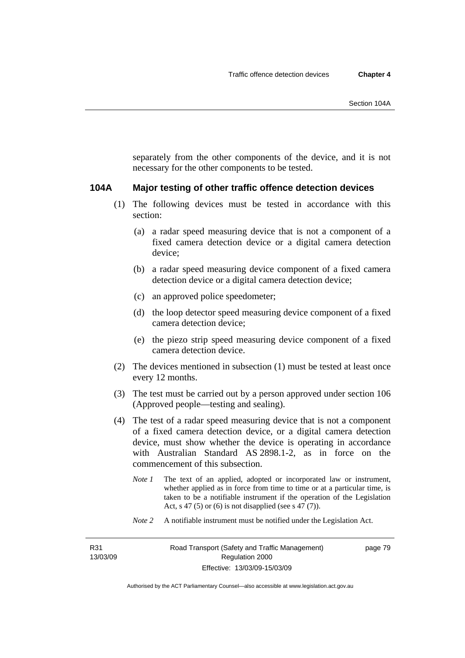separately from the other components of the device, and it is not necessary for the other components to be tested.

### **104A Major testing of other traffic offence detection devices**

- (1) The following devices must be tested in accordance with this section:
	- (a) a radar speed measuring device that is not a component of a fixed camera detection device or a digital camera detection device;
	- (b) a radar speed measuring device component of a fixed camera detection device or a digital camera detection device;
	- (c) an approved police speedometer;
	- (d) the loop detector speed measuring device component of a fixed camera detection device;
	- (e) the piezo strip speed measuring device component of a fixed camera detection device.
- (2) The devices mentioned in subsection (1) must be tested at least once every 12 months.
- (3) The test must be carried out by a person approved under section 106 (Approved people—testing and sealing).
- (4) The test of a radar speed measuring device that is not a component of a fixed camera detection device, or a digital camera detection device, must show whether the device is operating in accordance with Australian Standard AS 2898.1-2, as in force on the commencement of this subsection.
	- *Note 1* The text of an applied, adopted or incorporated law or instrument, whether applied as in force from time to time or at a particular time, is taken to be a notifiable instrument if the operation of the Legislation Act, s 47 (5) or (6) is not disapplied (see s 47 (7)).
	- *Note 2* A notifiable instrument must be notified under the Legislation Act.

R31 13/03/09 page 79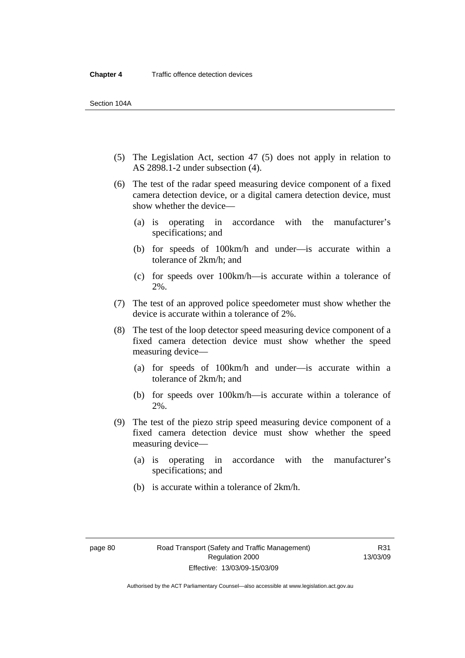- (5) The Legislation Act, section 47 (5) does not apply in relation to AS 2898.1-2 under subsection (4).
- (6) The test of the radar speed measuring device component of a fixed camera detection device, or a digital camera detection device, must show whether the device—
	- (a) is operating in accordance with the manufacturer's specifications; and
	- (b) for speeds of 100km/h and under—is accurate within a tolerance of 2km/h; and
	- (c) for speeds over 100km/h—is accurate within a tolerance of 2%.
- (7) The test of an approved police speedometer must show whether the device is accurate within a tolerance of 2%.
- (8) The test of the loop detector speed measuring device component of a fixed camera detection device must show whether the speed measuring device—
	- (a) for speeds of 100km/h and under—is accurate within a tolerance of 2km/h; and
	- (b) for speeds over 100km/h—is accurate within a tolerance of 2%.
- (9) The test of the piezo strip speed measuring device component of a fixed camera detection device must show whether the speed measuring device—
	- (a) is operating in accordance with the manufacturer's specifications; and
	- (b) is accurate within a tolerance of 2km/h.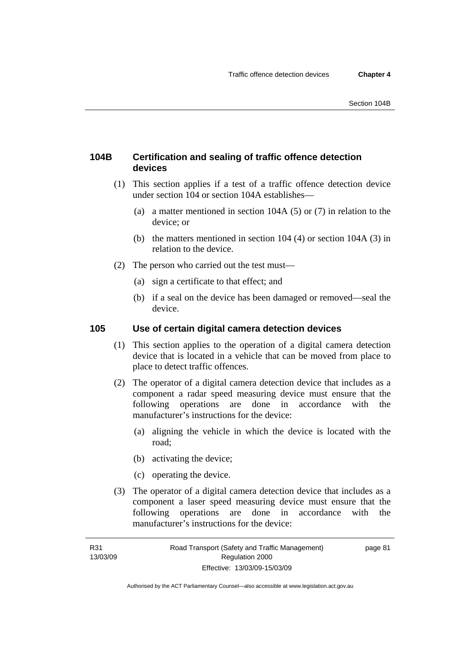# **104B Certification and sealing of traffic offence detection devices**

- (1) This section applies if a test of a traffic offence detection device under section 104 or section 104A establishes—
	- (a) a matter mentioned in section 104A (5) or (7) in relation to the device; or
	- (b) the matters mentioned in section 104 (4) or section 104A (3) in relation to the device.
- (2) The person who carried out the test must—
	- (a) sign a certificate to that effect; and
	- (b) if a seal on the device has been damaged or removed—seal the device.

# **105 Use of certain digital camera detection devices**

- (1) This section applies to the operation of a digital camera detection device that is located in a vehicle that can be moved from place to place to detect traffic offences.
- (2) The operator of a digital camera detection device that includes as a component a radar speed measuring device must ensure that the following operations are done in accordance with the manufacturer's instructions for the device:
	- (a) aligning the vehicle in which the device is located with the road;
	- (b) activating the device;
	- (c) operating the device.
- (3) The operator of a digital camera detection device that includes as a component a laser speed measuring device must ensure that the following operations are done in accordance with the manufacturer's instructions for the device:

page 81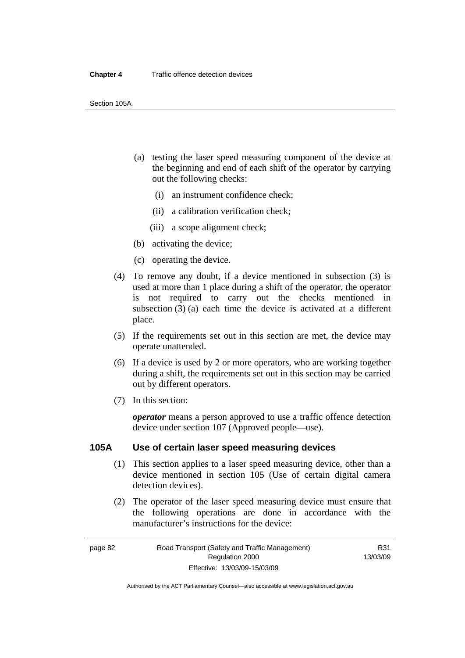- (a) testing the laser speed measuring component of the device at the beginning and end of each shift of the operator by carrying out the following checks:
	- (i) an instrument confidence check;
	- (ii) a calibration verification check;
	- (iii) a scope alignment check;
- (b) activating the device;
- (c) operating the device.
- (4) To remove any doubt, if a device mentioned in subsection (3) is used at more than 1 place during a shift of the operator, the operator is not required to carry out the checks mentioned in subsection (3) (a) each time the device is activated at a different place.
- (5) If the requirements set out in this section are met, the device may operate unattended.
- (6) If a device is used by 2 or more operators, who are working together during a shift, the requirements set out in this section may be carried out by different operators.
- (7) In this section:

*operator* means a person approved to use a traffic offence detection device under section 107 (Approved people—use).

# **105A Use of certain laser speed measuring devices**

- (1) This section applies to a laser speed measuring device, other than a device mentioned in section 105 (Use of certain digital camera detection devices).
- (2) The operator of the laser speed measuring device must ensure that the following operations are done in accordance with the manufacturer's instructions for the device: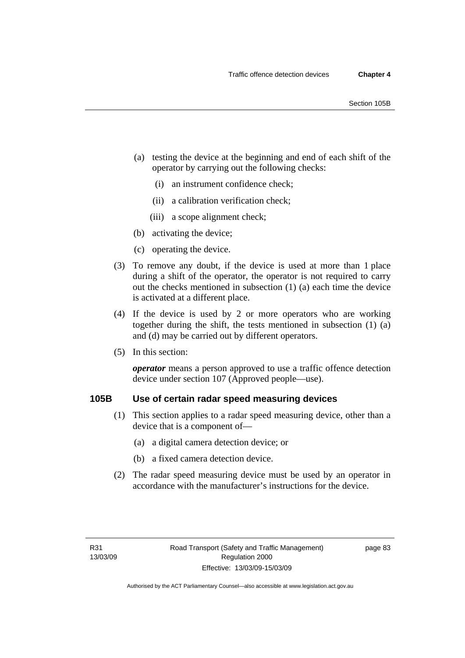- (a) testing the device at the beginning and end of each shift of the operator by carrying out the following checks:
	- (i) an instrument confidence check;
	- (ii) a calibration verification check;
	- (iii) a scope alignment check;
- (b) activating the device;
- (c) operating the device.
- (3) To remove any doubt, if the device is used at more than 1 place during a shift of the operator, the operator is not required to carry out the checks mentioned in subsection (1) (a) each time the device is activated at a different place.
- (4) If the device is used by 2 or more operators who are working together during the shift, the tests mentioned in subsection (1) (a) and (d) may be carried out by different operators.
- (5) In this section:

*operator* means a person approved to use a traffic offence detection device under section 107 (Approved people—use).

# **105B Use of certain radar speed measuring devices**

- (1) This section applies to a radar speed measuring device, other than a device that is a component of—
	- (a) a digital camera detection device; or
	- (b) a fixed camera detection device.
- (2) The radar speed measuring device must be used by an operator in accordance with the manufacturer's instructions for the device.

page 83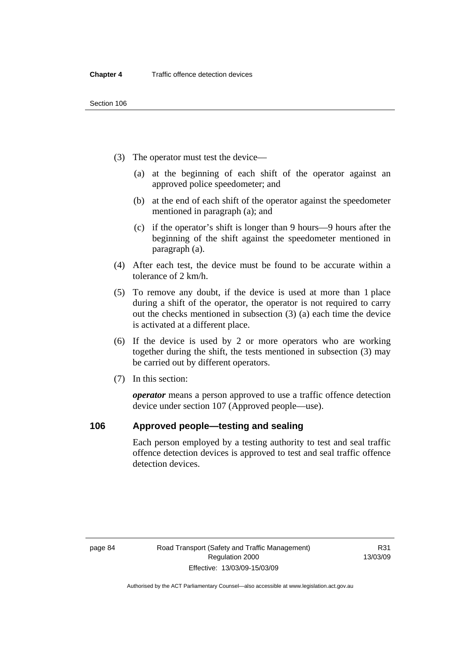- (3) The operator must test the device—
	- (a) at the beginning of each shift of the operator against an approved police speedometer; and
	- (b) at the end of each shift of the operator against the speedometer mentioned in paragraph (a); and
	- (c) if the operator's shift is longer than 9 hours—9 hours after the beginning of the shift against the speedometer mentioned in paragraph (a).
- (4) After each test, the device must be found to be accurate within a tolerance of 2 km/h.
- (5) To remove any doubt, if the device is used at more than 1 place during a shift of the operator, the operator is not required to carry out the checks mentioned in subsection (3) (a) each time the device is activated at a different place.
- (6) If the device is used by 2 or more operators who are working together during the shift, the tests mentioned in subsection (3) may be carried out by different operators.
- (7) In this section:

*operator* means a person approved to use a traffic offence detection device under section 107 (Approved people—use).

# **106 Approved people—testing and sealing**

Each person employed by a testing authority to test and seal traffic offence detection devices is approved to test and seal traffic offence detection devices.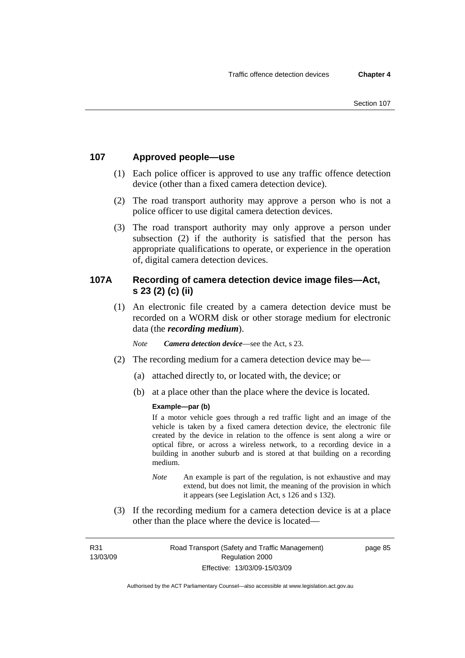# **107 Approved people—use**

- (1) Each police officer is approved to use any traffic offence detection device (other than a fixed camera detection device).
- (2) The road transport authority may approve a person who is not a police officer to use digital camera detection devices.
- (3) The road transport authority may only approve a person under subsection (2) if the authority is satisfied that the person has appropriate qualifications to operate, or experience in the operation of, digital camera detection devices.

# **107A Recording of camera detection device image files—Act, s 23 (2) (c) (ii)**

 (1) An electronic file created by a camera detection device must be recorded on a WORM disk or other storage medium for electronic data (the *recording medium*).

*Note Camera detection device*—see the Act, s 23.

- (2) The recording medium for a camera detection device may be—
	- (a) attached directly to, or located with, the device; or
	- (b) at a place other than the place where the device is located.

### **Example—par (b)**

If a motor vehicle goes through a red traffic light and an image of the vehicle is taken by a fixed camera detection device, the electronic file created by the device in relation to the offence is sent along a wire or optical fibre, or across a wireless network, to a recording device in a building in another suburb and is stored at that building on a recording medium.

- *Note* An example is part of the regulation, is not exhaustive and may extend, but does not limit, the meaning of the provision in which it appears (see Legislation Act, s 126 and s 132).
- (3) If the recording medium for a camera detection device is at a place other than the place where the device is located—

R31 13/03/09 page 85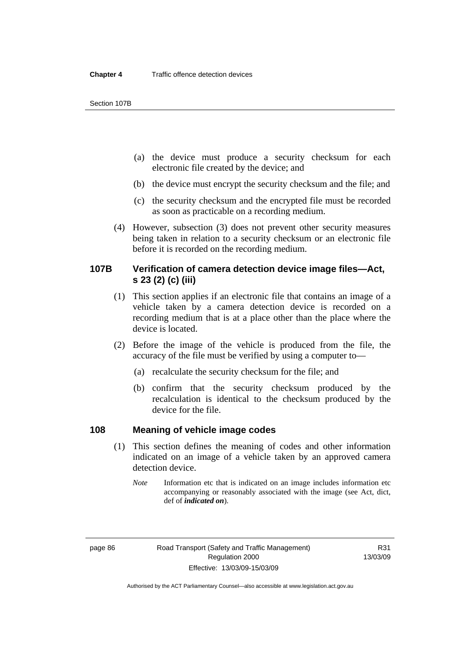Section 107B

- (a) the device must produce a security checksum for each electronic file created by the device; and
- (b) the device must encrypt the security checksum and the file; and
- (c) the security checksum and the encrypted file must be recorded as soon as practicable on a recording medium.
- (4) However, subsection (3) does not prevent other security measures being taken in relation to a security checksum or an electronic file before it is recorded on the recording medium.

# **107B Verification of camera detection device image files—Act, s 23 (2) (c) (iii)**

- (1) This section applies if an electronic file that contains an image of a vehicle taken by a camera detection device is recorded on a recording medium that is at a place other than the place where the device is located.
- (2) Before the image of the vehicle is produced from the file, the accuracy of the file must be verified by using a computer to—
	- (a) recalculate the security checksum for the file; and
	- (b) confirm that the security checksum produced by the recalculation is identical to the checksum produced by the device for the file.

# **108 Meaning of vehicle image codes**

- (1) This section defines the meaning of codes and other information indicated on an image of a vehicle taken by an approved camera detection device.
	- *Note* Information etc that is indicated on an image includes information etc accompanying or reasonably associated with the image (see Act, dict, def of *indicated on*).

Authorised by the ACT Parliamentary Counsel—also accessible at www.legislation.act.gov.au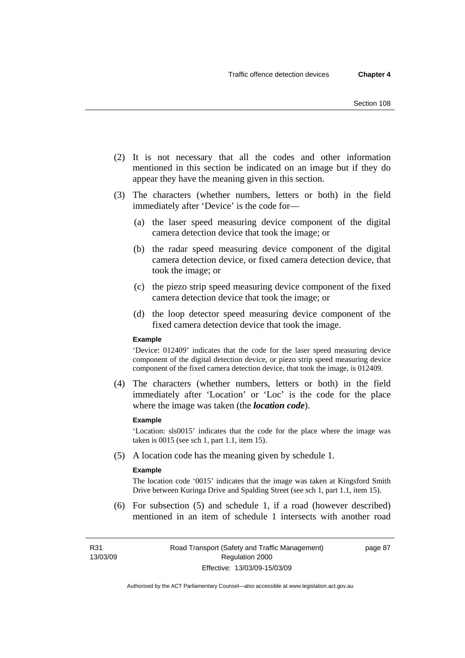- (2) It is not necessary that all the codes and other information mentioned in this section be indicated on an image but if they do appear they have the meaning given in this section.
- (3) The characters (whether numbers, letters or both) in the field immediately after 'Device' is the code for—
	- (a) the laser speed measuring device component of the digital camera detection device that took the image; or
	- (b) the radar speed measuring device component of the digital camera detection device, or fixed camera detection device, that took the image; or
	- (c) the piezo strip speed measuring device component of the fixed camera detection device that took the image; or
	- (d) the loop detector speed measuring device component of the fixed camera detection device that took the image.

#### **Example**

'Device: 012409' indicates that the code for the laser speed measuring device component of the digital detection device, or piezo strip speed measuring device component of the fixed camera detection device, that took the image, is 012409.

 (4) The characters (whether numbers, letters or both) in the field immediately after 'Location' or 'Loc' is the code for the place where the image was taken (the *location code*).

#### **Example**

'Location: sls0015' indicates that the code for the place where the image was taken is 0015 (see sch 1, part 1.1, item 15).

(5) A location code has the meaning given by schedule 1.

#### **Example**

The location code '0015' indicates that the image was taken at Kingsford Smith Drive between Kuringa Drive and Spalding Street (see sch 1, part 1.1, item 15).

 (6) For subsection (5) and schedule 1, if a road (however described) mentioned in an item of schedule 1 intersects with another road

R31 13/03/09 page 87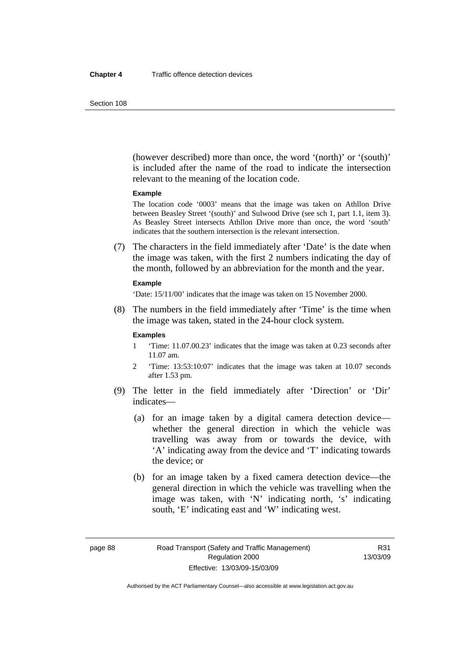(however described) more than once, the word '(north)' or '(south)' is included after the name of the road to indicate the intersection relevant to the meaning of the location code.

#### **Example**

The location code '0003' means that the image was taken on Athllon Drive between Beasley Street '(south)' and Sulwood Drive (see sch 1, part 1.1, item 3). As Beasley Street intersects Athllon Drive more than once, the word 'south' indicates that the southern intersection is the relevant intersection.

 (7) The characters in the field immediately after 'Date' is the date when the image was taken, with the first 2 numbers indicating the day of the month, followed by an abbreviation for the month and the year.

#### **Example**

'Date: 15/11/00' indicates that the image was taken on 15 November 2000.

 (8) The numbers in the field immediately after 'Time' is the time when the image was taken, stated in the 24-hour clock system.

#### **Examples**

- 1 'Time: 11.07.00.23' indicates that the image was taken at 0.23 seconds after 11.07 am.
- 2 'Time: 13:53:10:07' indicates that the image was taken at 10.07 seconds after 1.53 pm.
- (9) The letter in the field immediately after 'Direction' or 'Dir' indicates—
	- (a) for an image taken by a digital camera detection device whether the general direction in which the vehicle was travelling was away from or towards the device, with 'A' indicating away from the device and 'T' indicating towards the device; or
	- (b) for an image taken by a fixed camera detection device—the general direction in which the vehicle was travelling when the image was taken, with 'N' indicating north, 's' indicating south, 'E' indicating east and 'W' indicating west.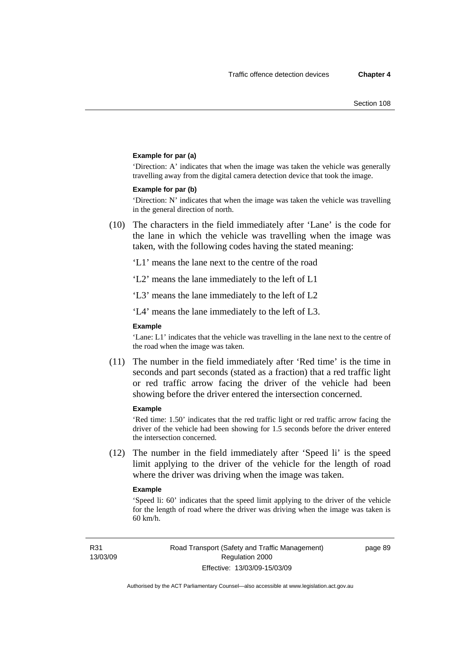#### **Example for par (a)**

'Direction: A' indicates that when the image was taken the vehicle was generally travelling away from the digital camera detection device that took the image.

#### **Example for par (b)**

'Direction: N' indicates that when the image was taken the vehicle was travelling in the general direction of north.

 (10) The characters in the field immediately after 'Lane' is the code for the lane in which the vehicle was travelling when the image was taken, with the following codes having the stated meaning:

'L1' means the lane next to the centre of the road

'L2' means the lane immediately to the left of L1

'L3' means the lane immediately to the left of L2

'L4' means the lane immediately to the left of L3.

#### **Example**

'Lane: L1' indicates that the vehicle was travelling in the lane next to the centre of the road when the image was taken.

 (11) The number in the field immediately after 'Red time' is the time in seconds and part seconds (stated as a fraction) that a red traffic light or red traffic arrow facing the driver of the vehicle had been showing before the driver entered the intersection concerned.

#### **Example**

'Red time: 1.50' indicates that the red traffic light or red traffic arrow facing the driver of the vehicle had been showing for 1.5 seconds before the driver entered the intersection concerned.

 (12) The number in the field immediately after 'Speed li' is the speed limit applying to the driver of the vehicle for the length of road where the driver was driving when the image was taken.

#### **Example**

'Speed li: 60' indicates that the speed limit applying to the driver of the vehicle for the length of road where the driver was driving when the image was taken is 60 km/h.

R31 13/03/09 page 89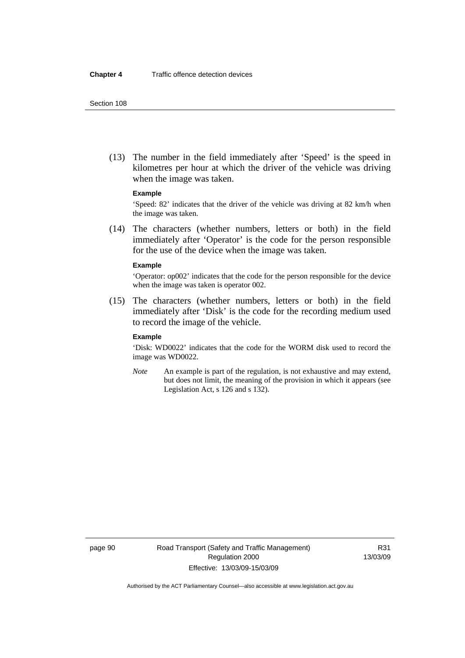(13) The number in the field immediately after 'Speed' is the speed in kilometres per hour at which the driver of the vehicle was driving when the image was taken.

### **Example**

'Speed: 82' indicates that the driver of the vehicle was driving at 82 km/h when the image was taken.

 (14) The characters (whether numbers, letters or both) in the field immediately after 'Operator' is the code for the person responsible for the use of the device when the image was taken.

#### **Example**

'Operator: op002' indicates that the code for the person responsible for the device when the image was taken is operator 002.

 (15) The characters (whether numbers, letters or both) in the field immediately after 'Disk' is the code for the recording medium used to record the image of the vehicle.

#### **Example**

'Disk: WD0022' indicates that the code for the WORM disk used to record the image was WD0022.

*Note* An example is part of the regulation, is not exhaustive and may extend, but does not limit, the meaning of the provision in which it appears (see Legislation Act, s 126 and s 132).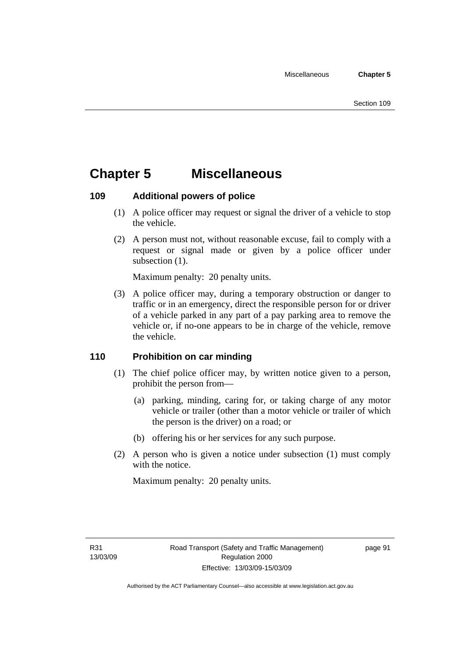# **Chapter 5 Miscellaneous**

# **109 Additional powers of police**

- (1) A police officer may request or signal the driver of a vehicle to stop the vehicle.
- (2) A person must not, without reasonable excuse, fail to comply with a request or signal made or given by a police officer under subsection  $(1)$ .

Maximum penalty: 20 penalty units.

 (3) A police officer may, during a temporary obstruction or danger to traffic or in an emergency, direct the responsible person for or driver of a vehicle parked in any part of a pay parking area to remove the vehicle or, if no-one appears to be in charge of the vehicle, remove the vehicle.

# **110 Prohibition on car minding**

- (1) The chief police officer may, by written notice given to a person, prohibit the person from—
	- (a) parking, minding, caring for, or taking charge of any motor vehicle or trailer (other than a motor vehicle or trailer of which the person is the driver) on a road; or
	- (b) offering his or her services for any such purpose.
- (2) A person who is given a notice under subsection (1) must comply with the notice.

Maximum penalty: 20 penalty units.

page 91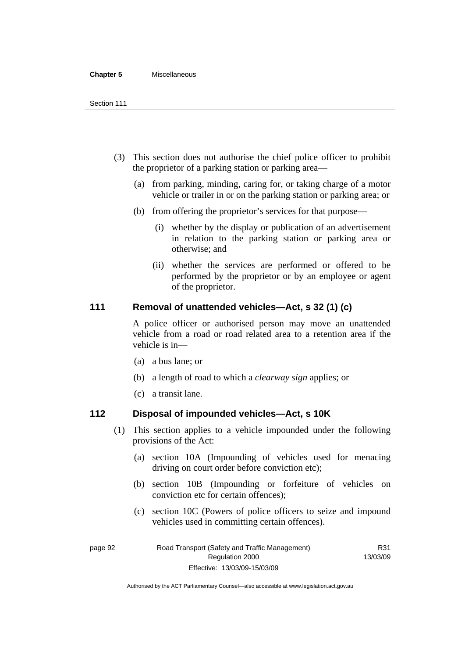#### **Chapter 5** Miscellaneous

- (3) This section does not authorise the chief police officer to prohibit the proprietor of a parking station or parking area—
	- (a) from parking, minding, caring for, or taking charge of a motor vehicle or trailer in or on the parking station or parking area; or
	- (b) from offering the proprietor's services for that purpose—
		- (i) whether by the display or publication of an advertisement in relation to the parking station or parking area or otherwise; and
		- (ii) whether the services are performed or offered to be performed by the proprietor or by an employee or agent of the proprietor.

# **111 Removal of unattended vehicles—Act, s 32 (1) (c)**

A police officer or authorised person may move an unattended vehicle from a road or road related area to a retention area if the vehicle is in—

- (a) a bus lane; or
- (b) a length of road to which a *clearway sign* applies; or
- (c) a transit lane.

# **112 Disposal of impounded vehicles—Act, s 10K**

- (1) This section applies to a vehicle impounded under the following provisions of the Act:
	- (a) section 10A (Impounding of vehicles used for menacing driving on court order before conviction etc);
	- (b) section 10B (Impounding or forfeiture of vehicles on conviction etc for certain offences);
	- (c) section 10C (Powers of police officers to seize and impound vehicles used in committing certain offences).

R31

page 92 Road Transport (Safety and Traffic Management) Regulation 2000 Effective: 13/03/09-15/03/09 13/03/09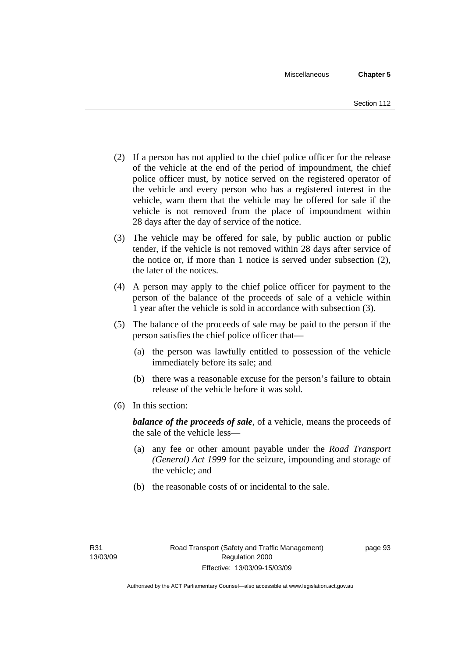- (2) If a person has not applied to the chief police officer for the release of the vehicle at the end of the period of impoundment, the chief police officer must, by notice served on the registered operator of the vehicle and every person who has a registered interest in the vehicle, warn them that the vehicle may be offered for sale if the vehicle is not removed from the place of impoundment within 28 days after the day of service of the notice.
- (3) The vehicle may be offered for sale, by public auction or public tender, if the vehicle is not removed within 28 days after service of the notice or, if more than 1 notice is served under subsection (2), the later of the notices.
- (4) A person may apply to the chief police officer for payment to the person of the balance of the proceeds of sale of a vehicle within 1 year after the vehicle is sold in accordance with subsection (3).
- (5) The balance of the proceeds of sale may be paid to the person if the person satisfies the chief police officer that—
	- (a) the person was lawfully entitled to possession of the vehicle immediately before its sale; and
	- (b) there was a reasonable excuse for the person's failure to obtain release of the vehicle before it was sold.
- (6) In this section:

*balance of the proceeds of sale*, of a vehicle, means the proceeds of the sale of the vehicle less—

- (a) any fee or other amount payable under the *Road Transport (General) Act 1999* for the seizure, impounding and storage of the vehicle; and
- (b) the reasonable costs of or incidental to the sale.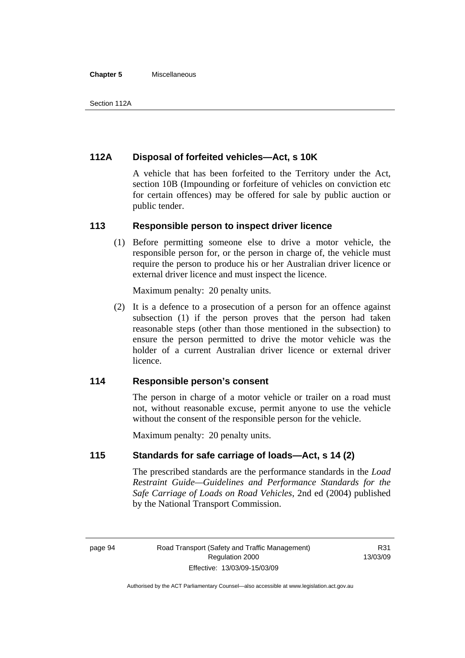#### **Chapter 5** Miscellaneous

# **112A Disposal of forfeited vehicles—Act, s 10K**

A vehicle that has been forfeited to the Territory under the Act, section 10B (Impounding or forfeiture of vehicles on conviction etc for certain offences) may be offered for sale by public auction or public tender.

## **113 Responsible person to inspect driver licence**

 (1) Before permitting someone else to drive a motor vehicle, the responsible person for, or the person in charge of, the vehicle must require the person to produce his or her Australian driver licence or external driver licence and must inspect the licence.

Maximum penalty: 20 penalty units.

 (2) It is a defence to a prosecution of a person for an offence against subsection (1) if the person proves that the person had taken reasonable steps (other than those mentioned in the subsection) to ensure the person permitted to drive the motor vehicle was the holder of a current Australian driver licence or external driver licence.

# **114 Responsible person's consent**

The person in charge of a motor vehicle or trailer on a road must not, without reasonable excuse, permit anyone to use the vehicle without the consent of the responsible person for the vehicle.

Maximum penalty: 20 penalty units.

# **115 Standards for safe carriage of loads—Act, s 14 (2)**

The prescribed standards are the performance standards in the *Load Restraint Guide—Guidelines and Performance Standards for the Safe Carriage of Loads on Road Vehicles*, 2nd ed (2004) published by the National Transport Commission.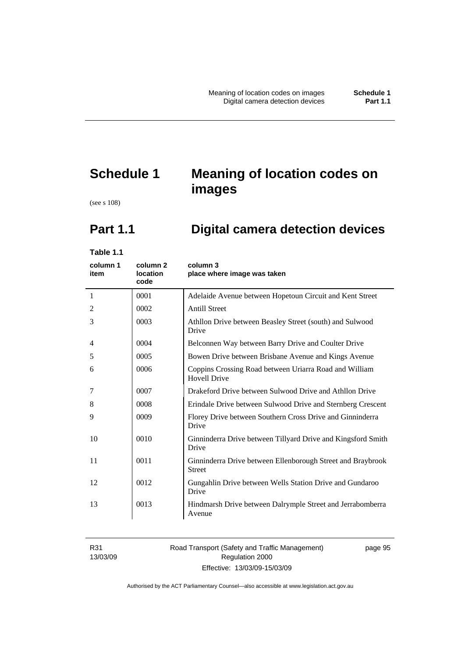# **Schedule 1 Meaning of location codes on images**

(see s 108)

# **Part 1.1 Digital camera detection devices**

**Table 1.1** 

| column 1<br>item | column <sub>2</sub><br><b>location</b><br>code | column 3<br>place where image was taken                                       |
|------------------|------------------------------------------------|-------------------------------------------------------------------------------|
| 1                | 0001                                           | Adelaide Avenue between Hopetoun Circuit and Kent Street                      |
| 2                | 0002                                           | <b>Antill Street</b>                                                          |
| 3                | 0003                                           | Athllon Drive between Beasley Street (south) and Sulwood<br>Drive             |
| 4                | 0004                                           | Belconnen Way between Barry Drive and Coulter Drive                           |
| 5                | 0005                                           | Bowen Drive between Brisbane Avenue and Kings Avenue                          |
| 6                | 0006                                           | Coppins Crossing Road between Uriarra Road and William<br><b>Hovell Drive</b> |
| 7                | 0007                                           | Drakeford Drive between Sulwood Drive and Athllon Drive                       |
| 8                | 0008                                           | Erindale Drive between Sulwood Drive and Sternberg Crescent                   |
| 9                | 0009                                           | Florey Drive between Southern Cross Drive and Ginninderra<br>Drive            |
| 10               | 0010                                           | Ginninderra Drive between Tillyard Drive and Kingsford Smith<br>Drive         |
| 11               | 0011                                           | Ginninderra Drive between Ellenborough Street and Braybrook<br><b>Street</b>  |
| 12               | 0012                                           | Gungahlin Drive between Wells Station Drive and Gundaroo<br>Drive             |
| 13               | 0013                                           | Hindmarsh Drive between Dalrymple Street and Jerrabomberra<br>Avenue          |

R31 13/03/09

### Road Transport (Safety and Traffic Management) Regulation 2000 Effective: 13/03/09-15/03/09

page 95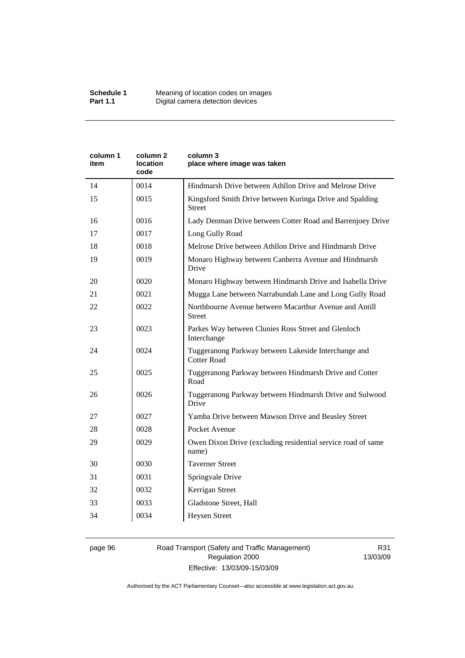| column 2<br>location<br>code | column 3<br>place where image was taken                                    |
|------------------------------|----------------------------------------------------------------------------|
| 0014                         | Hindmarsh Drive between Athllon Drive and Melrose Drive                    |
| 0015                         | Kingsford Smith Drive between Kuringa Drive and Spalding<br>Street         |
| 0016                         | Lady Denman Drive between Cotter Road and Barrenjoey Drive                 |
| 0017                         | Long Gully Road                                                            |
| 0018                         | Melrose Drive between Athllon Drive and Hindmarsh Drive                    |
| 0019                         | Monaro Highway between Canberra Avenue and Hindmarsh<br>Drive              |
| 0020                         | Monaro Highway between Hindmarsh Drive and Isabella Drive                  |
| 0021                         | Mugga Lane between Narrabundah Lane and Long Gully Road                    |
| 0022                         | Northbourne Avenue between Macarthur Avenue and Antill<br><b>Street</b>    |
| 0023                         | Parkes Way between Clunies Ross Street and Glenloch<br>Interchange         |
| 0024                         | Tuggeranong Parkway between Lakeside Interchange and<br><b>Cotter Road</b> |
| 0025                         | Tuggeranong Parkway between Hindmarsh Drive and Cotter<br>Road             |
| 0026                         | Tuggeranong Parkway between Hindmarsh Drive and Sulwood<br>Drive           |
| 0027                         | Yamba Drive between Mawson Drive and Beasley Street                        |
| 0028                         | Pocket Avenue                                                              |
| 0029                         | Owen Dixon Drive (excluding residential service road of same<br>name)      |
| 0030                         | <b>Taverner Street</b>                                                     |
| 0031                         | Springvale Drive                                                           |
| 0032                         | Kerrigan Street                                                            |
| 0033                         | Gladstone Street, Hall                                                     |
| 0034                         | <b>Heysen Street</b>                                                       |
|                              |                                                                            |

### page 96 Road Transport (Safety and Traffic Management) Regulation 2000 Effective: 13/03/09-15/03/09

R31 13/03/09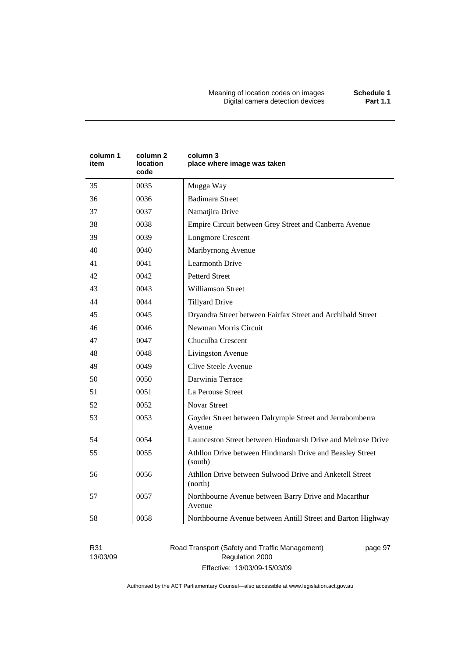Meaning of location codes on images **Schedule 1**  Digital camera detection devices **Part 1.1** 

| column 1<br>item | column <sub>2</sub><br>location<br>code | column 3<br>place where image was taken                             |
|------------------|-----------------------------------------|---------------------------------------------------------------------|
| 35               | 0035                                    | Mugga Way                                                           |
| 36               | 0036                                    | <b>Badimara Street</b>                                              |
| 37               | 0037                                    | Namatjira Drive                                                     |
| 38               | 0038                                    | Empire Circuit between Grey Street and Canberra Avenue              |
| 39               | 0039                                    | <b>Longmore Crescent</b>                                            |
| 40               | 0040                                    | Maribyrnong Avenue                                                  |
| 41               | 0041                                    | <b>Learmonth Drive</b>                                              |
| 42               | 0042                                    | <b>Petterd Street</b>                                               |
| 43               | 0043                                    | <b>Williamson Street</b>                                            |
| 44               | 0044                                    | <b>Tillyard Drive</b>                                               |
| 45               | 0045                                    | Dryandra Street between Fairfax Street and Archibald Street         |
| 46               | 0046                                    | Newman Morris Circuit                                               |
| 47               | 0047                                    | Chuculba Crescent                                                   |
| 48               | 0048                                    | Livingston Avenue                                                   |
| 49               | 0049                                    | <b>Clive Steele Avenue</b>                                          |
| 50               | 0050                                    | Darwinia Terrace                                                    |
| 51               | 0051                                    | La Perouse Street                                                   |
| 52               | 0052                                    | <b>Novar Street</b>                                                 |
| 53               | 0053                                    | Goyder Street between Dalrymple Street and Jerrabomberra<br>Avenue  |
| 54               | 0054                                    | Launceston Street between Hindmarsh Drive and Melrose Drive         |
| 55               | 0055                                    | Athllon Drive between Hindmarsh Drive and Beasley Street<br>(south) |
| 56               | 0056                                    | Athllon Drive between Sulwood Drive and Anketell Street<br>(north)  |
| 57               | 0057                                    | Northbourne Avenue between Barry Drive and Macarthur<br>Avenue      |
| 58               | 0058                                    | Northbourne Avenue between Antill Street and Barton Highway         |

R31 13/03/09 Road Transport (Safety and Traffic Management) Regulation 2000 Effective: 13/03/09-15/03/09

page 97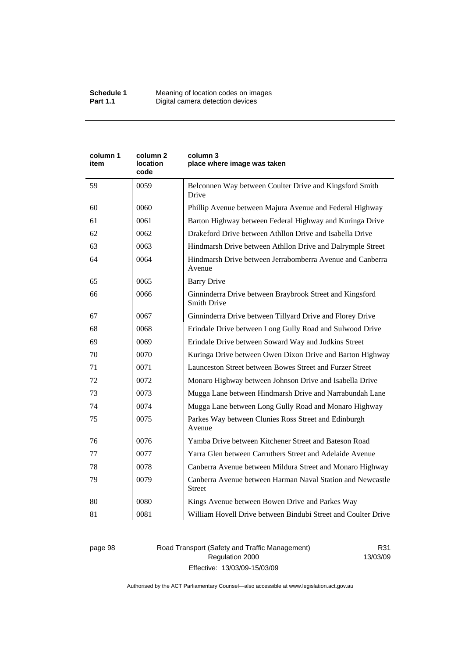| column 1<br>item | column 2<br>location<br>code | column 3<br>place where image was taken                                        |
|------------------|------------------------------|--------------------------------------------------------------------------------|
| 59               | 0059                         | Belconnen Way between Coulter Drive and Kingsford Smith<br>Drive               |
| 60               | 0060                         | Phillip Avenue between Majura Avenue and Federal Highway                       |
| 61               | 0061                         | Barton Highway between Federal Highway and Kuringa Drive                       |
| 62               | 0062                         | Drakeford Drive between Athllon Drive and Isabella Drive                       |
| 63               | 0063                         | Hindmarsh Drive between Athllon Drive and Dalrymple Street                     |
| 64               | 0064                         | Hindmarsh Drive between Jerrabomberra Avenue and Canberra<br>Avenue            |
| 65               | 0065                         | <b>Barry Drive</b>                                                             |
| 66               | 0066                         | Ginninderra Drive between Braybrook Street and Kingsford<br><b>Smith Drive</b> |
| 67               | 0067                         | Ginninderra Drive between Tillyard Drive and Florey Drive                      |
| 68               | 0068                         | Erindale Drive between Long Gully Road and Sulwood Drive                       |
| 69               | 0069                         | Erindale Drive between Soward Way and Judkins Street                           |
| 70               | 0070                         | Kuringa Drive between Owen Dixon Drive and Barton Highway                      |
| 71               | 0071                         | Launceston Street between Bowes Street and Furzer Street                       |
| 72               | 0072                         | Monaro Highway between Johnson Drive and Isabella Drive                        |
| 73               | 0073                         | Mugga Lane between Hindmarsh Drive and Narrabundah Lane                        |
| 74               | 0074                         | Mugga Lane between Long Gully Road and Monaro Highway                          |
| 75               | 0075                         | Parkes Way between Clunies Ross Street and Edinburgh<br>Avenue                 |
| 76               | 0076                         | Yamba Drive between Kitchener Street and Bateson Road                          |
| 77               | 0077                         | Yarra Glen between Carruthers Street and Adelaide Avenue                       |
| 78               | 0078                         | Canberra Avenue between Mildura Street and Monaro Highway                      |
| 79               | 0079                         | Canberra Avenue between Harman Naval Station and Newcastle<br><b>Street</b>    |
| 80               | 0080                         | Kings Avenue between Bowen Drive and Parkes Way                                |
| 81               | 0081                         | William Hovell Drive between Bindubi Street and Coulter Drive                  |

page 98 Road Transport (Safety and Traffic Management) Regulation 2000 Effective: 13/03/09-15/03/09

R31 13/03/09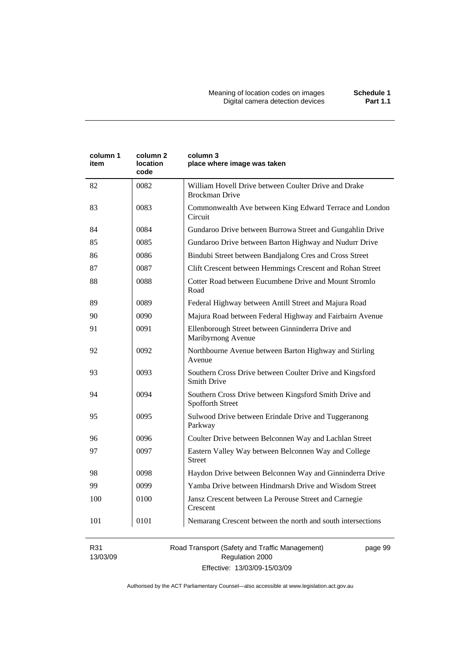| column 1<br>item | column <sub>2</sub><br>location<br>code | column 3<br>place where image was taken                                        |
|------------------|-----------------------------------------|--------------------------------------------------------------------------------|
| 82               | 0082                                    | William Hovell Drive between Coulter Drive and Drake<br><b>Brockman Drive</b>  |
| 83               | 0083                                    | Commonwealth Ave between King Edward Terrace and London<br>Circuit             |
| 84               | 0084                                    | Gundaroo Drive between Burrowa Street and Gungahlin Drive                      |
| 85               | 0085                                    | Gundaroo Drive between Barton Highway and Nudurr Drive                         |
| 86               | 0086                                    | Bindubi Street between Bandjalong Cres and Cross Street                        |
| 87               | 0087                                    | Clift Crescent between Hemmings Crescent and Rohan Street                      |
| 88               | 0088                                    | Cotter Road between Eucumbene Drive and Mount Stromlo<br>Road                  |
| 89               | 0089                                    | Federal Highway between Antill Street and Majura Road                          |
| 90               | 0090                                    | Majura Road between Federal Highway and Fairbairn Avenue                       |
| 91               | 0091                                    | Ellenborough Street between Ginninderra Drive and<br>Maribyrnong Avenue        |
| 92               | 0092                                    | Northbourne Avenue between Barton Highway and Stirling<br>Avenue               |
| 93               | 0093                                    | Southern Cross Drive between Coulter Drive and Kingsford<br><b>Smith Drive</b> |
| 94               | 0094                                    | Southern Cross Drive between Kingsford Smith Drive and<br>Spofforth Street     |
| 95               | 0095                                    | Sulwood Drive between Erindale Drive and Tuggeranong<br>Parkway                |
| 96               | 0096                                    | Coulter Drive between Belconnen Way and Lachlan Street                         |
| 97               | 0097                                    | Eastern Valley Way between Belconnen Way and College<br><b>Street</b>          |
| 98               | 0098                                    | Haydon Drive between Belconnen Way and Ginninderra Drive                       |
| 99               | 0099                                    | Yamba Drive between Hindmarsh Drive and Wisdom Street                          |
| 100              | 0100                                    | Jansz Crescent between La Perouse Street and Carnegie<br>Crescent              |
| 101              | 0101                                    | Nemarang Crescent between the north and south intersections                    |

R31 13/03/09 Road Transport (Safety and Traffic Management) Regulation 2000 Effective: 13/03/09-15/03/09

page 99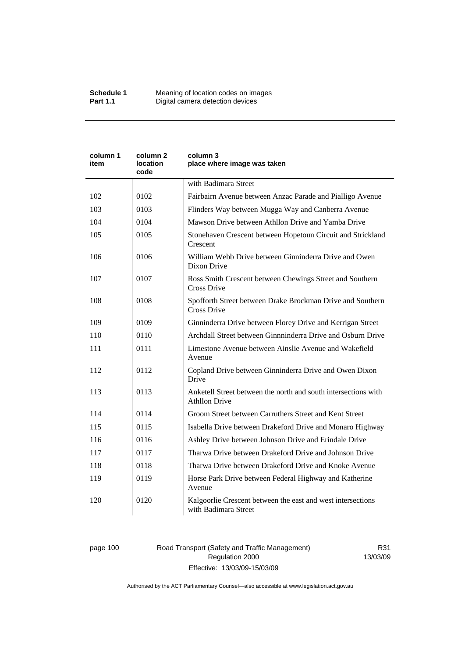| column 1<br>item | column 2<br>location<br>code | column 3<br>place where image was taken                                                |
|------------------|------------------------------|----------------------------------------------------------------------------------------|
|                  |                              | with Badimara Street                                                                   |
| 102              | 0102                         | Fairbairn Avenue between Anzac Parade and Pialligo Avenue                              |
| 103              | 0103                         | Flinders Way between Mugga Way and Canberra Avenue                                     |
| 104              | 0104                         | Mawson Drive between Athllon Drive and Yamba Drive                                     |
| 105              | 0105                         | Stonehaven Crescent between Hopetoun Circuit and Strickland<br>Crescent                |
| 106              | 0106                         | William Webb Drive between Ginninderra Drive and Owen<br>Dixon Drive                   |
| 107              | 0107                         | Ross Smith Crescent between Chewings Street and Southern<br>Cross Drive                |
| 108              | 0108                         | Spofforth Street between Drake Brockman Drive and Southern<br><b>Cross Drive</b>       |
| 109              | 0109                         | Ginninderra Drive between Florey Drive and Kerrigan Street                             |
| 110              | 0110                         | Archdall Street between Ginnninderra Drive and Osburn Drive                            |
| 111              | 0111                         | Limestone Avenue between Ainslie Avenue and Wakefield<br>Avenue                        |
| 112              | 0112                         | Copland Drive between Ginninderra Drive and Owen Dixon<br>Drive                        |
| 113              | 0113                         | Anketell Street between the north and south intersections with<br><b>Athllon Drive</b> |
| 114              | 0114                         | Groom Street between Carruthers Street and Kent Street                                 |
| 115              | 0115                         | Isabella Drive between Drakeford Drive and Monaro Highway                              |
| 116              | 0116                         | Ashley Drive between Johnson Drive and Erindale Drive                                  |
| 117              | 0117                         | Tharwa Drive between Drakeford Drive and Johnson Drive                                 |
| 118              | 0118                         | Tharwa Drive between Drakeford Drive and Knoke Avenue                                  |
| 119              | 0119                         | Horse Park Drive between Federal Highway and Katherine<br>Avenue                       |
| 120              | 0120                         | Kalgoorlie Crescent between the east and west intersections<br>with Badimara Street    |

# page 100 Road Transport (Safety and Traffic Management) Regulation 2000 Effective: 13/03/09-15/03/09

R31 13/03/09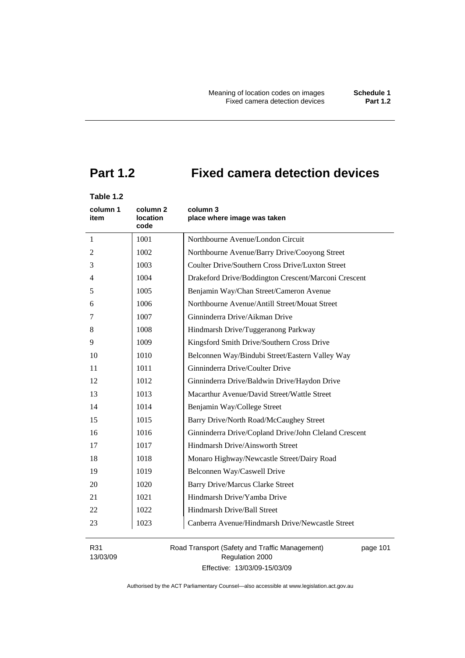# **Part 1.2 Fixed camera detection devices**

# **Table 1.2**

| column 1<br>item | column 2<br>location<br>code | column 3<br>place where image was taken               |
|------------------|------------------------------|-------------------------------------------------------|
| $\mathbf{1}$     | 1001                         | Northbourne Avenue/London Circuit                     |
| 2                | 1002                         | Northbourne Avenue/Barry Drive/Cooyong Street         |
| 3                | 1003                         | Coulter Drive/Southern Cross Drive/Luxton Street      |
| 4                | 1004                         | Drakeford Drive/Boddington Crescent/Marconi Crescent  |
| 5                | 1005                         | Benjamin Way/Chan Street/Cameron Avenue               |
| 6                | 1006                         | Northbourne Avenue/Antill Street/Mouat Street         |
| 7                | 1007                         | Ginninderra Drive/Aikman Drive                        |
| 8                | 1008                         | Hindmarsh Drive/Tuggeranong Parkway                   |
| 9                | 1009                         | Kingsford Smith Drive/Southern Cross Drive            |
| 10               | 1010                         | Belconnen Way/Bindubi Street/Eastern Valley Way       |
| 11               | 1011                         | Ginninderra Drive/Coulter Drive                       |
| 12               | 1012                         | Ginninderra Drive/Baldwin Drive/Haydon Drive          |
| 13               | 1013                         | Macarthur Avenue/David Street/Wattle Street           |
| 14               | 1014                         | Benjamin Way/College Street                           |
| 15               | 1015                         | Barry Drive/North Road/McCaughey Street               |
| 16               | 1016                         | Ginninderra Drive/Copland Drive/John Cleland Crescent |
| 17               | 1017                         | Hindmarsh Drive/Ainsworth Street                      |
| 18               | 1018                         | Monaro Highway/Newcastle Street/Dairy Road            |
| 19               | 1019                         | Belconnen Way/Caswell Drive                           |
| 20               | 1020                         | <b>Barry Drive/Marcus Clarke Street</b>               |
| 21               | 1021                         | Hindmarsh Drive/Yamba Drive                           |
| 22               | 1022                         | Hindmarsh Drive/Ball Street                           |
| 23               | 1023                         | Canberra Avenue/Hindmarsh Drive/Newcastle Street      |

R31 13/03/09

Road Transport (Safety and Traffic Management) Regulation 2000 Effective: 13/03/09-15/03/09

page 101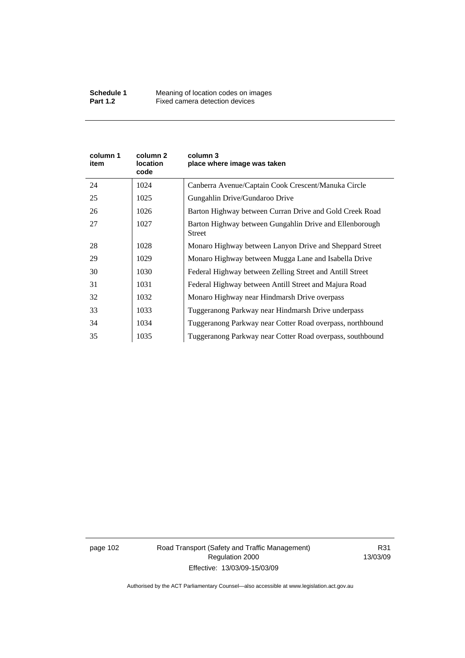| column 1<br>item | column 2<br>location<br>code | column 3<br>place where image was taken                                  |
|------------------|------------------------------|--------------------------------------------------------------------------|
| 24               | 1024                         | Canberra Avenue/Captain Cook Crescent/Manuka Circle                      |
| 25               | 1025                         | Gungahlin Drive/Gundaroo Drive                                           |
| 26               | 1026                         | Barton Highway between Curran Drive and Gold Creek Road                  |
| 27               | 1027                         | Barton Highway between Gungahlin Drive and Ellenborough<br><b>Street</b> |
| 28               | 1028                         | Monaro Highway between Lanyon Drive and Sheppard Street                  |
| 29               | 1029                         | Monaro Highway between Mugga Lane and Isabella Drive                     |
| 30               | 1030                         | Federal Highway between Zelling Street and Antill Street                 |
| 31               | 1031                         | Federal Highway between Antill Street and Majura Road                    |
| 32               | 1032                         | Monaro Highway near Hindmarsh Drive overpass                             |
| 33               | 1033                         | Tuggeranong Parkway near Hindmarsh Drive underpass                       |
| 34               | 1034                         | Tuggeranong Parkway near Cotter Road overpass, northbound                |
| 35               | 1035                         | Tuggeranong Parkway near Cotter Road overpass, southbound                |

page 102 Road Transport (Safety and Traffic Management) Regulation 2000 Effective: 13/03/09-15/03/09

R31 13/03/09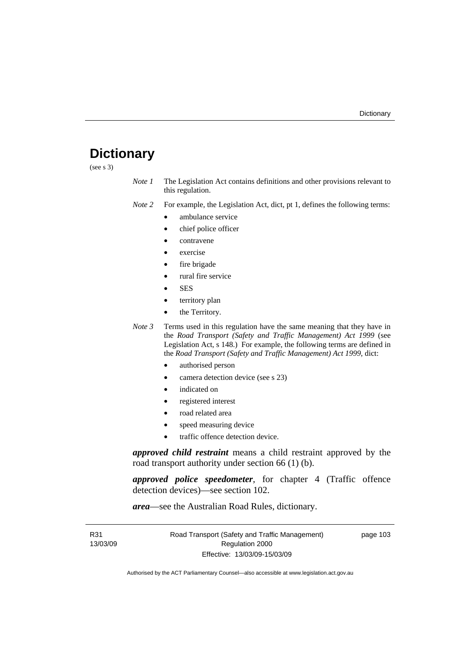# **Dictionary**

(see s 3)

*Note 1* The Legislation Act contains definitions and other provisions relevant to this regulation.

*Note 2* For example, the Legislation Act, dict, pt 1, defines the following terms:

- ambulance service
	- chief police officer
- contravene
- exercise
- fire brigade
- rural fire service
- SES
- territory plan
- the Territory.
- *Note 3* Terms used in this regulation have the same meaning that they have in the *Road Transport (Safety and Traffic Management) Act 1999* (see Legislation Act, s 148.) For example, the following terms are defined in the *Road Transport (Safety and Traffic Management) Act 1999*, dict:
	- authorised person
	- camera detection device (see s 23)
	- indicated on
	- registered interest
	- road related area
	- speed measuring device
	- traffic offence detection device.

*approved child restraint* means a child restraint approved by the road transport authority under section 66 (1) (b).

*approved police speedometer*, for chapter 4 (Traffic offence detection devices)—see section 102.

*area*—see the Australian Road Rules, dictionary.

| R31      | Road Transport (Safety and Traffic Management) | page 103 |
|----------|------------------------------------------------|----------|
| 13/03/09 | Regulation 2000                                |          |
|          | Effective: 13/03/09-15/03/09                   |          |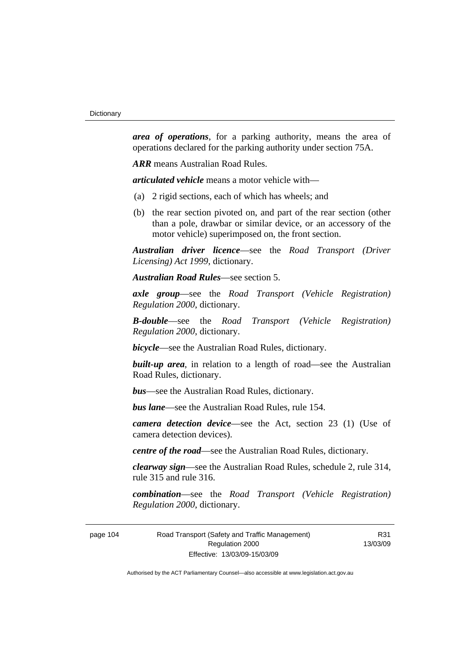*area of operations*, for a parking authority, means the area of operations declared for the parking authority under section 75A.

*ARR* means Australian Road Rules.

*articulated vehicle* means a motor vehicle with—

- (a) 2 rigid sections, each of which has wheels; and
- (b) the rear section pivoted on, and part of the rear section (other than a pole, drawbar or similar device, or an accessory of the motor vehicle) superimposed on, the front section.

*Australian driver licence*—see the *Road Transport (Driver Licensing) Act 1999*, dictionary.

*Australian Road Rules*—see section 5.

*axle group*—see the *Road Transport (Vehicle Registration) Regulation 2000*, dictionary.

*B-double*—see the *Road Transport (Vehicle Registration) Regulation 2000*, dictionary.

*bicycle*—see the Australian Road Rules, dictionary.

**built-up area**, in relation to a length of road—see the Australian Road Rules, dictionary.

*bus*—see the Australian Road Rules, dictionary.

*bus lane*—see the Australian Road Rules, rule 154.

*camera detection device*—see the Act, section 23 (1) (Use of camera detection devices).

*centre of the road*—see the Australian Road Rules, dictionary.

*clearway sign*—see the Australian Road Rules, schedule 2, rule 314, rule 315 and rule 316.

*combination*—see the *Road Transport (Vehicle Registration) Regulation 2000*, dictionary.

page 104 Road Transport (Safety and Traffic Management) Regulation 2000 Effective: 13/03/09-15/03/09

R31 13/03/09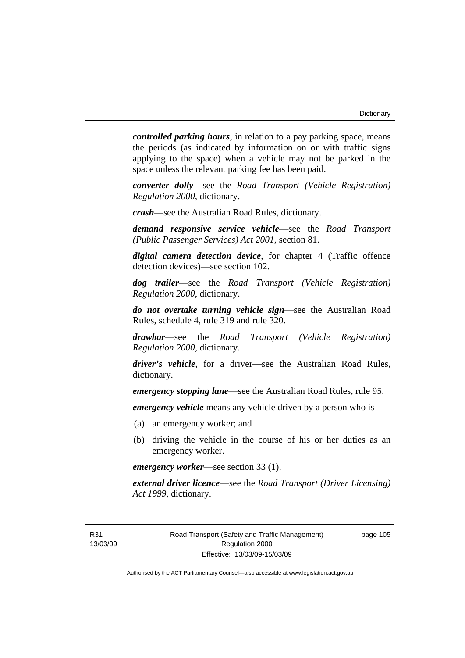*controlled parking hours*, in relation to a pay parking space, means the periods (as indicated by information on or with traffic signs applying to the space) when a vehicle may not be parked in the space unless the relevant parking fee has been paid.

*converter dolly*—see the *Road Transport (Vehicle Registration) Regulation 2000*, dictionary.

*crash*—see the Australian Road Rules, dictionary.

*demand responsive service vehicle*—see the *Road Transport (Public Passenger Services) Act 2001*, section 81.

*digital camera detection device*, for chapter 4 (Traffic offence detection devices)—see section 102.

*dog trailer*—see the *Road Transport (Vehicle Registration) Regulation 2000*, dictionary.

*do not overtake turning vehicle sign*—see the Australian Road Rules, schedule 4, rule 319 and rule 320.

*drawbar*—see the *Road Transport (Vehicle Registration) Regulation 2000*, dictionary.

*driver's vehicle*, for a driver*—*see the Australian Road Rules, dictionary.

*emergency stopping lane*—see the Australian Road Rules, rule 95.

*emergency vehicle* means any vehicle driven by a person who is—

- (a) an emergency worker; and
- (b) driving the vehicle in the course of his or her duties as an emergency worker.

*emergency worker*—see section 33 (1).

*external driver licence*—see the *Road Transport (Driver Licensing) Act 1999*, dictionary.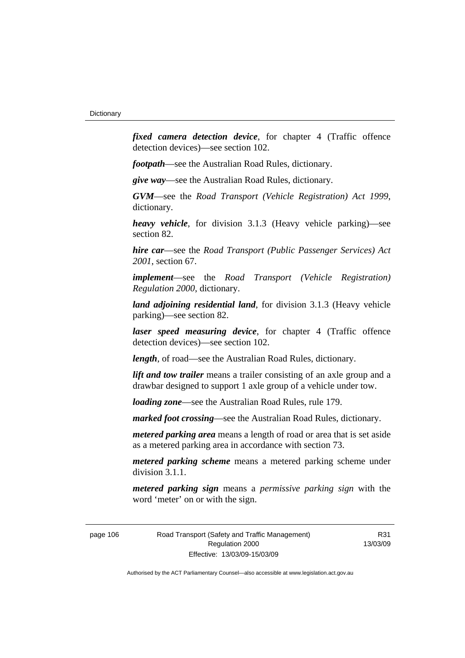*fixed camera detection device*, for chapter 4 (Traffic offence detection devices)—see section 102.

*footpath*—see the Australian Road Rules, dictionary.

*give way*—see the Australian Road Rules, dictionary.

*GVM*—see the *Road Transport (Vehicle Registration) Act 1999*, dictionary.

*heavy vehicle*, for division 3.1.3 (Heavy vehicle parking)—see section 82.

*hire car*—see the *Road Transport (Public Passenger Services) Act 2001*, section 67.

*implement*—see the *Road Transport (Vehicle Registration) Regulation 2000*, dictionary.

*land adjoining residential land*, for division 3.1.3 (Heavy vehicle parking)—see section 82.

*laser speed measuring device*, for chapter 4 (Traffic offence detection devices)—see section 102.

*length*, of road—see the Australian Road Rules, dictionary.

*lift and tow trailer* means a trailer consisting of an axle group and a drawbar designed to support 1 axle group of a vehicle under tow.

*loading zone*—see the Australian Road Rules, rule 179.

*marked foot crossing*—see the Australian Road Rules, dictionary.

*metered parking area* means a length of road or area that is set aside as a metered parking area in accordance with section 73.

*metered parking scheme* means a metered parking scheme under division 3.1.1.

*metered parking sign* means a *permissive parking sign* with the word 'meter' on or with the sign.

page 106 Road Transport (Safety and Traffic Management) Regulation 2000 Effective: 13/03/09-15/03/09

R31 13/03/09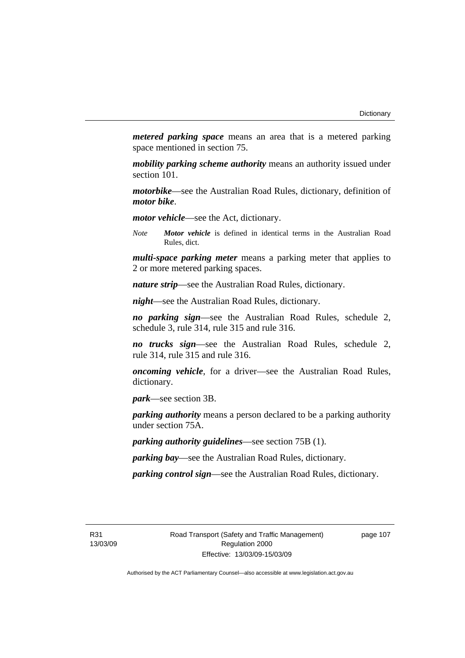*metered parking space* means an area that is a metered parking space mentioned in section 75.

*mobility parking scheme authority* means an authority issued under section 101.

*motorbike*—see the Australian Road Rules, dictionary, definition of *motor bike*.

*motor vehicle*—see the Act, dictionary.

*Note Motor vehicle* is defined in identical terms in the Australian Road Rules, dict.

*multi-space parking meter* means a parking meter that applies to 2 or more metered parking spaces.

*nature strip*—see the Australian Road Rules, dictionary.

*night*—see the Australian Road Rules, dictionary.

*no parking sign*—see the Australian Road Rules, schedule 2, schedule 3, rule 314, rule 315 and rule 316.

*no trucks sign*—see the Australian Road Rules, schedule 2, rule 314, rule 315 and rule 316.

*oncoming vehicle*, for a driver—see the Australian Road Rules, dictionary.

*park*—see section 3B.

*parking authority* means a person declared to be a parking authority under section 75A.

*parking authority guidelines*—see section 75B (1).

*parking bay*—see the Australian Road Rules, dictionary.

*parking control sign*—see the Australian Road Rules, dictionary.

R31 13/03/09 page 107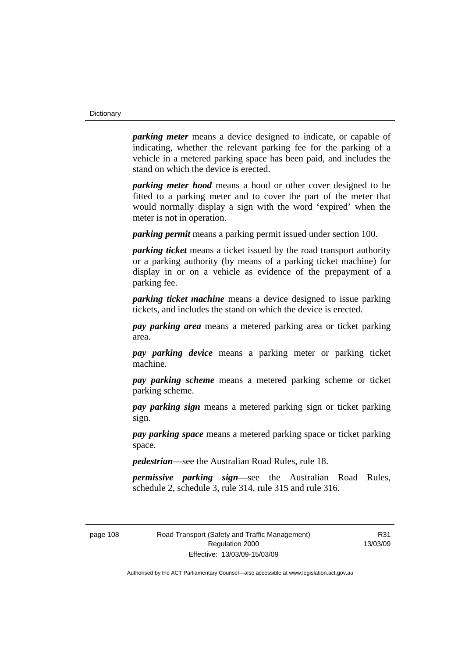*parking meter* means a device designed to indicate, or capable of indicating, whether the relevant parking fee for the parking of a vehicle in a metered parking space has been paid, and includes the stand on which the device is erected.

*parking meter hood* means a hood or other cover designed to be fitted to a parking meter and to cover the part of the meter that would normally display a sign with the word 'expired' when the meter is not in operation.

*parking permit* means a parking permit issued under section 100.

*parking ticket* means a ticket issued by the road transport authority or a parking authority (by means of a parking ticket machine) for display in or on a vehicle as evidence of the prepayment of a parking fee.

*parking ticket machine* means a device designed to issue parking tickets, and includes the stand on which the device is erected.

*pay parking area* means a metered parking area or ticket parking area.

*pay parking device* means a parking meter or parking ticket machine.

*pay parking scheme* means a metered parking scheme or ticket parking scheme.

*pay parking sign* means a metered parking sign or ticket parking sign.

*pay parking space* means a metered parking space or ticket parking space.

*pedestrian*—see the Australian Road Rules, rule 18.

*permissive parking sign*—see the Australian Road Rules, schedule 2, schedule 3, rule 314, rule 315 and rule 316.

page 108 Road Transport (Safety and Traffic Management) Regulation 2000 Effective: 13/03/09-15/03/09

R31 13/03/09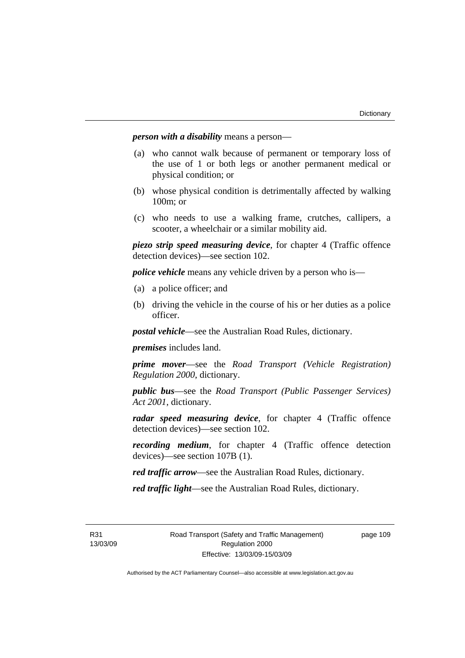*person with a disability* means a person—

- (a) who cannot walk because of permanent or temporary loss of the use of 1 or both legs or another permanent medical or physical condition; or
- (b) whose physical condition is detrimentally affected by walking 100m; or
- (c) who needs to use a walking frame, crutches, callipers, a scooter, a wheelchair or a similar mobility aid.

*piezo strip speed measuring device*, for chapter 4 (Traffic offence detection devices)—see section 102.

*police vehicle* means any vehicle driven by a person who is—

- (a) a police officer; and
- (b) driving the vehicle in the course of his or her duties as a police officer.

*postal vehicle*—see the Australian Road Rules, dictionary.

*premises* includes land.

*prime mover*—see the *Road Transport (Vehicle Registration) Regulation 2000*, dictionary.

*public bus*—see the *Road Transport (Public Passenger Services) Act 2001*, dictionary.

*radar speed measuring device*, for chapter 4 (Traffic offence detection devices)—see section 102.

*recording medium*, for chapter 4 (Traffic offence detection devices)—see section 107B (1).

*red traffic arrow*—see the Australian Road Rules, dictionary.

*red traffic light*—see the Australian Road Rules, dictionary.

R31 13/03/09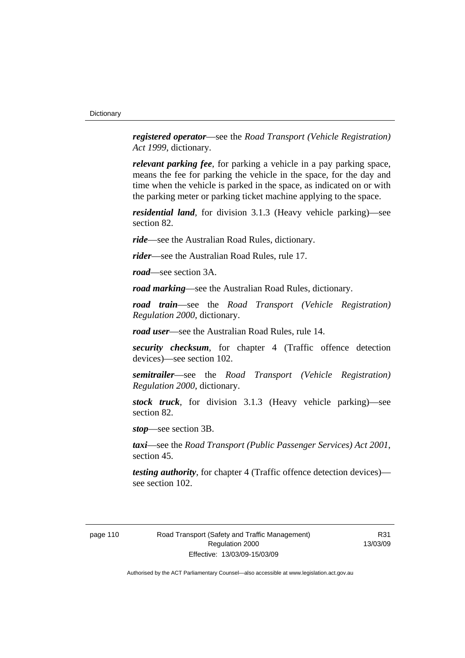*registered operator*—see the *Road Transport (Vehicle Registration) Act 1999*, dictionary.

*relevant parking fee*, for parking a vehicle in a pay parking space, means the fee for parking the vehicle in the space, for the day and time when the vehicle is parked in the space, as indicated on or with the parking meter or parking ticket machine applying to the space.

*residential land*, for division 3.1.3 (Heavy vehicle parking)—see section 82.

*ride*—see the Australian Road Rules, dictionary.

*rider*—see the Australian Road Rules, rule 17.

*road*—see section 3A.

*road marking*—see the Australian Road Rules, dictionary.

*road train*—see the *Road Transport (Vehicle Registration) Regulation 2000*, dictionary.

*road user*—see the Australian Road Rules, rule 14.

*security checksum*, for chapter 4 (Traffic offence detection devices)—see section 102.

*semitrailer*—see the *Road Transport (Vehicle Registration) Regulation 2000*, dictionary.

*stock truck*, for division 3.1.3 (Heavy vehicle parking)—see section 82.

*stop*—see section 3B.

*taxi*—see the *Road Transport (Public Passenger Services) Act 2001*, section 45.

*testing authority*, for chapter 4 (Traffic offence detection devices) see section 102.

R31 13/03/09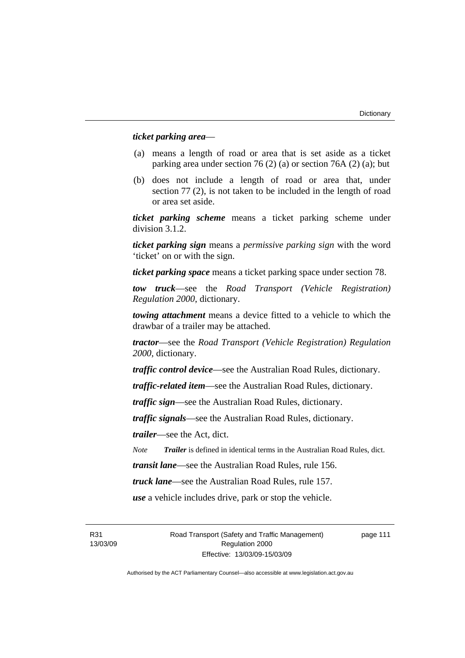### *ticket parking area*—

- (a) means a length of road or area that is set aside as a ticket parking area under section 76 (2) (a) or section 76A (2) (a); but
- (b) does not include a length of road or area that, under section 77 (2), is not taken to be included in the length of road or area set aside.

*ticket parking scheme* means a ticket parking scheme under division 3.1.2.

*ticket parking sign* means a *permissive parking sign* with the word 'ticket' on or with the sign.

*ticket parking space* means a ticket parking space under section 78.

*tow truck*—see the *Road Transport (Vehicle Registration) Regulation 2000*, dictionary.

*towing attachment* means a device fitted to a vehicle to which the drawbar of a trailer may be attached.

*tractor*—see the *Road Transport (Vehicle Registration) Regulation 2000*, dictionary.

*traffic control device*—see the Australian Road Rules, dictionary.

*traffic-related item*—see the Australian Road Rules, dictionary.

*traffic sign*—see the Australian Road Rules, dictionary.

*traffic signals*—see the Australian Road Rules, dictionary.

*trailer*—see the Act, dict.

*Note Trailer* is defined in identical terms in the Australian Road Rules, dict.

*transit lane*—see the Australian Road Rules, rule 156.

*truck lane*—see the Australian Road Rules, rule 157.

*use* a vehicle includes drive, park or stop the vehicle.

R31 13/03/09 Road Transport (Safety and Traffic Management) Regulation 2000 Effective: 13/03/09-15/03/09

page 111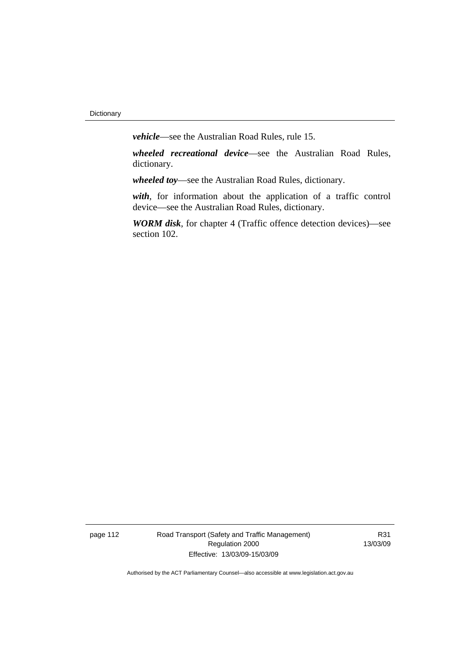*vehicle*—see the Australian Road Rules, rule 15.

*wheeled recreational device*—see the Australian Road Rules, dictionary.

*wheeled toy*—see the Australian Road Rules, dictionary.

*with*, for information about the application of a traffic control device—see the Australian Road Rules, dictionary.

*WORM disk*, for chapter 4 (Traffic offence detection devices)—see section 102.

page 112 Road Transport (Safety and Traffic Management) Regulation 2000 Effective: 13/03/09-15/03/09

R31 13/03/09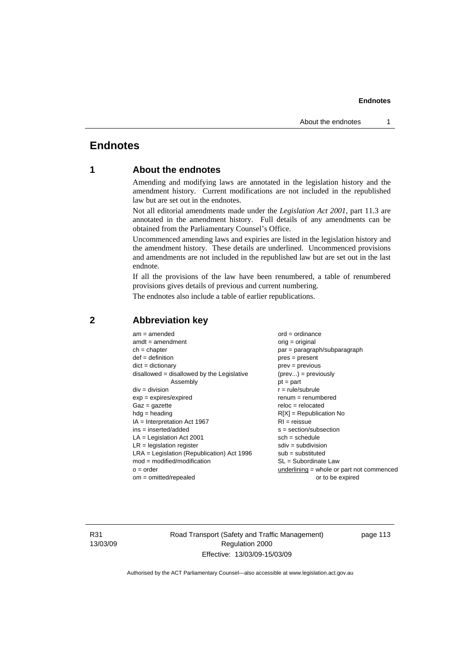# **Endnotes**

# **1 About the endnotes**

Amending and modifying laws are annotated in the legislation history and the amendment history. Current modifications are not included in the republished law but are set out in the endnotes.

Not all editorial amendments made under the *Legislation Act 2001*, part 11.3 are annotated in the amendment history. Full details of any amendments can be obtained from the Parliamentary Counsel's Office.

Uncommenced amending laws and expiries are listed in the legislation history and the amendment history. These details are underlined. Uncommenced provisions and amendments are not included in the republished law but are set out in the last endnote.

If all the provisions of the law have been renumbered, a table of renumbered provisions gives details of previous and current numbering.

The endnotes also include a table of earlier republications.

| $am = amended$                               | $ord = ordinance$                         |
|----------------------------------------------|-------------------------------------------|
| $amdt = amendment$                           | $orig = original$                         |
| $ch = chapter$                               | par = paragraph/subparagraph              |
| $def = definition$                           | $pres = present$                          |
| $dict = dictionary$                          | $prev = previous$                         |
| $disallowed = disallowed by the Legislative$ | $(\text{prev}) = \text{previously}$       |
| Assembly                                     | $pt = part$                               |
| $div = division$                             | $r = rule/subrule$                        |
| $exp = expires/expired$                      | $remum = renumbered$                      |
| $Gaz = gazette$                              | $reloc = relocated$                       |
| $hdg =$ heading                              | $R[X]$ = Republication No                 |
| $IA = Interpretation Act 1967$               | $RI = reissue$                            |
| $ins = inserted/added$                       | $s = section/subsection$                  |
| $LA =$ Legislation Act 2001                  | $sch = schedule$                          |
| $LR =$ legislation register                  | $sdiv = subdivision$                      |
| $LRA =$ Legislation (Republication) Act 1996 | $sub = substituted$                       |
| $mod = modified/modification$                | $SL = Subordinate$ Law                    |
| $o = order$                                  | underlining = whole or part not commenced |
| $om = omitted/repealed$                      | or to be expired                          |
|                                              |                                           |

# **2 Abbreviation key**

R31 13/03/09 Road Transport (Safety and Traffic Management) Regulation 2000 Effective: 13/03/09-15/03/09

page 113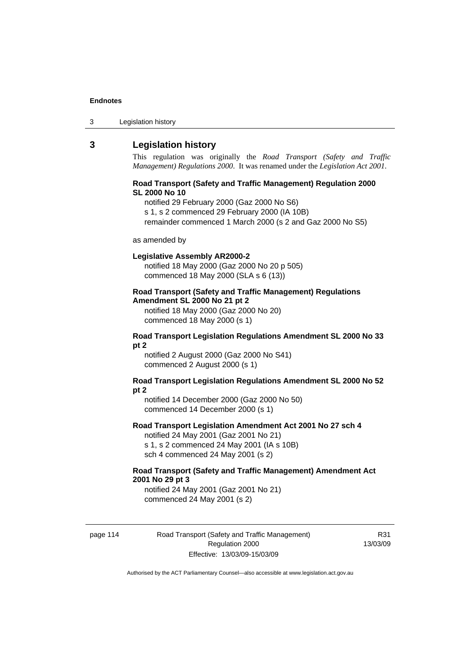| Legislation history<br>3 |
|--------------------------|
|--------------------------|

# **3 Legislation history**

This regulation was originally the *Road Transport (Safety and Traffic Management) Regulations 2000*. It was renamed under the *Legislation Act 2001*.

#### **Road Transport (Safety and Traffic Management) Regulation 2000 SL 2000 No 10**

notified 29 February 2000 (Gaz 2000 No S6)

s 1, s 2 commenced 29 February 2000 (IA 10B)

remainder commenced 1 March 2000 (s 2 and Gaz 2000 No S5)

#### as amended by

#### **Legislative Assembly AR2000-2**

notified 18 May 2000 (Gaz 2000 No 20 p 505) commenced 18 May 2000 (SLA s 6 (13))

## **Road Transport (Safety and Traffic Management) Regulations Amendment SL 2000 No 21 pt 2**

notified 18 May 2000 (Gaz 2000 No 20) commenced 18 May 2000 (s 1)

#### **Road Transport Legislation Regulations Amendment SL 2000 No 33 pt 2**

notified 2 August 2000 (Gaz 2000 No S41) commenced 2 August 2000 (s 1)

#### **Road Transport Legislation Regulations Amendment SL 2000 No 52 pt 2**

notified 14 December 2000 (Gaz 2000 No 50) commenced 14 December 2000 (s 1)

#### **Road Transport Legislation Amendment Act 2001 No 27 sch 4**

notified 24 May 2001 (Gaz 2001 No 21) s 1, s 2 commenced 24 May 2001 (IA s 10B) sch 4 commenced 24 May 2001 (s 2)

### **Road Transport (Safety and Traffic Management) Amendment Act 2001 No 29 pt 3**

notified 24 May 2001 (Gaz 2001 No 21) commenced 24 May 2001 (s 2)

page 114 Road Transport (Safety and Traffic Management) Regulation 2000 Effective: 13/03/09-15/03/09

R31 13/03/09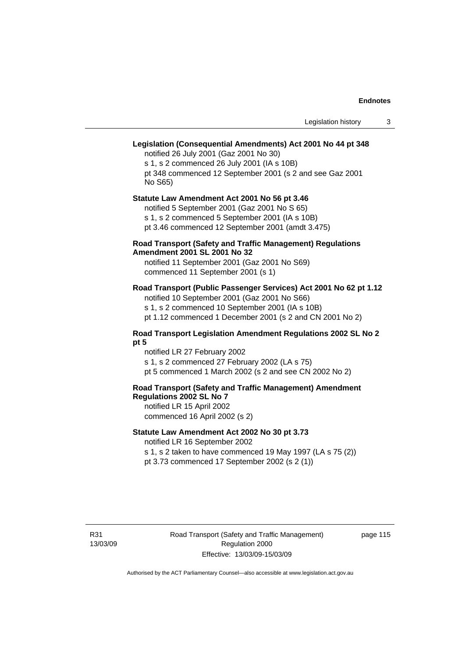# **Legislation (Consequential Amendments) Act 2001 No 44 pt 348**

notified 26 July 2001 (Gaz 2001 No 30) s 1, s 2 commenced 26 July 2001 (IA s 10B) pt 348 commenced 12 September 2001 (s 2 and see Gaz 2001 No S65)

# **Statute Law Amendment Act 2001 No 56 pt 3.46**

notified 5 September 2001 (Gaz 2001 No S 65) s 1, s 2 commenced 5 September 2001 (IA s 10B)

pt 3.46 commenced 12 September 2001 (amdt 3.475)

### **Road Transport (Safety and Traffic Management) Regulations Amendment 2001 SL 2001 No 32**

notified 11 September 2001 (Gaz 2001 No S69) commenced 11 September 2001 (s 1)

# **Road Transport (Public Passenger Services) Act 2001 No 62 pt 1.12**

notified 10 September 2001 (Gaz 2001 No S66) s 1, s 2 commenced 10 September 2001 (IA s 10B)

pt 1.12 commenced 1 December 2001 (s 2 and CN 2001 No 2)

#### **Road Transport Legislation Amendment Regulations 2002 SL No 2 pt 5**

notified LR 27 February 2002 s 1, s 2 commenced 27 February 2002 (LA s 75) pt 5 commenced 1 March 2002 (s 2 and see CN 2002 No 2)

# **Road Transport (Safety and Traffic Management) Amendment Regulations 2002 SL No 7**

notified LR 15 April 2002 commenced 16 April 2002 (s 2)

# **Statute Law Amendment Act 2002 No 30 pt 3.73**

notified LR 16 September 2002

s 1, s 2 taken to have commenced 19 May 1997 (LA s 75 (2)) pt 3.73 commenced 17 September 2002 (s 2 (1))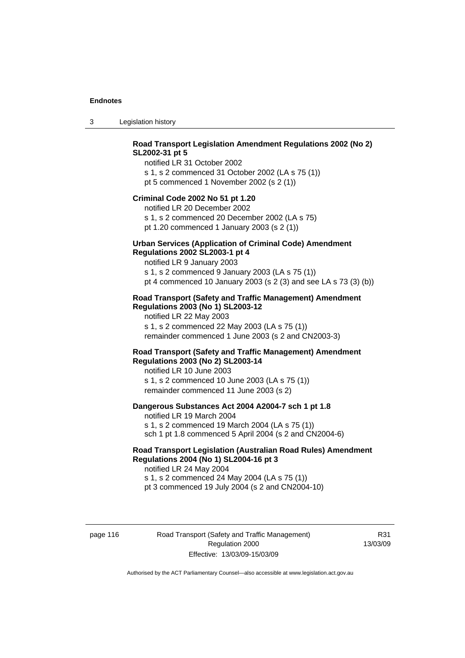3 Legislation history

# **Road Transport Legislation Amendment Regulations 2002 (No 2) SL2002-31 pt 5**

notified LR 31 October 2002 s 1, s 2 commenced 31 October 2002 (LA s 75 (1)) pt 5 commenced 1 November 2002 (s 2 (1))

#### **Criminal Code 2002 No 51 pt 1.20**

notified LR 20 December 2002 s 1, s 2 commenced 20 December 2002 (LA s 75) pt 1.20 commenced 1 January 2003 (s 2 (1))

#### **Urban Services (Application of Criminal Code) Amendment Regulations 2002 SL2003-1 pt 4**

notified LR 9 January 2003 s 1, s 2 commenced 9 January 2003 (LA s 75 (1)) pt 4 commenced 10 January 2003 (s 2 (3) and see LA s 73 (3) (b))

# **Road Transport (Safety and Traffic Management) Amendment Regulations 2003 (No 1) SL2003-12**

notified LR 22 May 2003 s 1, s 2 commenced 22 May 2003 (LA s 75 (1)) remainder commenced 1 June 2003 (s 2 and CN2003-3)

### **Road Transport (Safety and Traffic Management) Amendment Regulations 2003 (No 2) SL2003-14**

notified LR 10 June 2003 s 1, s 2 commenced 10 June 2003 (LA s 75 (1)) remainder commenced 11 June 2003 (s 2)

#### **Dangerous Substances Act 2004 A2004-7 sch 1 pt 1.8**

notified LR 19 March 2004 s 1, s 2 commenced 19 March 2004 (LA s 75 (1)) sch 1 pt 1.8 commenced 5 April 2004 (s 2 and CN2004-6)

# **Road Transport Legislation (Australian Road Rules) Amendment Regulations 2004 (No 1) SL2004-16 pt 3**

notified LR 24 May 2004 s 1, s 2 commenced 24 May 2004 (LA s 75 (1)) pt 3 commenced 19 July 2004 (s 2 and CN2004-10)

page 116 Road Transport (Safety and Traffic Management) Regulation 2000 Effective: 13/03/09-15/03/09

R31 13/03/09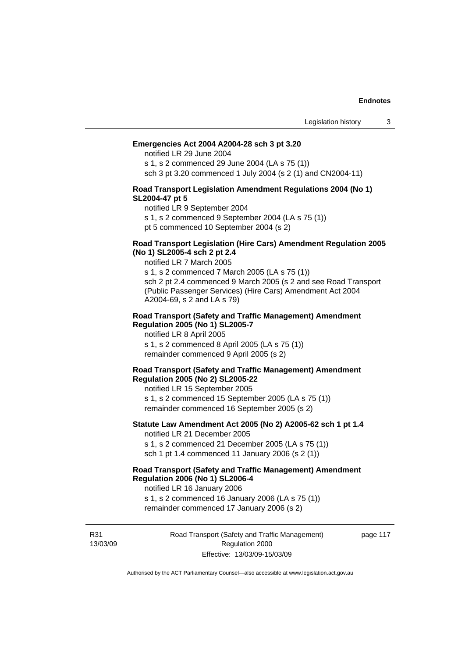#### **Emergencies Act 2004 A2004-28 sch 3 pt 3.20**

notified LR 29 June 2004

s 1, s 2 commenced 29 June 2004 (LA s 75 (1)) sch 3 pt 3.20 commenced 1 July 2004 (s 2 (1) and CN2004-11)

#### **Road Transport Legislation Amendment Regulations 2004 (No 1) SL2004-47 pt 5**

notified LR 9 September 2004

s 1, s 2 commenced 9 September 2004 (LA s 75 (1))

pt 5 commenced 10 September 2004 (s 2)

### **Road Transport Legislation (Hire Cars) Amendment Regulation 2005 (No 1) SL2005-4 sch 2 pt 2.4**

notified LR 7 March 2005

s 1, s 2 commenced 7 March 2005 (LA s 75 (1)) sch 2 pt 2.4 commenced 9 March 2005 (s 2 and see Road Transport (Public Passenger Services) (Hire Cars) Amendment Act 2004 A2004-69, s 2 and LA s 79)

#### **Road Transport (Safety and Traffic Management) Amendment Regulation 2005 (No 1) SL2005-7**

notified LR 8 April 2005 s 1, s 2 commenced 8 April 2005 (LA s 75 (1)) remainder commenced 9 April 2005 (s 2)

#### **Road Transport (Safety and Traffic Management) Amendment Regulation 2005 (No 2) SL2005-22**

notified LR 15 September 2005 s 1, s 2 commenced 15 September 2005 (LA s 75 (1)) remainder commenced 16 September 2005 (s 2)

#### **Statute Law Amendment Act 2005 (No 2) A2005-62 sch 1 pt 1.4**  notified LR 21 December 2005

s 1, s 2 commenced 21 December 2005 (LA s 75 (1)) sch 1 pt 1.4 commenced 11 January 2006 (s 2 (1))

# **Road Transport (Safety and Traffic Management) Amendment Regulation 2006 (No 1) SL2006-4**

notified LR 16 January 2006 s 1, s 2 commenced 16 January 2006 (LA s 75 (1))

remainder commenced 17 January 2006 (s 2)

R31 13/03/09 Road Transport (Safety and Traffic Management) Regulation 2000 Effective: 13/03/09-15/03/09

page 117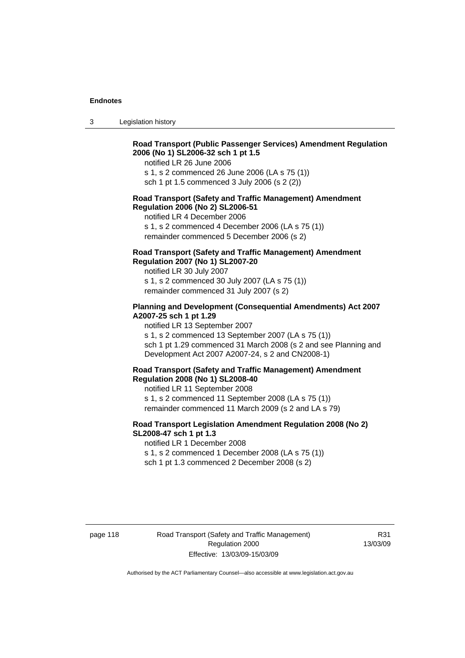3 Legislation history

# **Road Transport (Public Passenger Services) Amendment Regulation 2006 (No 1) SL2006-32 sch 1 pt 1.5**

notified LR 26 June 2006

s 1, s 2 commenced 26 June 2006 (LA s 75 (1)) sch 1 pt 1.5 commenced 3 July 2006 (s 2 (2))

#### **Road Transport (Safety and Traffic Management) Amendment Regulation 2006 (No 2) SL2006-51**

notified LR 4 December 2006

s 1, s 2 commenced 4 December 2006 (LA s 75 (1)) remainder commenced 5 December 2006 (s 2)

# **Road Transport (Safety and Traffic Management) Amendment Regulation 2007 (No 1) SL2007-20**

notified LR 30 July 2007 s 1, s 2 commenced 30 July 2007 (LA s 75 (1)) remainder commenced 31 July 2007 (s 2)

## **Planning and Development (Consequential Amendments) Act 2007 A2007-25 sch 1 pt 1.29**

notified LR 13 September 2007

s 1, s 2 commenced 13 September 2007 (LA s 75 (1)) sch 1 pt 1.29 commenced 31 March 2008 (s 2 and see Planning and Development Act 2007 A2007-24, s 2 and CN2008-1)

#### **Road Transport (Safety and Traffic Management) Amendment Regulation 2008 (No 1) SL2008-40**

notified LR 11 September 2008 s 1, s 2 commenced 11 September 2008 (LA s 75 (1)) remainder commenced 11 March 2009 (s 2 and LA s 79)

### **Road Transport Legislation Amendment Regulation 2008 (No 2) SL2008-47 sch 1 pt 1.3**

notified LR 1 December 2008 s 1, s 2 commenced 1 December 2008 (LA s 75 (1)) sch 1 pt 1.3 commenced 2 December 2008 (s 2)

page 118 Road Transport (Safety and Traffic Management) Regulation 2000 Effective: 13/03/09-15/03/09

R31 13/03/09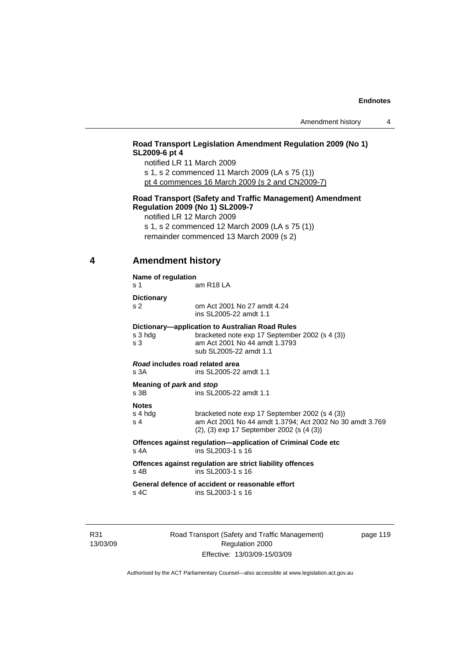# **Road Transport Legislation Amendment Regulation 2009 (No 1) SL2009-6 pt 4**

notified LR 11 March 2009

s 1, s 2 commenced 11 March 2009 (LA s 75 (1)) pt 4 commences 16 March 2009 (s 2 and CN2009-7)

#### **Road Transport (Safety and Traffic Management) Amendment Regulation 2009 (No 1) SL2009-7**

notified LR 12 March 2009

s 1, s 2 commenced 12 March 2009 (LA s 75 (1)) remainder commenced 13 March 2009 (s 2)

# **4 Amendment history**

# **Name of regulation**

s 1 am R18 LA

**Dictionary** 

s 2 om Act 2001 No 27 amdt 4.24

 ins SL2005-22 amdt 1.1 **Dictionary—application to Australian Road Rules**  s 3 hdg bracketed note exp 17 September 2002 (s 4 (3))

| $\mathbf{s}$ 3 | am Act 2001 No 44 amdt 1.3793<br>sub SL2005-22 amdt 1.1 |  |
|----------------|---------------------------------------------------------|--|
|                | Road includes road related area                         |  |
| s 3A           | ins SL2005-22 amdt 1.1                                  |  |

**Meaning of** *park* **and** *stop*

s 3B ins SL2005-22 amdt 1.1

# **Notes**

| s 4 hda | bracketed note exp 17 September 2002 (s 4 (3))           |
|---------|----------------------------------------------------------|
| s 4     | am Act 2001 No 44 amdt 1.3794; Act 2002 No 30 amdt 3.769 |
|         | $(2)$ , $(3)$ exp 17 September 2002 (s $(4 \, (3))$ )    |

**Offences against regulation—application of Criminal Code etc**  s 4A ins SL2003-1 s 16

**Offences against regulation are strict liability offences**  s 4B ins SL2003-1 s 16

**General defence of accident or reasonable effort**  s 4C ins SL2003-1 s 16

R31 13/03/09 Road Transport (Safety and Traffic Management) Regulation 2000 Effective: 13/03/09-15/03/09

page 119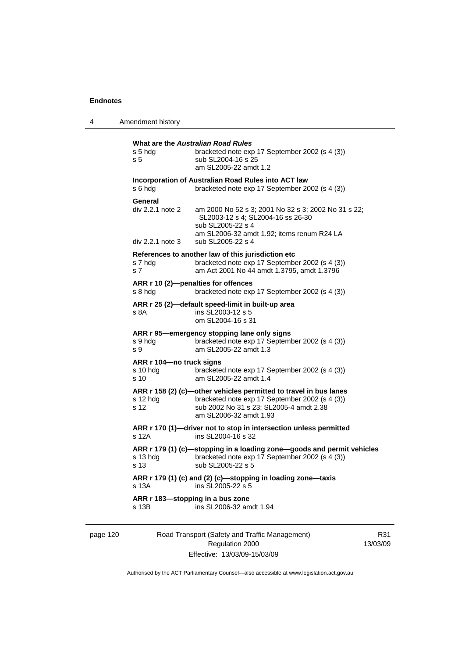4 Amendment history

| s 5 hda<br>s <sub>5</sub>                               | What are the Australian Road Rules<br>bracketed note exp 17 September 2002 (s 4 (3))<br>sub SL2004-16 s 25<br>am SL2005-22 amdt 1.2                                                      |
|---------------------------------------------------------|------------------------------------------------------------------------------------------------------------------------------------------------------------------------------------------|
| s 6 hda                                                 | Incorporation of Australian Road Rules into ACT law<br>bracketed note exp 17 September 2002 (s 4 (3))                                                                                    |
| General<br>div 2.2.1 note 2<br>$div 2.2.1$ note 3       | am 2000 No 52 s 3; 2001 No 32 s 3; 2002 No 31 s 22;<br>SL2003-12 s 4: SL2004-16 ss 26-30<br>sub SL2005-22 s 4<br>am SL2006-32 amdt 1.92; items renum R24 LA<br>sub SL2005-22 s 4         |
| s 7 hdg<br>s 7                                          | References to another law of this jurisdiction etc<br>bracketed note exp 17 September 2002 (s 4 (3))<br>am Act 2001 No 44 amdt 1.3795, amdt 1.3796                                       |
| s 8 hda                                                 | ARR r 10 (2)-penalties for offences<br>bracketed note exp 17 September 2002 (s 4 (3))                                                                                                    |
| s 8A                                                    | ARR r 25 (2)-default speed-limit in built-up area<br>ins SL2003-12 s 5<br>om SL2004-16 s 31                                                                                              |
| s 9 hdg<br>s 9                                          | ARR r 95-emergency stopping lane only signs<br>bracketed note exp 17 September 2002 (s 4 (3))<br>am SL2005-22 amdt 1.3                                                                   |
| ARR r 104-no truck signs<br>s 10 hda<br>s <sub>10</sub> | bracketed note exp 17 September 2002 (s 4 (3))<br>am SL2005-22 amdt 1.4                                                                                                                  |
| s 12 hdg<br>s 12                                        | ARR r 158 (2) (c)-other vehicles permitted to travel in bus lanes<br>bracketed note exp 17 September 2002 (s 4 (3))<br>sub 2002 No 31 s 23; SL2005-4 amdt 2.38<br>am SL2006-32 amdt 1.93 |
| s 12A                                                   | ARR r 170 (1)-driver not to stop in intersection unless permitted<br>ins SL2004-16 s 32                                                                                                  |
| s 13 hdg<br>s 13                                        | ARR r 179 (1) (c)-stopping in a loading zone-goods and permit vehicles<br>bracketed note exp 17 September 2002 (s 4 (3))<br>sub SL2005-22 s 5                                            |
| s 13A                                                   | ARR r 179 (1) (c) and (2) (c)-stopping in loading zone-taxis<br>ins SL2005-22 s 5                                                                                                        |
| ARR r 183-stopping in a bus zone<br>s 13B               | ins SL2006-32 amdt 1.94                                                                                                                                                                  |

page 120 Road Transport (Safety and Traffic Management) Regulation 2000 Effective: 13/03/09-15/03/09

R31 13/03/09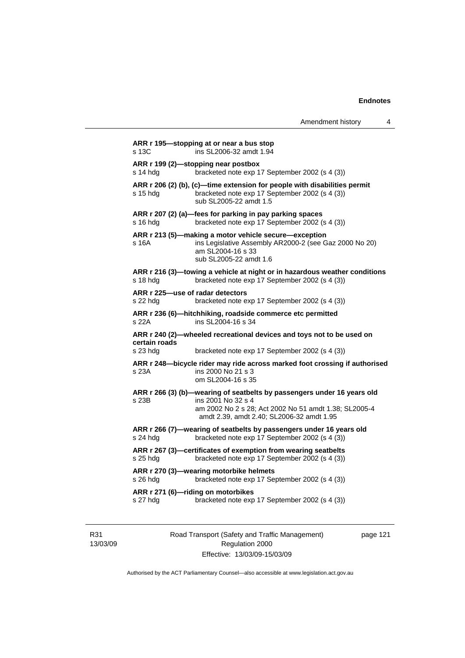|                                              |                                                                                                                                                                | Amendment history | 4 |
|----------------------------------------------|----------------------------------------------------------------------------------------------------------------------------------------------------------------|-------------------|---|
| s 13C                                        | ARR r 195-stopping at or near a bus stop<br>ins SL2006-32 amdt 1.94                                                                                            |                   |   |
| s 14 hdg                                     | ARR r 199 (2)—stopping near postbox<br>bracketed note exp 17 September 2002 (s 4 (3))                                                                          |                   |   |
| s 15 hdg                                     | ARR r 206 (2) (b), (c)-time extension for people with disabilities permit<br>bracketed note exp 17 September 2002 (s 4 (3))<br>sub SL2005-22 amdt 1.5          |                   |   |
| s 16 hdg                                     | ARR r 207 (2) (a)-fees for parking in pay parking spaces<br>bracketed note exp 17 September 2002 (s 4 (3))                                                     |                   |   |
| s 16A                                        | ARR r 213 (5)-making a motor vehicle secure-exception<br>ins Legislative Assembly AR2000-2 (see Gaz 2000 No 20)<br>am SL2004-16 s 33<br>sub SL2005-22 amdt 1.6 |                   |   |
| s 18 hdg                                     | ARR r 216 (3)—towing a vehicle at night or in hazardous weather conditions<br>bracketed note exp 17 September 2002 (s 4 (3))                                   |                   |   |
| ARR r 225-use of radar detectors<br>s 22 hda | bracketed note exp 17 September 2002 (s 4 (3))                                                                                                                 |                   |   |
| s 22A                                        | ARR r 236 (6)-hitchhiking, roadside commerce etc permitted<br>ins SL2004-16 s 34                                                                               |                   |   |
| certain roads                                | ARR r 240 (2)-wheeled recreational devices and toys not to be used on                                                                                          |                   |   |
| s 23 hdg                                     | bracketed note exp 17 September 2002 (s 4 (3))                                                                                                                 |                   |   |
| s 23A                                        | ARR r 248-bicycle rider may ride across marked foot crossing if authorised<br>ins 2000 No 21 s 3<br>om SL2004-16 s 35                                          |                   |   |
|                                              | ARR r 266 (3) (b)-wearing of seatbelts by passengers under 16 years old                                                                                        |                   |   |
| s 23B                                        | ins 2001 No 32 s 4<br>am 2002 No 2 s 28; Act 2002 No 51 amdt 1.38; SL2005-4<br>amdt 2.39, amdt 2.40; SL2006-32 amdt 1.95                                       |                   |   |
| s 24 hdg                                     | ARR r 266 (7)-wearing of seatbelts by passengers under 16 years old<br>bracketed note exp 17 September 2002 (s 4 (3))                                          |                   |   |
| s 25 hdg                                     | ARR r 267 (3)-certificates of exemption from wearing seatbelts<br>bracketed note exp 17 September 2002 (s 4 (3))                                               |                   |   |
| $s$ 26 hdg                                   | ARR r 270 (3)-wearing motorbike helmets<br>bracketed note exp 17 September 2002 (s 4 (3))                                                                      |                   |   |
| s 27 hdg                                     | ARR r 271 (6)-riding on motorbikes<br>bracketed note exp 17 September 2002 (s 4 (3))                                                                           |                   |   |

R31 13/03/09 Road Transport (Safety and Traffic Management) Regulation 2000 Effective: 13/03/09-15/03/09

page 121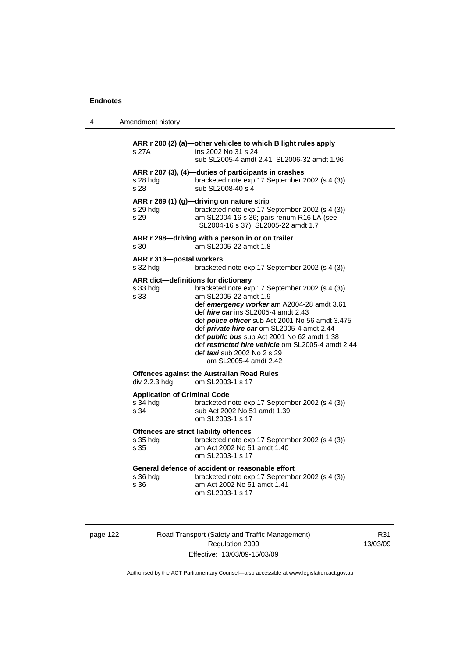| 4 | Amendment history                                          |                                                                                                                                                                                                                                                                                                                                                                                                                                                 |
|---|------------------------------------------------------------|-------------------------------------------------------------------------------------------------------------------------------------------------------------------------------------------------------------------------------------------------------------------------------------------------------------------------------------------------------------------------------------------------------------------------------------------------|
|   | s 27A                                                      | ARR r 280 (2) (a)-other vehicles to which B light rules apply<br>ins 2002 No 31 s 24<br>sub SL2005-4 amdt 2.41; SL2006-32 amdt 1.96                                                                                                                                                                                                                                                                                                             |
|   | s 28 hdg<br>s 28                                           | ARR r 287 (3), (4)-duties of participants in crashes<br>bracketed note exp 17 September 2002 (s 4 (3))<br>sub SL2008-40 s 4                                                                                                                                                                                                                                                                                                                     |
|   | s 29 hdg<br>s 29                                           | ARR r 289 (1) (g)-driving on nature strip<br>bracketed note exp 17 September 2002 (s 4 (3))<br>am SL2004-16 s 36; pars renum R16 LA (see<br>SL2004-16 s 37); SL2005-22 amdt 1.7                                                                                                                                                                                                                                                                 |
|   | s 30                                                       | ARR r 298-driving with a person in or on trailer<br>am SL2005-22 amdt 1.8                                                                                                                                                                                                                                                                                                                                                                       |
|   | ARR r 313-postal workers<br>s 32 hdg                       | bracketed note exp 17 September 2002 (s 4 (3))                                                                                                                                                                                                                                                                                                                                                                                                  |
|   | ARR dict-definitions for dictionary<br>s 33 hda<br>s 33    | bracketed note exp 17 September 2002 (s 4 (3))<br>am SL2005-22 amdt 1.9<br>def emergency worker am A2004-28 amdt 3.61<br>def <i>hire car</i> ins SL2005-4 amdt 2.43<br>def police officer sub Act 2001 No 56 amdt 3.475<br>def private hire car om SL2005-4 amdt 2.44<br>def <i>public bus</i> sub Act 2001 No 62 amdt 1.38<br>def restricted hire vehicle om SL2005-4 amdt 2.44<br>def <i>taxi</i> sub 2002 No 2 s 29<br>am SL2005-4 amdt 2.42 |
|   | div 2.2.3 hdg                                              | <b>Offences against the Australian Road Rules</b><br>om SL2003-1 s 17                                                                                                                                                                                                                                                                                                                                                                           |
|   | <b>Application of Criminal Code</b><br>s 34 hdg<br>s 34    | bracketed note exp 17 September 2002 (s 4 (3))<br>sub Act 2002 No 51 amdt 1.39<br>om SL2003-1 s 17                                                                                                                                                                                                                                                                                                                                              |
|   | Offences are strict liability offences<br>s 35 hdg<br>s 35 | bracketed note exp 17 September 2002 (s 4 (3))<br>am Act 2002 No 51 amdt 1.40<br>om SL2003-1 s 17                                                                                                                                                                                                                                                                                                                                               |
|   | s 36 hda<br>s 36                                           | General defence of accident or reasonable effort<br>bracketed note exp 17 September 2002 (s 4 (3))<br>am Act 2002 No 51 amdt 1.41<br>om SL2003-1 s 17                                                                                                                                                                                                                                                                                           |

| page |  |  |
|------|--|--|
|------|--|--|

122 Road Transport (Safety and Traffic Management) Regulation 2000 Effective: 13/03/09-15/03/09

R31 13/03/09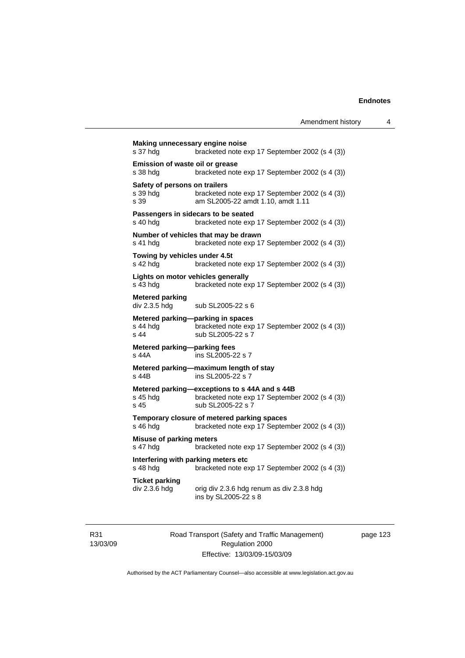| s 37 hdg                                          | bracketed note exp 17 September 2002 (s 4 (3))                                                                       |
|---------------------------------------------------|----------------------------------------------------------------------------------------------------------------------|
| Emission of waste oil or grease<br>s 38 hdg       | bracketed note exp 17 September 2002 (s 4 (3))                                                                       |
| Safety of persons on trailers<br>s 39 hdg<br>s 39 | bracketed note exp 17 September 2002 (s 4 (3))<br>am SL2005-22 amdt 1.10, amdt 1.11                                  |
| s 40 hdg                                          | Passengers in sidecars to be seated<br>bracketed note exp 17 September 2002 (s 4 (3))                                |
| s 41 hdg                                          | Number of vehicles that may be drawn<br>bracketed note exp 17 September 2002 (s 4 (3))                               |
| Towing by vehicles under 4.5t<br>s 42 hdg         | bracketed note exp 17 September 2002 (s 4 (3))                                                                       |
| s 43 hdg                                          | Lights on motor vehicles generally<br>bracketed note exp 17 September 2002 (s 4 (3))                                 |
| <b>Metered parking</b><br>div 2.3.5 hdg           | sub SL2005-22 s 6                                                                                                    |
| s 44 hdg<br>s 44                                  | Metered parking-parking in spaces<br>bracketed note exp 17 September 2002 (s 4 (3))<br>sub SL2005-22 s 7             |
| Metered parking-parking fees<br>s 44A             | ins SL2005-22 s 7                                                                                                    |
| s 44B                                             | Metered parking-maximum length of stay<br>ins SL2005-22 s 7                                                          |
| s 45 hdg<br>s 45                                  | Metered parking-exceptions to s 44A and s 44B<br>bracketed note exp 17 September 2002 (s 4 (3))<br>sub SL2005-22 s 7 |
| s 46 hdg                                          | Temporary closure of metered parking spaces<br>bracketed note exp 17 September 2002 (s 4 (3))                        |
| <b>Misuse of parking meters</b><br>s 47 hdg       | bracketed note exp 17 September 2002 (s 4 (3))                                                                       |
| s 48 hdg                                          | Interfering with parking meters etc<br>bracketed note exp 17 September 2002 (s 4 (3))                                |
| <b>Ticket parking</b><br>div 2.3.6 hdg            | orig div 2.3.6 hdg renum as div 2.3.8 hdg<br>ins by SL2005-22 s 8                                                    |

R31 13/03/09 Road Transport (Safety and Traffic Management) Regulation 2000 Effective: 13/03/09-15/03/09

page 123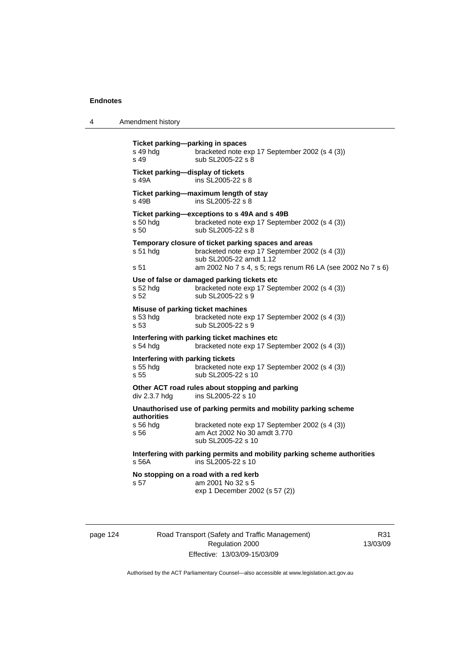| 4 | Amendment history |
|---|-------------------|
|---|-------------------|

**Ticket parking—parking in spaces**  s 49 hdg bracketed note exp 17 September 2002 (s 4 (3)) s 49 sub SL2005-22 s 8 **Ticket parking—display of tickets**  s 49A ins SL2005-22 s 8 **Ticket parking—maximum length of stay**  s 49B ins SL2005-22 s 8 **Ticket parking—exceptions to s 49A and s 49B**  s 50 hdg bracketed note exp 17 September 2002 (s 4 (3)) s 50 sub SL2005-22 s 8 **Temporary closure of ticket parking spaces and areas**  s 51 hdg bracketed note exp 17 September 2002 (s 4 (3)) sub SL2005-22 amdt 1.12 s 51 am 2002 No 7 s 4, s 5; regs renum R6 LA (see 2002 No 7 s 6) **Use of false or damaged parking tickets etc**  s 52 hdg bracketed note exp 17 September 2002 (s 4 (3)) s 52 sub SL2005-22 s 9 **Misuse of parking ticket machines**  s 53 hdg bracketed note exp 17 September 2002 (s 4 (3)) s 53 sub SL2005-22 s 9 **Interfering with parking ticket machines etc**  s 54 hdg bracketed note exp 17 September 2002 (s 4 (3)) **Interfering with parking tickets**<br>s 55 hda<br>bracketed no bracketed note exp 17 September 2002 (s 4 (3)) s 55 sub SL2005-22 s 10 **Other ACT road rules about stopping and parking**  div 2.3.7 hdg ins SL2005-22 s 10 **Unauthorised use of parking permits and mobility parking scheme authorities**  s 56 hdg bracketed note exp 17 September 2002 (s 4 (3))<br>s 56 **by** am Act 2002 No 30 amdt 3.770 am Act 2002 No 30 amdt 3.770 sub SL2005-22 s 10 **Interfering with parking permits and mobility parking scheme authorities**  s 56A ins SL2005-22 s 10 **No stopping on a road with a red kerb**  s 57 am 2001 No 32 s 5 exp 1 December 2002 (s 57 (2))

page 124 Road Transport (Safety and Traffic Management) Regulation 2000 Effective: 13/03/09-15/03/09

R31 13/03/09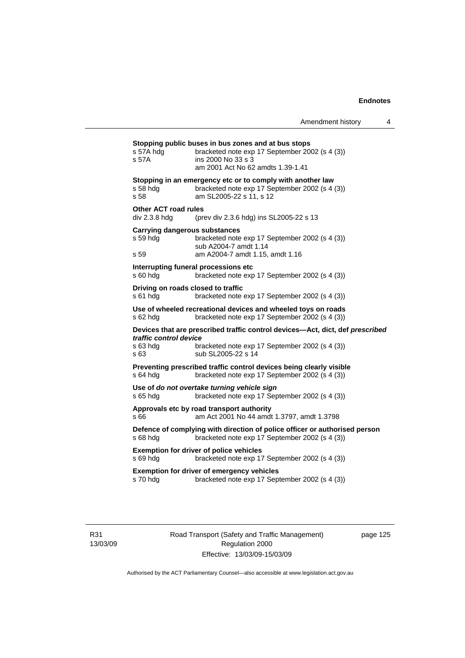| s 57A hdg<br>s 57A                           | bracketed note exp 17 September 2002 (s 4 (3))<br>ins 2000 No 33 s 3<br>am 2001 Act No 62 amdts 1.39-1.41                                             |
|----------------------------------------------|-------------------------------------------------------------------------------------------------------------------------------------------------------|
| s 58 hdg<br>s 58                             | Stopping in an emergency etc or to comply with another law<br>bracketed note exp 17 September 2002 (s 4 (3))<br>am SL2005-22 s 11, s 12               |
| <b>Other ACT road rules</b><br>div 2.3.8 hdg | (prev div 2.3.6 hdg) ins SL2005-22 s 13                                                                                                               |
| s 59 hdg<br>s 59                             | <b>Carrying dangerous substances</b><br>bracketed note exp 17 September 2002 (s 4 (3))<br>sub A2004-7 amdt 1.14<br>am A2004-7 amdt 1.15, amdt 1.16    |
| s 60 hdg                                     | Interrupting funeral processions etc<br>bracketed note exp 17 September 2002 (s 4 (3))                                                                |
| s 61 hdg                                     | Driving on roads closed to traffic<br>bracketed note exp 17 September 2002 (s 4 (3))                                                                  |
| s 62 hdg                                     | Use of wheeled recreational devices and wheeled toys on roads<br>bracketed note exp 17 September 2002 (s 4 (3))                                       |
| traffic control device<br>s 63 hdg<br>s 63   | Devices that are prescribed traffic control devices-Act, dict, def prescribed<br>bracketed note exp 17 September 2002 (s 4 (3))<br>sub SL2005-22 s 14 |
| s 64 hdg                                     | Preventing prescribed traffic control devices being clearly visible<br>bracketed note exp 17 September 2002 (s 4 (3))                                 |
| s 65 hdg                                     | Use of do not overtake turning vehicle sign<br>bracketed note exp 17 September 2002 (s 4 (3))                                                         |
| s 66                                         | Approvals etc by road transport authority<br>am Act 2001 No 44 amdt 1.3797, amdt 1.3798                                                               |
| s 68 hdg                                     | Defence of complying with direction of police officer or authorised person<br>bracketed note exp 17 September 2002 (s 4 (3))                          |
|                                              | <b>Exemption for driver of police vehicles</b>                                                                                                        |
| s 69 hdg                                     | bracketed note exp 17 September 2002 (s 4 (3))                                                                                                        |

R31 13/03/09 Road Transport (Safety and Traffic Management) Regulation 2000 Effective: 13/03/09-15/03/09

page 125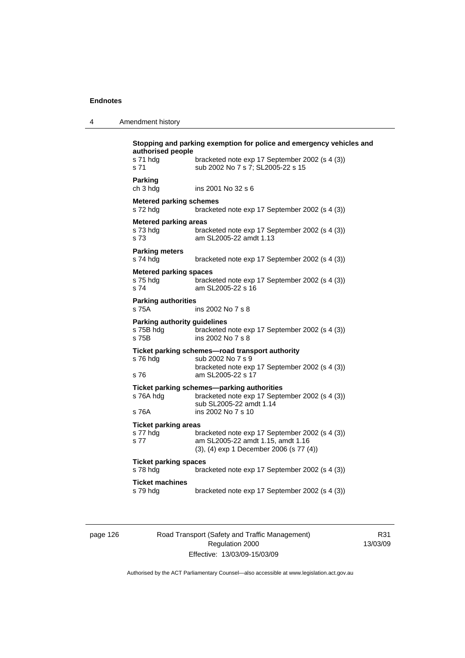4 Amendment history

| Parking<br>ch 3 hdg                                       |                                                                                                                                               |
|-----------------------------------------------------------|-----------------------------------------------------------------------------------------------------------------------------------------------|
|                                                           | ins 2001 No 32 s 6                                                                                                                            |
| <b>Metered parking schemes</b><br>s 72 hda                | bracketed note exp 17 September 2002 (s 4 (3))                                                                                                |
| <b>Metered parking areas</b><br>s 73 hda<br>s 73          | bracketed note exp 17 September 2002 (s 4 (3))<br>am SL2005-22 amdt 1.13                                                                      |
| <b>Parking meters</b><br>s 74 hdg                         | bracketed note exp 17 September 2002 (s 4 (3))                                                                                                |
| <b>Metered parking spaces</b><br>s 75 hda<br>s 74         | bracketed note exp 17 September 2002 (s 4 (3))<br>am SL2005-22 s 16                                                                           |
| <b>Parking authorities</b><br>s 75A                       | ins 2002 No 7 s 8                                                                                                                             |
| <b>Parking authority guidelines</b><br>s 75B hda<br>s 75B | bracketed note exp 17 September 2002 (s 4 (3))<br>ins 2002 No 7 s 8                                                                           |
| s 76 hdg<br>s 76                                          | Ticket parking schemes-road transport authority<br>sub 2002 No 7 s 9<br>bracketed note exp 17 September 2002 (s 4 (3))<br>am SL2005-22 s 17   |
| s 76A hdg<br>s 76A                                        | Ticket parking schemes—parking authorities<br>bracketed note exp 17 September 2002 (s 4 (3))<br>sub SL2005-22 amdt 1.14<br>ins 2002 No 7 s 10 |
| <b>Ticket parking areas</b><br>s 77 hdg<br>s 77           | bracketed note exp 17 September 2002 (s 4 (3))<br>am SL2005-22 amdt 1.15, amdt 1.16<br>(3), (4) exp 1 December 2006 (s 77 (4))                |
| <b>Ticket parking spaces</b><br>s 78 hdg                  | bracketed note exp 17 September 2002 (s 4 (3))                                                                                                |
| <b>Ticket machines</b><br>s 79 hdg                        | bracketed note exp 17 September 2002 (s 4 (3))                                                                                                |

page 126 Road Transport (Safety and Traffic Management) Regulation 2000 Effective: 13/03/09-15/03/09

R31 13/03/09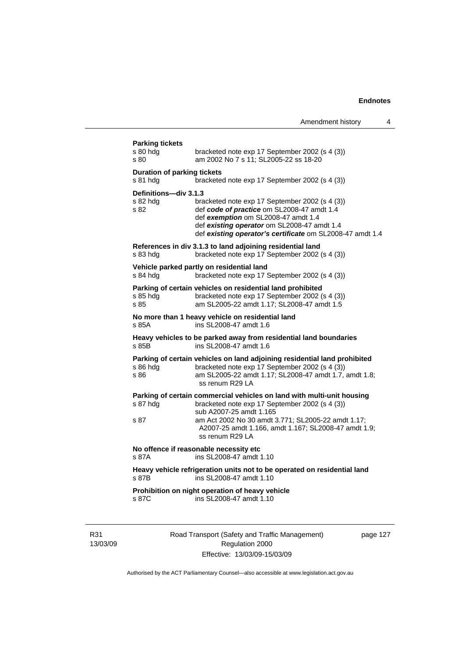| <b>Parking tickets</b><br>s 80 hdg<br>s 80     | bracketed note exp 17 September 2002 (s 4 (3))<br>am 2002 No 7 s 11; SL2005-22 ss 18-20                                                                                                                                                                                              |
|------------------------------------------------|--------------------------------------------------------------------------------------------------------------------------------------------------------------------------------------------------------------------------------------------------------------------------------------|
| <b>Duration of parking tickets</b><br>s 81 hdg | bracketed note exp 17 September 2002 (s 4 (3))                                                                                                                                                                                                                                       |
| Definitions-div 3.1.3<br>s 82 hda<br>s 82      | bracketed note exp 17 September 2002 (s 4 (3))<br>def code of practice om SL2008-47 amdt 1.4<br>def exemption om SL2008-47 amdt 1.4<br>def existing operator om SL2008-47 amdt 1.4<br>def existing operator's certificate om SL2008-47 amdt 1.4                                      |
| s 83 hdg                                       | References in div 3.1.3 to land adjoining residential land<br>bracketed note exp 17 September 2002 (s 4 (3))                                                                                                                                                                         |
| s 84 hdg                                       | Vehicle parked partly on residential land<br>bracketed note exp 17 September 2002 (s 4 (3))                                                                                                                                                                                          |
| s 85 hda<br>s 85                               | Parking of certain vehicles on residential land prohibited<br>bracketed note exp 17 September 2002 (s 4 (3))<br>am SL2005-22 amdt 1.17; SL2008-47 amdt 1.5                                                                                                                           |
| s 85A                                          | No more than 1 heavy vehicle on residential land<br>ins SL2008-47 amdt 1.6                                                                                                                                                                                                           |
| s 85B                                          | Heavy vehicles to be parked away from residential land boundaries<br>ins SL2008-47 amdt 1.6                                                                                                                                                                                          |
| s 86 hda<br>s 86                               | Parking of certain vehicles on land adjoining residential land prohibited<br>bracketed note exp 17 September 2002 (s 4 (3))<br>am SL2005-22 amdt 1.17; SL2008-47 amdt 1.7, amdt 1.8;<br>ss renum R29 LA                                                                              |
| s 87 hdg<br>s 87                               | Parking of certain commercial vehicles on land with multi-unit housing<br>bracketed note exp 17 September 2002 (s 4 (3))<br>sub A2007-25 amdt 1.165<br>am Act 2002 No 30 amdt 3.771; SL2005-22 amdt 1.17;<br>A2007-25 amdt 1.166, amdt 1.167; SL2008-47 amdt 1.9;<br>ss renum R29 LA |
| s 87A                                          | No offence if reasonable necessity etc<br>ins SL2008-47 amdt 1.10                                                                                                                                                                                                                    |
| s 87B                                          | Heavy vehicle refrigeration units not to be operated on residential land<br>ins SL2008-47 amdt 1.10                                                                                                                                                                                  |
|                                                | Prohibition on night operation of heavy vehicle                                                                                                                                                                                                                                      |

R31 13/03/09 Road Transport (Safety and Traffic Management) Regulation 2000 Effective: 13/03/09-15/03/09

page 127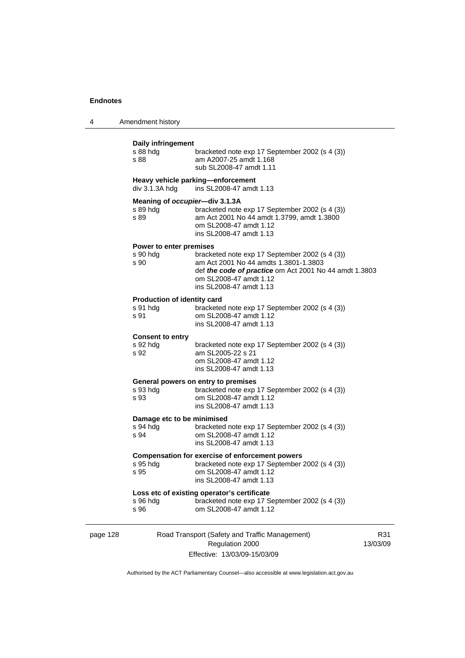| 4 | Amendment history |
|---|-------------------|
|---|-------------------|

# page 128 Road Transport (Safety and Traffic Management) Regulation 2000 **Daily infringement**  bracketed note exp 17 September 2002 (s 4 (3)) s 88 am A2007-25 amdt 1.168 sub SL2008-47 amdt 1.11 **Heavy vehicle parking—enforcement**  div 3.1.3A hdg ins SL2008-47 amdt 1.13 **Meaning of** *occupier***—div 3.1.3A**  s 89 hdg bracketed note exp 17 September 2002 (s 4 (3))<br>s 89 am Act 2001 No 44 amdt 1.3799. amdt 1.3800 am Act 2001 No 44 amdt 1.3799, amdt 1.3800 om SL2008-47 amdt 1.12 ins SL2008-47 amdt 1.13 **Power to enter premises**  bracketed note exp 17 September 2002 (s 4 (3)) s 90 am Act 2001 No 44 amdts 1.3801-1.3803 def *the code of practice* om Act 2001 No 44 amdt 1.3803 om SL2008-47 amdt 1.12 ins SL2008-47 amdt 1.13 **Production of identity card**  s 91 hdg bracketed note exp 17 September 2002 (s 4 (3)) s 91 om SL2008-47 amdt 1.12 ins SL2008-47 amdt 1.13 **Consent to entry**  bracketed note exp 17 September 2002 (s 4 (3)) s 92 am SL2005-22 s 21 om SL2008-47 amdt 1.12 ins SL2008-47 amdt 1.13 **General powers on entry to premises**  s 93 hdg<br>s 93 hdg<br>om SI 2008-47 amdt 1.12 om SL2008-47 amdt 1.12 ins SL2008-47 amdt 1.13 **Damage etc to be minimised**  s 94 hdg bracketed note exp 17 September 2002 (s 4 (3))<br>s 94 om SL2008-47 amdt 1.12 om SL2008-47 amdt 1.12 ins SL2008-47 amdt 1.13 **Compensation for exercise of enforcement powers**  s 95 hdg bracketed note exp 17 September 2002 (s 4 (3)) s 95 om SL2008-47 amdt 1.12 ins SL2008-47 amdt 1.13 **Loss etc of existing operator's certificate**  s 96 hdg bracketed note exp 17 September 2002 (s 4 (3))<br>s 96 om SL2008-47 amdt 1.12 om SL2008-47 amdt 1.12

Effective: 13/03/09-15/03/09

R31 13/03/09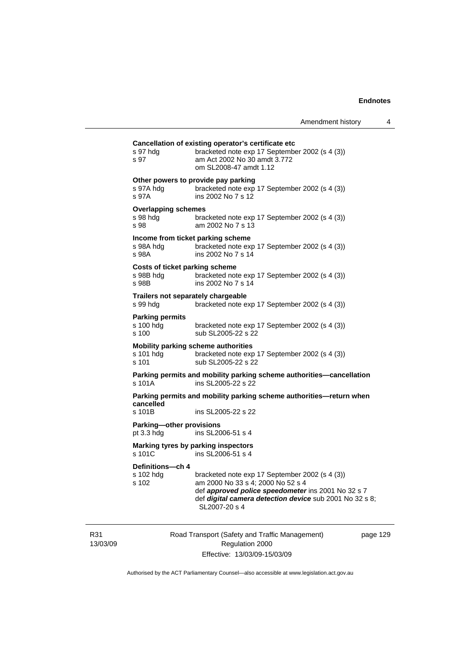| s 97 hdg<br>s 97                               | bracketed note exp 17 September 2002 (s 4 (3))<br>am Act 2002 No 30 amdt 3.772<br>om SL2008-47 amdt 1.12                                                                                                              |
|------------------------------------------------|-----------------------------------------------------------------------------------------------------------------------------------------------------------------------------------------------------------------------|
| s 97A hdq<br>s 97A                             | Other powers to provide pay parking<br>bracketed note exp 17 September 2002 (s 4 (3))<br>ins 2002 No 7 s 12                                                                                                           |
| <b>Overlapping schemes</b><br>s 98 hdg<br>s 98 | bracketed note exp 17 September 2002 (s 4 (3))<br>am 2002 No 7 s 13                                                                                                                                                   |
| s 98A hdg<br>s 98A                             | Income from ticket parking scheme<br>bracketed note exp 17 September 2002 (s 4 (3))<br>ins 2002 No 7 s 14                                                                                                             |
| s 98B hdg<br>s 98B                             | Costs of ticket parking scheme<br>bracketed note exp 17 September 2002 (s 4 (3))<br>ins 2002 No 7 s 14                                                                                                                |
| s 99 hdg                                       | Trailers not separately chargeable<br>bracketed note exp 17 September 2002 (s 4 (3))                                                                                                                                  |
| <b>Parking permits</b><br>s 100 hdg<br>s 100   | bracketed note exp 17 September 2002 (s 4 (3))<br>sub SL2005-22 s 22                                                                                                                                                  |
| s 101 hdg<br>s 101                             | Mobility parking scheme authorities<br>bracketed note exp 17 September 2002 (s 4 (3))<br>sub SL2005-22 s 22                                                                                                           |
| s 101A                                         | Parking permits and mobility parking scheme authorities-cancellation<br>ins SL2005-22 s 22                                                                                                                            |
| cancelled                                      | Parking permits and mobility parking scheme authorities-return when                                                                                                                                                   |
| s 101B                                         | ins SL2005-22 s 22                                                                                                                                                                                                    |
| Parking-other provisions<br>pt 3.3 hdg         | ins SL2006-51 s 4                                                                                                                                                                                                     |
| s 101C                                         | Marking tyres by parking inspectors<br>ins SL2006-51 s 4                                                                                                                                                              |
| Definitions-ch 4<br>s 102 hdg<br>s 102         | bracketed note exp 17 September 2002 (s 4 (3))<br>am 2000 No 33 s 4; 2000 No 52 s 4<br>def approved police speedometer ins 2001 No 32 s 7<br>def digital camera detection device sub 2001 No 32 s 8;<br>SL2007-20 s 4 |

R31 13/03/09 Road Transport (Safety and Traffic Management) Regulation 2000 Effective: 13/03/09-15/03/09

page 129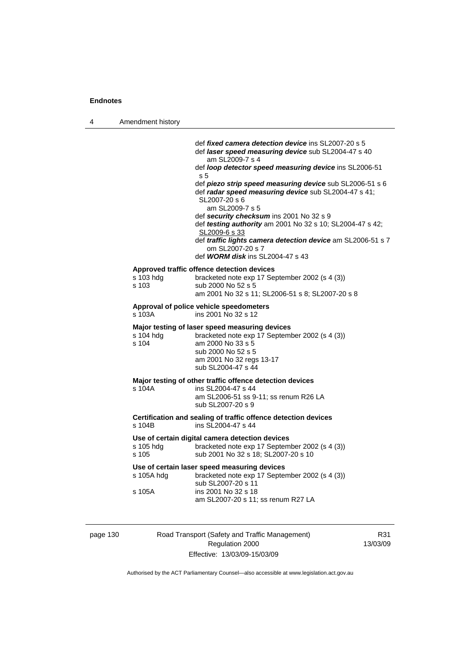| 4 | Amendment history    |                                                                                                                                                                                                                                                                                                                                                                                                                                                                                                                                                                                                                |
|---|----------------------|----------------------------------------------------------------------------------------------------------------------------------------------------------------------------------------------------------------------------------------------------------------------------------------------------------------------------------------------------------------------------------------------------------------------------------------------------------------------------------------------------------------------------------------------------------------------------------------------------------------|
|   |                      | def <i>fixed camera detection device</i> ins SL2007-20 s 5<br>def laser speed measuring device sub SL2004-47 s 40<br>am SL2009-7 s 4<br>def loop detector speed measuring device ins SL2006-51<br>s 5<br>def piezo strip speed measuring device sub SL2006-51 s 6<br>def radar speed measuring device sub SL2004-47 s 41;<br>SL2007-20 s 6<br>am SL2009-7 s 5<br>def security checksum ins 2001 No 32 s 9<br>def testing authority am 2001 No 32 s 10; SL2004-47 s 42;<br>SL2009-6 s 33<br>def traffic lights camera detection device am SL2006-51 s 7<br>om SL2007-20 s 7<br>def WORM disk ins SL2004-47 s 43 |
|   | s 103 hdg<br>s 103   | Approved traffic offence detection devices<br>bracketed note exp 17 September 2002 (s 4 (3))<br>sub 2000 No 52 s 5<br>am 2001 No 32 s 11; SL2006-51 s 8; SL2007-20 s 8                                                                                                                                                                                                                                                                                                                                                                                                                                         |
|   | s 103A               | Approval of police vehicle speedometers<br>ins 2001 No 32 s 12                                                                                                                                                                                                                                                                                                                                                                                                                                                                                                                                                 |
|   | s 104 hdg<br>s 104   | Major testing of laser speed measuring devices<br>bracketed note exp 17 September 2002 (s 4 (3))<br>am 2000 No 33 s 5<br>sub 2000 No 52 s 5<br>am 2001 No 32 regs 13-17<br>sub SL2004-47 s 44                                                                                                                                                                                                                                                                                                                                                                                                                  |
|   | s 104A               | Major testing of other traffic offence detection devices<br>ins SL2004-47 s 44<br>am SL2006-51 ss 9-11; ss renum R26 LA<br>sub SL2007-20 s 9                                                                                                                                                                                                                                                                                                                                                                                                                                                                   |
|   | s 104B               | Certification and sealing of traffic offence detection devices<br>ins SL2004-47 s 44                                                                                                                                                                                                                                                                                                                                                                                                                                                                                                                           |
|   | s 105 hdg<br>s 105   | Use of certain digital camera detection devices<br>bracketed note exp 17 September 2002 (s 4 (3))<br>sub 2001 No 32 s 18; SL2007-20 s 10                                                                                                                                                                                                                                                                                                                                                                                                                                                                       |
|   | s 105A hdg<br>s 105A | Use of certain laser speed measuring devices<br>bracketed note exp 17 September 2002 (s 4 (3))<br>sub SL2007-20 s 11<br>ins 2001 No 32 s 18<br>am SL2007-20 s 11; ss renum R27 LA                                                                                                                                                                                                                                                                                                                                                                                                                              |

page 130 Road Transport (Safety and Traffic Management) Regulation 2000 Effective: 13/03/09-15/03/09

R31 13/03/09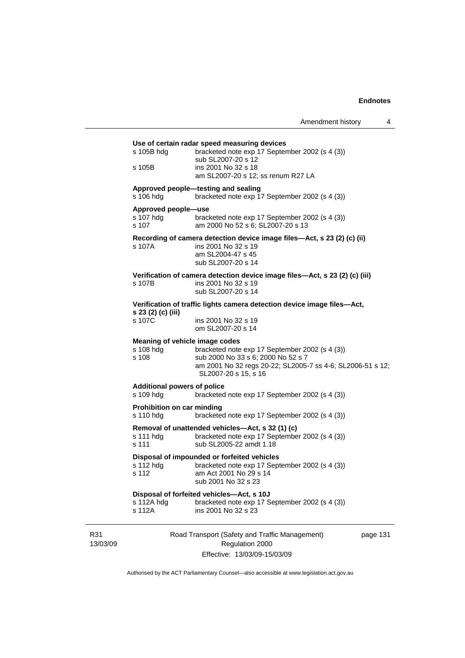|                 | s 105B hdg                                           | Use of certain radar speed measuring devices<br>bracketed note exp 17 September 2002 (s 4 (3))<br>sub SL2007-20 s 12                                                       |          |
|-----------------|------------------------------------------------------|----------------------------------------------------------------------------------------------------------------------------------------------------------------------------|----------|
|                 | s 105B                                               | ins 2001 No 32 s 18<br>am SL2007-20 s 12; ss renum R27 LA                                                                                                                  |          |
|                 | s 106 hdg                                            | Approved people-testing and sealing<br>bracketed note exp 17 September 2002 (s 4 (3))                                                                                      |          |
|                 | Approved people-use<br>s 107 hdg<br>s 107            | bracketed note exp 17 September 2002 (s 4 (3))<br>am 2000 No 52 s 6; SL2007-20 s 13                                                                                        |          |
|                 | s 107A                                               | Recording of camera detection device image files-Act, s 23 (2) (c) (ii)<br>ins 2001 No 32 s 19<br>am SL2004-47 s 45<br>sub SL2007-20 s 14                                  |          |
|                 | s 107B                                               | Verification of camera detection device image files-Act, s 23 (2) (c) (iii)<br>ins 2001 No 32 s 19<br>sub SL2007-20 s 14                                                   |          |
|                 |                                                      | Verification of traffic lights camera detection device image files-Act,                                                                                                    |          |
|                 | s 23 (2) (c) (iii)<br>s 107C                         | ins 2001 No 32 s 19<br>om SL2007-20 s 14                                                                                                                                   |          |
|                 | Meaning of vehicle image codes<br>s 108 hdg<br>s 108 | bracketed note exp 17 September 2002 (s 4 (3))<br>sub 2000 No 33 s 6; 2000 No 52 s 7<br>am 2001 No 32 regs 20-22; SL2005-7 ss 4-6; SL2006-51 s 12;<br>SL2007-20 s 15, s 16 |          |
|                 | <b>Additional powers of police</b><br>s 109 hdg      | bracketed note exp 17 September 2002 (s 4 (3))                                                                                                                             |          |
|                 | <b>Prohibition on car minding</b><br>s 110 hdg       | bracketed note exp 17 September 2002 (s 4 (3))                                                                                                                             |          |
|                 | s 111 hdg<br>s 111                                   | Removal of unattended vehicles—Act, s 32 (1) (c)<br>bracketed note exp 17 September 2002 (s 4 (3))<br>sub SL2005-22 amdt 1.18                                              |          |
|                 | s 112 hdg<br>s 112                                   | Disposal of impounded or forfeited vehicles<br>bracketed note exp 17 September 2002 (s 4 (3))<br>am Act 2001 No 29 s 14<br>sub 2001 No 32 s 23                             |          |
|                 | s 112A hdg<br>s 112A                                 | Disposal of forfeited vehicles-Act, s 10J<br>bracketed note exp 17 September 2002 (s 4 (3))<br>ins 2001 No 32 s 23                                                         |          |
| R31<br>13/03/09 |                                                      | Road Transport (Safety and Traffic Management)<br>Regulation 2000                                                                                                          | page 131 |

Effective: 13/03/09-15/03/09

Authorised by the ACT Parliamentary Counsel—also accessible at www.legislation.act.gov.au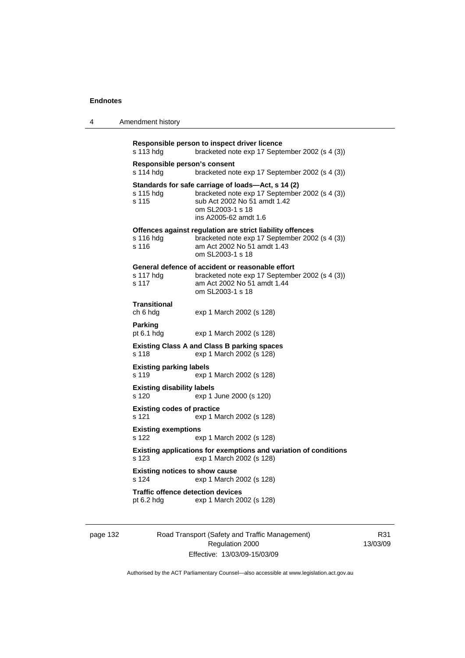|  | Amendment history |
|--|-------------------|
|--|-------------------|

```
Responsible person to inspect driver licence 
s 113 hdg bracketed note exp 17 September 2002 (s 4 (3)) 
Responsible person's consent 
s 114 hdg bracketed note exp 17 September 2002 (s 4 (3)) 
Standards for safe carriage of loads—Act, s 14 (2) 
s 115 hdg bracketed note exp 17 September 2002 (s 4 (3)) 
s 115 sub Act 2002 No 51 amdt 1.42 
                  om SL2003-1 s 18 
                  ins A2005-62 amdt 1.6 
Offences against regulation are strict liability offences 
s 116 hdg bracketed note exp 17 September 2002 (s 4 (3)) 
s 116 am Act 2002 No 51 amdt 1.43 
                  om SL2003-1 s 18 
General defence of accident or reasonable effort 
                 bracketed note exp 17 September 2002 (s 4 (3))
s 117 am Act 2002 No 51 amdt 1.44 
                  om SL2003-1 s 18 
Transitional 
ch 6 hdg exp 1 March 2002 (s 128) 
Parking 
pt 6.1 hdg exp 1 March 2002 (s 128) 
Existing Class A and Class B parking spaces 
s 118 exp 1 March 2002 (s 128) 
Existing parking labels 
s 119 exp 1 March 2002 (s 128) 
Existing disability labels 
s 120 exp 1 June 2000 (s 120) 
Existing codes of practice 
s 121 exp 1 March 2002 (s 128) 
Existing exemptions 
s 122 exp 1 March 2002 (s 128) 
Existing applications for exemptions and variation of conditions 
s 123 exp 1 March 2002 (s 128) 
Existing notices to show cause 
s 124 exp 1 March 2002 (s 128) 
Traffic offence detection devices<br>pt 6.2 hdg exp 1 March 20
                 exp 1 March 2002 (s 128)
```
page 132 Road Transport (Safety and Traffic Management) Regulation 2000 Effective: 13/03/09-15/03/09

R31 13/03/09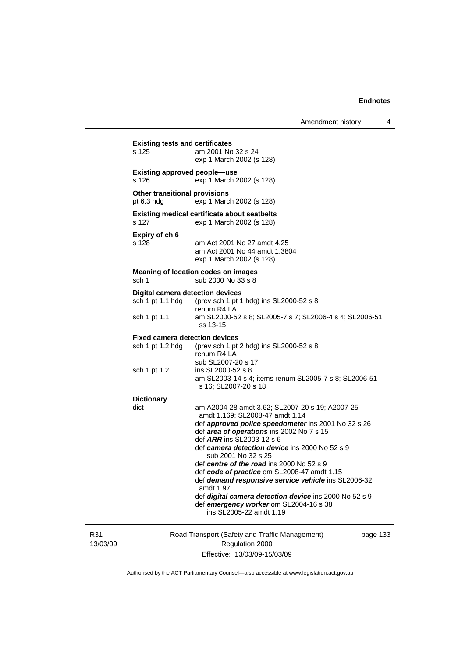|                 | <b>Existing tests and certificates</b>                      |                                                                                                                                                                                                                                                                                                                                                                                                                                                                                                                                                                                                    |        |
|-----------------|-------------------------------------------------------------|----------------------------------------------------------------------------------------------------------------------------------------------------------------------------------------------------------------------------------------------------------------------------------------------------------------------------------------------------------------------------------------------------------------------------------------------------------------------------------------------------------------------------------------------------------------------------------------------------|--------|
|                 | s 125                                                       | am 2001 No 32 s 24<br>exp 1 March 2002 (s 128)                                                                                                                                                                                                                                                                                                                                                                                                                                                                                                                                                     |        |
|                 | <b>Existing approved people-use</b><br>s 126                | exp 1 March 2002 (s 128)                                                                                                                                                                                                                                                                                                                                                                                                                                                                                                                                                                           |        |
|                 | <b>Other transitional provisions</b><br>pt $6.3$ hdg        | exp 1 March 2002 (s 128)                                                                                                                                                                                                                                                                                                                                                                                                                                                                                                                                                                           |        |
|                 | s 127                                                       | <b>Existing medical certificate about seatbelts</b><br>exp 1 March 2002 (s 128)                                                                                                                                                                                                                                                                                                                                                                                                                                                                                                                    |        |
|                 | Expiry of ch 6<br>s 128                                     | am Act 2001 No 27 amdt 4.25<br>am Act 2001 No 44 amdt 1.3804<br>exp 1 March 2002 (s 128)                                                                                                                                                                                                                                                                                                                                                                                                                                                                                                           |        |
|                 | sch 1                                                       | <b>Meaning of location codes on images</b><br>sub 2000 No 33 s 8                                                                                                                                                                                                                                                                                                                                                                                                                                                                                                                                   |        |
|                 | <b>Digital camera detection devices</b><br>sch 1 pt 1.1 hdg | (prev sch 1 pt 1 hdg) ins SL2000-52 s 8<br>renum R4 LA                                                                                                                                                                                                                                                                                                                                                                                                                                                                                                                                             |        |
|                 | sch 1 pt 1.1                                                | am SL2000-52 s 8; SL2005-7 s 7; SL2006-4 s 4; SL2006-51<br>ss 13-15                                                                                                                                                                                                                                                                                                                                                                                                                                                                                                                                |        |
|                 | <b>Fixed camera detection devices</b><br>sch 1 pt 1.2 hdg   | (prev sch 1 pt 2 hdg) ins SL2000-52 s 8<br>renum R4 LA                                                                                                                                                                                                                                                                                                                                                                                                                                                                                                                                             |        |
|                 | sch 1 pt 1.2                                                | sub SL2007-20 s 17<br>ins SL2000-52 s 8<br>am SL2003-14 s 4; items renum SL2005-7 s 8; SL2006-51<br>s 16; SL2007-20 s 18                                                                                                                                                                                                                                                                                                                                                                                                                                                                           |        |
|                 | <b>Dictionary</b><br>dict                                   | am A2004-28 amdt 3.62; SL2007-20 s 19; A2007-25<br>amdt 1.169; SL2008-47 amdt 1.14<br>def approved police speedometer ins 2001 No 32 s 26<br>def area of operations ins 2002 No 7 s 15<br>def <i>ARR</i> ins SL2003-12 s 6<br>def camera detection device ins 2000 No 52 s 9<br>sub 2001 No 32 s 25<br>def centre of the road ins 2000 No 52 s 9<br>def code of practice om SL2008-47 amdt 1.15<br>def demand responsive service vehicle ins SL2006-32<br>amdt 1.97<br>def digital camera detection device ins 2000 No 52 s 9<br>def emergency worker om SL2004-16 s 38<br>ins SL2005-22 amdt 1.19 |        |
| R31<br>13/03/09 |                                                             | Road Transport (Safety and Traffic Management)<br>Regulation 2000                                                                                                                                                                                                                                                                                                                                                                                                                                                                                                                                  | page 1 |

Effective: 13/03/09-15/03/09

page 133

Authorised by the ACT Parliamentary Counsel—also accessible at www.legislation.act.gov.au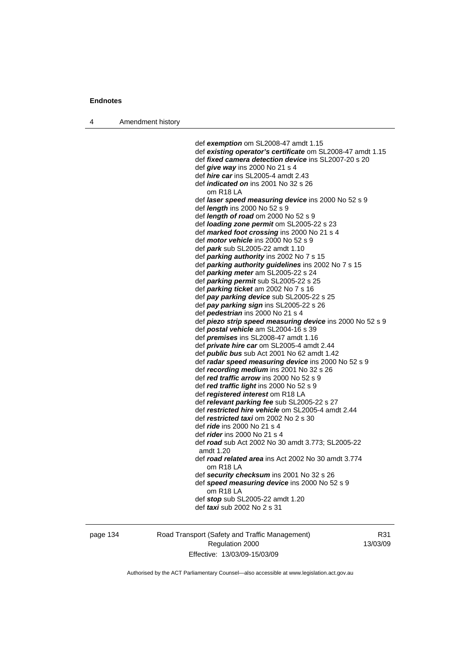4 Amendment history

 def *exemption* om SL2008-47 amdt 1.15 def *existing operator's certificate* om SL2008-47 amdt 1.15 def *fixed camera detection device* ins SL2007-20 s 20 def *give way* ins 2000 No 21 s 4 def *hire car* ins SL2005-4 amdt 2.43 def *indicated on* ins 2001 No 32 s 26 om R18 LA def *laser speed measuring device* ins 2000 No 52 s 9 def *length* ins 2000 No 52 s 9 def *length of road* om 2000 No 52 s 9 def *loading zone permit* om SL2005-22 s 23 def *marked foot crossing* ins 2000 No 21 s 4 def *motor vehicle* ins 2000 No 52 s 9 def *park* sub SL2005-22 amdt 1.10 def *parking authority* ins 2002 No 7 s 15 def *parking authority guidelines* ins 2002 No 7 s 15 def *parking meter* am SL2005-22 s 24 def *parking permit* sub SL2005-22 s 25 def *parking ticket* am 2002 No 7 s 16 def *pay parking device* sub SL2005-22 s 25 def *pay parking sign* ins SL2005-22 s 26 def *pedestrian* ins 2000 No 21 s 4 def *piezo strip speed measuring device* ins 2000 No 52 s 9 def *postal vehicle* am SL2004-16 s 39 def *premises* ins SL2008-47 amdt 1.16 def *private hire car* om SL2005-4 amdt 2.44 def *public bus* sub Act 2001 No 62 amdt 1.42 def *radar speed measuring device* ins 2000 No 52 s 9 def *recording medium* ins 2001 No 32 s 26 def *red traffic arrow* ins 2000 No 52 s 9 def *red traffic light* ins 2000 No 52 s 9 def *registered interest* om R18 LA def *relevant parking fee* sub SL2005-22 s 27 def *restricted hire vehicle* om SL2005-4 amdt 2.44 def *restricted taxi* om 2002 No 2 s 30 def *ride* ins 2000 No 21 s 4 def *rider* ins 2000 No 21 s 4 def *road* sub Act 2002 No 30 amdt 3.773; SL2005-22 amdt 1.20 def *road related area* ins Act 2002 No 30 amdt 3.774 om R18 LA def *security checksum* ins 2001 No 32 s 26 def *speed measuring device* ins 2000 No 52 s 9 om R18 LA def *stop* sub SL2005-22 amdt 1.20 def *taxi* sub 2002 No 2 s 31

page 134 Road Transport (Safety and Traffic Management) Regulation 2000 Effective: 13/03/09-15/03/09

R31 13/03/09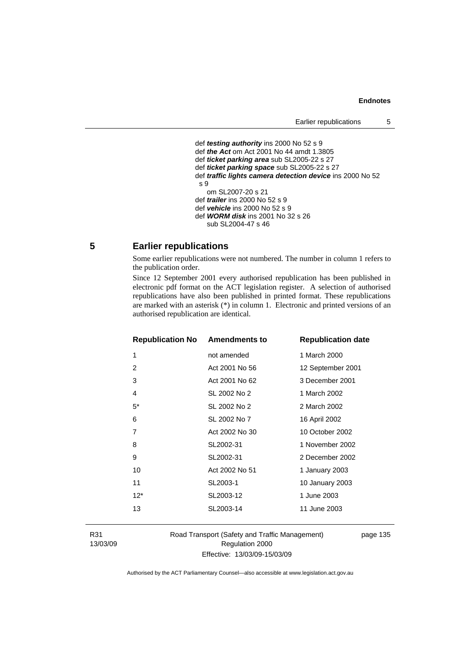#### **Endnotes**

```
 def testing authority ins 2000 No 52 s 9 
def the Act om Act 2001 No 44 amdt 1.3805 
def ticket parking area sub SL2005-22 s 27 
def ticket parking space sub SL2005-22 s 27 
def traffic lights camera detection device ins 2000 No 52 
s 9 
   om SL2007-20 s 21 
def trailer ins 2000 No 52 s 9 
def vehicle ins 2000 No 52 s 9 
def WORM disk ins 2001 No 32 s 26 
   sub SL2004-47 s 46
```
## **5 Earlier republications**

Some earlier republications were not numbered. The number in column 1 refers to the publication order.

Since 12 September 2001 every authorised republication has been published in electronic pdf format on the ACT legislation register. A selection of authorised republications have also been published in printed format. These republications are marked with an asterisk (\*) in column 1. Electronic and printed versions of an authorised republication are identical.

| <b>Republication No Amendments to</b> |                | <b>Republication date</b> |
|---------------------------------------|----------------|---------------------------|
| 1                                     | not amended    | 1 March 2000              |
| 2                                     | Act 2001 No 56 | 12 September 2001         |
| 3                                     | Act 2001 No 62 | 3 December 2001           |
| 4                                     | SL 2002 No 2   | 1 March 2002              |
| $5^*$                                 | SL 2002 No 2   | 2 March 2002              |
| 6                                     | SL 2002 No 7   | 16 April 2002             |
| 7                                     | Act 2002 No 30 | 10 October 2002           |
| 8                                     | SL2002-31      | 1 November 2002           |
| 9                                     | SL2002-31      | 2 December 2002           |
| 10                                    | Act 2002 No 51 | 1 January 2003            |
| 11                                    | SL2003-1       | 10 January 2003           |
| $12*$                                 | SL2003-12      | 1 June 2003               |
| 13                                    | SL2003-14      | 11 June 2003              |
|                                       |                |                           |

R31 13/03/09 Road Transport (Safety and Traffic Management) Regulation 2000 Effective: 13/03/09-15/03/09

page 135

Authorised by the ACT Parliamentary Counsel—also accessible at www.legislation.act.gov.au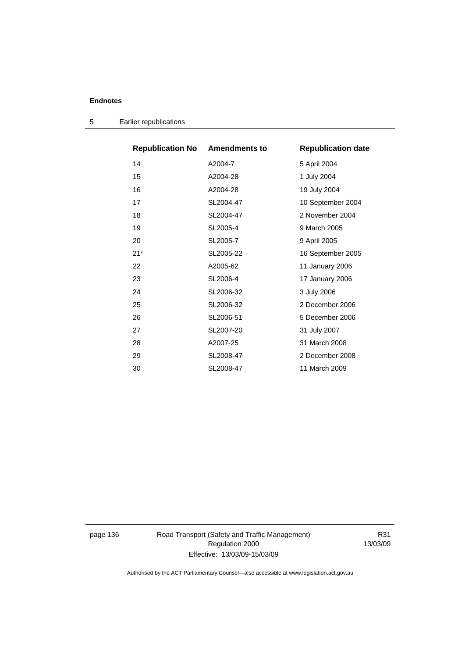## **Endnotes**

| <b>Republication No Amendments to</b> |           | <b>Republication date</b> |
|---------------------------------------|-----------|---------------------------|
| 14                                    | A2004-7   | 5 April 2004              |
| 15                                    | A2004-28  | 1 July 2004               |
| 16                                    | A2004-28  | 19 July 2004              |
| 17                                    | SL2004-47 | 10 September 2004         |
| 18                                    | SL2004-47 | 2 November 2004           |
| 19                                    | SL2005-4  | 9 March 2005              |
| 20                                    | SL2005-7  | 9 April 2005              |
| $21*$                                 | SL2005-22 | 16 September 2005         |
| 22                                    | A2005-62  | 11 January 2006           |
| 23                                    | SL2006-4  | 17 January 2006           |
| 24                                    | SL2006-32 | 3 July 2006               |
| 25                                    | SL2006-32 | 2 December 2006           |
| 26                                    | SL2006-51 | 5 December 2006           |
| 27                                    | SL2007-20 | 31 July 2007              |
| 28                                    | A2007-25  | 31 March 2008             |
| 29                                    | SL2008-47 | 2 December 2008           |
| 30                                    | SL2008-47 | 11 March 2009             |

5 Earlier republications

page 136 Road Transport (Safety and Traffic Management) Regulation 2000 Effective: 13/03/09-15/03/09

R31 13/03/09

Authorised by the ACT Parliamentary Counsel—also accessible at www.legislation.act.gov.au